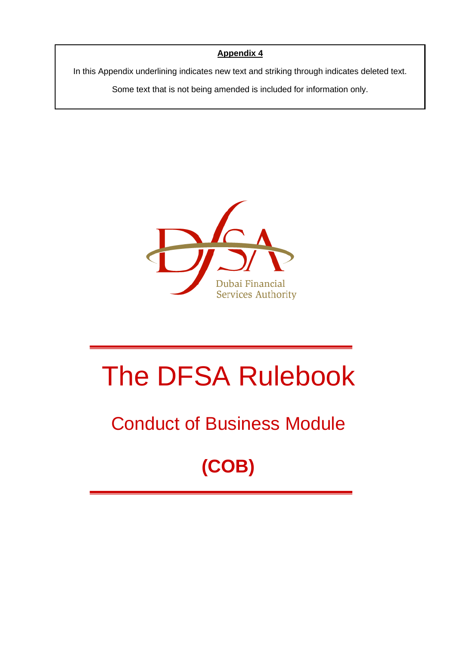# **Appendix 4**

In this Appendix underlining indicates new text and striking through indicates deleted text.

Some text that is not being amended is included for information only.



# The DFSA Rulebook

# Conduct of Business Module

# **(COB)**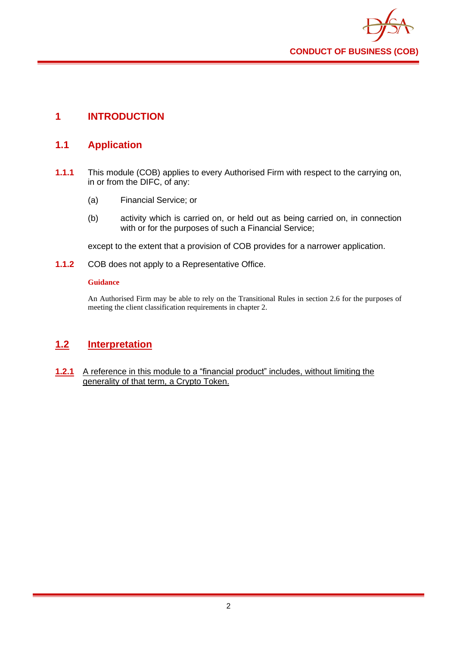

# **1 INTRODUCTION**

# **1.1 Application**

- **1.1.1** This module (COB) applies to every Authorised Firm with respect to the carrying on, in or from the DIFC, of any:
	- (a) Financial Service; or
	- (b) activity which is carried on, or held out as being carried on, in connection with or for the purposes of such a Financial Service;

except to the extent that a provision of COB provides for a narrower application.

**1.1.2** COB does not apply to a Representative Office.

### **Guidance**

An Authorised Firm may be able to rely on the Transitional Rules in section 2.6 for the purposes of meeting the client classification requirements in chapter 2.

# **1.2 Interpretation**

**1.2.1** A reference in this module to a "financial product" includes, without limiting the generality of that term, a Crypto Token.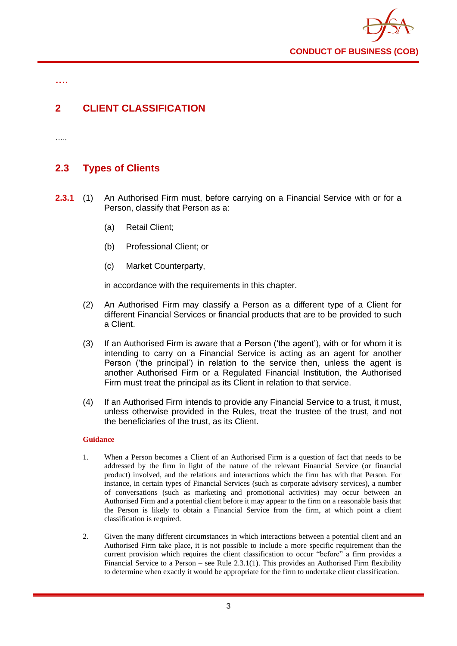

**….**

# **2 CLIENT CLASSIFICATION**

……

# **2.3 Types of Clients**

- **2.3.1** (1) An Authorised Firm must, before carrying on a Financial Service with or for a Person, classify that Person as a:
	- (a) Retail Client;
	- (b) Professional Client; or
	- (c) Market Counterparty,

in accordance with the requirements in this chapter.

- (2) An Authorised Firm may classify a Person as a different type of a Client for different Financial Services or financial products that are to be provided to such a Client.
- (3) If an Authorised Firm is aware that a Person ('the agent'), with or for whom it is intending to carry on a Financial Service is acting as an agent for another Person ('the principal') in relation to the service then, unless the agent is another Authorised Firm or a Regulated Financial Institution, the Authorised Firm must treat the principal as its Client in relation to that service.
- (4) If an Authorised Firm intends to provide any Financial Service to a trust, it must, unless otherwise provided in the Rules, treat the trustee of the trust, and not the beneficiaries of the trust, as its Client.

- 1. When a Person becomes a Client of an Authorised Firm is a question of fact that needs to be addressed by the firm in light of the nature of the relevant Financial Service (or financial product) involved, and the relations and interactions which the firm has with that Person. For instance, in certain types of Financial Services (such as corporate advisory services), a number of conversations (such as marketing and promotional activities) may occur between an Authorised Firm and a potential client before it may appear to the firm on a reasonable basis that the Person is likely to obtain a Financial Service from the firm, at which point a client classification is required.
- 2. Given the many different circumstances in which interactions between a potential client and an Authorised Firm take place, it is not possible to include a more specific requirement than the current provision which requires the client classification to occur "before" a firm provides a Financial Service to a Person – see Rule 2.3.1(1). This provides an Authorised Firm flexibility to determine when exactly it would be appropriate for the firm to undertake client classification.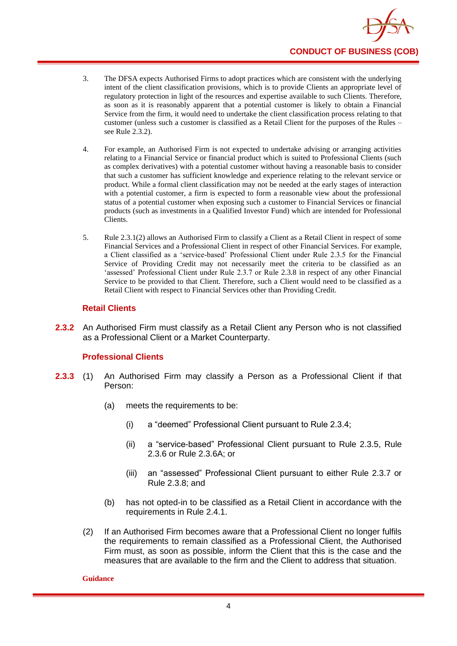

- 3. The DFSA expects Authorised Firms to adopt practices which are consistent with the underlying intent of the client classification provisions, which is to provide Clients an appropriate level of regulatory protection in light of the resources and expertise available to such Clients. Therefore, as soon as it is reasonably apparent that a potential customer is likely to obtain a Financial Service from the firm, it would need to undertake the client classification process relating to that customer (unless such a customer is classified as a Retail Client for the purposes of the Rules – see Rule 2.3.2).
- 4. For example, an Authorised Firm is not expected to undertake advising or arranging activities relating to a Financial Service or financial product which is suited to Professional Clients (such as complex derivatives) with a potential customer without having a reasonable basis to consider that such a customer has sufficient knowledge and experience relating to the relevant service or product. While a formal client classification may not be needed at the early stages of interaction with a potential customer, a firm is expected to form a reasonable view about the professional status of a potential customer when exposing such a customer to Financial Services or financial products (such as investments in a Qualified Investor Fund) which are intended for Professional Clients.
- 5. Rule 2.3.1(2) allows an Authorised Firm to classify a Client as a Retail Client in respect of some Financial Services and a Professional Client in respect of other Financial Services. For example, a Client classified as a 'service-based' Professional Client under Rule 2.3.5 for the Financial Service of Providing Credit may not necessarily meet the criteria to be classified as an 'assessed' Professional Client under Rule 2.3.7 or Rule 2.3.8 in respect of any other Financial Service to be provided to that Client. Therefore, such a Client would need to be classified as a Retail Client with respect to Financial Services other than Providing Credit.

## **Retail Clients**

**2.3.2** An Authorised Firm must classify as a Retail Client any Person who is not classified as a Professional Client or a Market Counterparty.

## **Professional Clients**

- **2.3.3** (1) An Authorised Firm may classify a Person as a Professional Client if that Person:
	- (a) meets the requirements to be:
		- (i) a "deemed" Professional Client pursuant to Rule 2.3.4;
		- (ii) a "service-based" Professional Client pursuant to Rule 2.3.5, Rule 2.3.6 or Rule 2.3.6A; or
		- (iii) an "assessed" Professional Client pursuant to either Rule 2.3.7 or Rule 2.3.8; and
	- (b) has not opted-in to be classified as a Retail Client in accordance with the requirements in Rule 2.4.1.
	- (2) If an Authorised Firm becomes aware that a Professional Client no longer fulfils the requirements to remain classified as a Professional Client, the Authorised Firm must, as soon as possible, inform the Client that this is the case and the measures that are available to the firm and the Client to address that situation.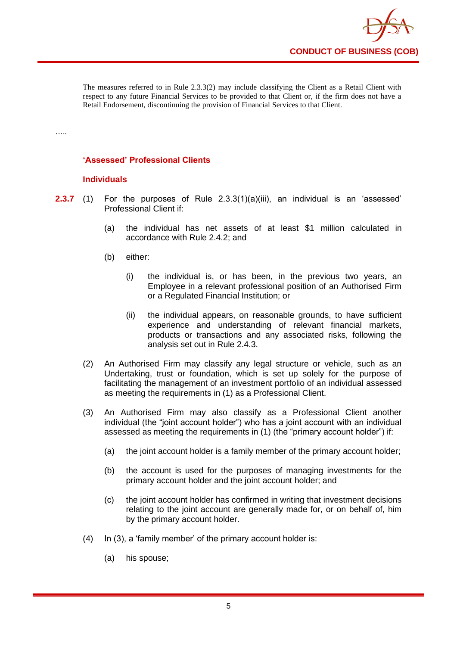

The measures referred to in Rule 2.3.3(2) may include classifying the Client as a Retail Client with respect to any future Financial Services to be provided to that Client or, if the firm does not have a Retail Endorsement, discontinuing the provision of Financial Services to that Client.

# **'Assessed' Professional Clients**

## **Individuals**

….

- **2.3.7** (1) For the purposes of Rule 2.3.3(1)(a)(iii), an individual is an 'assessed' Professional Client if:
	- (a) the individual has net assets of at least \$1 million calculated in accordance with Rule 2.4.2; and
	- (b) either:
		- (i) the individual is, or has been, in the previous two years, an Employee in a relevant professional position of an Authorised Firm or a Regulated Financial Institution; or
		- (ii) the individual appears, on reasonable grounds, to have sufficient experience and understanding of relevant financial markets, products or transactions and any associated risks, following the analysis set out in Rule 2.4.3.
	- (2) An Authorised Firm may classify any legal structure or vehicle, such as an Undertaking, trust or foundation, which is set up solely for the purpose of facilitating the management of an investment portfolio of an individual assessed as meeting the requirements in (1) as a Professional Client.
	- (3) An Authorised Firm may also classify as a Professional Client another individual (the "joint account holder") who has a joint account with an individual assessed as meeting the requirements in (1) (the "primary account holder") if:
		- (a) the joint account holder is a family member of the primary account holder;
		- (b) the account is used for the purposes of managing investments for the primary account holder and the joint account holder; and
		- (c) the joint account holder has confirmed in writing that investment decisions relating to the joint account are generally made for, or on behalf of, him by the primary account holder.
	- (4) In (3), a 'family member' of the primary account holder is:
		- (a) his spouse;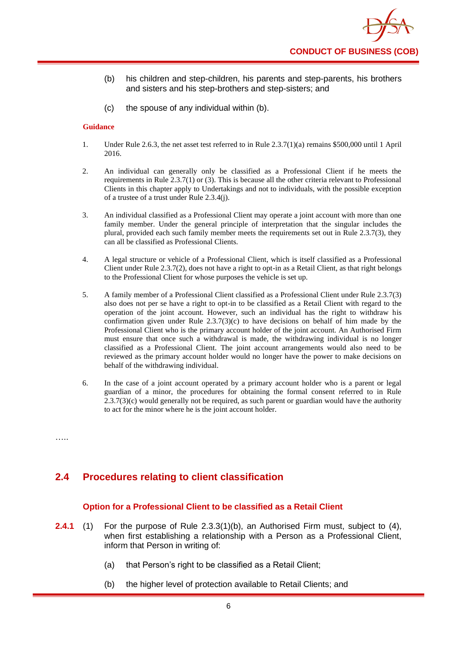- (b) his children and step-children, his parents and step-parents, his brothers and sisters and his step-brothers and step-sisters; and
- (c) the spouse of any individual within (b).

- 1. Under Rule 2.6.3, the net asset test referred to in Rule 2.3.7(1)(a) remains \$500,000 until 1 April 2016.
- 2. An individual can generally only be classified as a Professional Client if he meets the requirements in Rule 2.3.7(1) or (3). This is because all the other criteria relevant to Professional Clients in this chapter apply to Undertakings and not to individuals, with the possible exception of a trustee of a trust under Rule 2.3.4(j).
- 3. An individual classified as a Professional Client may operate a joint account with more than one family member. Under the general principle of interpretation that the singular includes the plural, provided each such family member meets the requirements set out in Rule 2.3.7(3), they can all be classified as Professional Clients.
- 4. A legal structure or vehicle of a Professional Client, which is itself classified as a Professional Client under Rule 2.3.7(2), does not have a right to opt-in as a Retail Client, as that right belongs to the Professional Client for whose purposes the vehicle is set up.
- 5. A family member of a Professional Client classified as a Professional Client under Rule 2.3.7(3) also does not per se have a right to opt-in to be classified as a Retail Client with regard to the operation of the joint account. However, such an individual has the right to withdraw his confirmation given under Rule  $2.3.7(3)(c)$  to have decisions on behalf of him made by the Professional Client who is the primary account holder of the joint account. An Authorised Firm must ensure that once such a withdrawal is made, the withdrawing individual is no longer classified as a Professional Client. The joint account arrangements would also need to be reviewed as the primary account holder would no longer have the power to make decisions on behalf of the withdrawing individual.
- 6. In the case of a joint account operated by a primary account holder who is a parent or legal guardian of a minor, the procedures for obtaining the formal consent referred to in Rule  $2.3.7(3)$ (c) would generally not be required, as such parent or guardian would have the authority to act for the minor where he is the joint account holder.

…..

# **2.4 Procedures relating to client classification**

# **Option for a Professional Client to be classified as a Retail Client**

- **2.4.1** (1) For the purpose of Rule 2.3.3(1)(b), an Authorised Firm must, subject to (4), when first establishing a relationship with a Person as a Professional Client, inform that Person in writing of:
	- (a) that Person's right to be classified as a Retail Client;
	- (b) the higher level of protection available to Retail Clients; and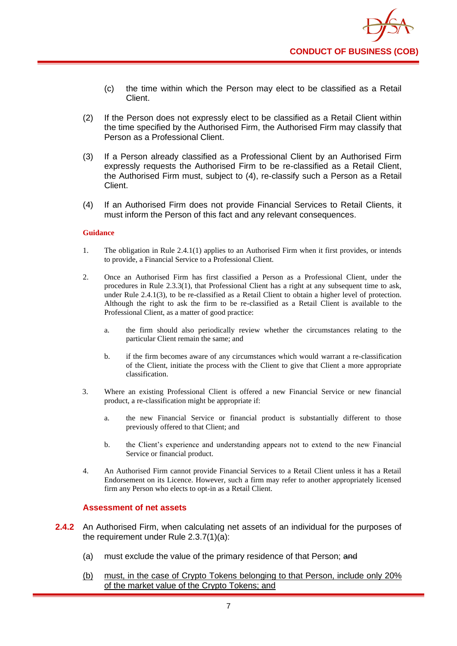

- (c) the time within which the Person may elect to be classified as a Retail Client.
- (2) If the Person does not expressly elect to be classified as a Retail Client within the time specified by the Authorised Firm, the Authorised Firm may classify that Person as a Professional Client.
- (3) If a Person already classified as a Professional Client by an Authorised Firm expressly requests the Authorised Firm to be re-classified as a Retail Client, the Authorised Firm must, subject to (4), re-classify such a Person as a Retail Client.
- (4) If an Authorised Firm does not provide Financial Services to Retail Clients, it must inform the Person of this fact and any relevant consequences.

- 1. The obligation in Rule 2.4.1(1) applies to an Authorised Firm when it first provides, or intends to provide, a Financial Service to a Professional Client.
- 2. Once an Authorised Firm has first classified a Person as a Professional Client, under the procedures in Rule 2.3.3(1), that Professional Client has a right at any subsequent time to ask, under Rule 2.4.1(3), to be re-classified as a Retail Client to obtain a higher level of protection. Although the right to ask the firm to be re-classified as a Retail Client is available to the Professional Client, as a matter of good practice:
	- a. the firm should also periodically review whether the circumstances relating to the particular Client remain the same; and
	- b. if the firm becomes aware of any circumstances which would warrant a re-classification of the Client, initiate the process with the Client to give that Client a more appropriate classification.
- 3. Where an existing Professional Client is offered a new Financial Service or new financial product, a re-classification might be appropriate if:
	- a. the new Financial Service or financial product is substantially different to those previously offered to that Client; and
	- b. the Client's experience and understanding appears not to extend to the new Financial Service or financial product.
- 4. An Authorised Firm cannot provide Financial Services to a Retail Client unless it has a Retail Endorsement on its Licence. However, such a firm may refer to another appropriately licensed firm any Person who elects to opt-in as a Retail Client.

#### **Assessment of net assets**

- **2.4.2** An Authorised Firm, when calculating net assets of an individual for the purposes of the requirement under Rule 2.3.7(1)(a):
	- (a) must exclude the value of the primary residence of that Person; and
	- (b) must, in the case of Crypto Tokens belonging to that Person, include only 20% of the market value of the Crypto Tokens; and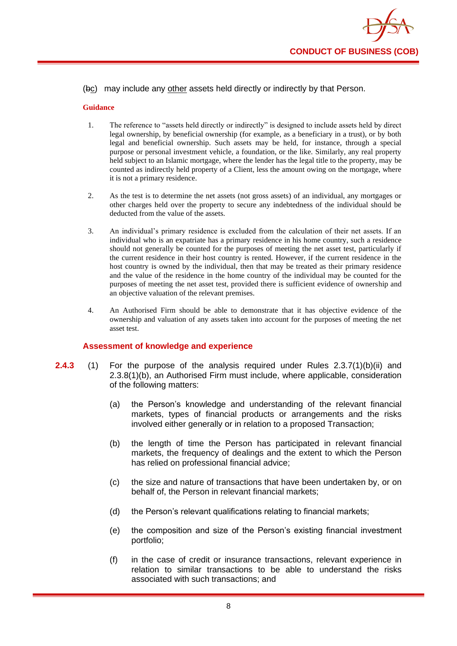

## (bc) may include any other assets held directly or indirectly by that Person.

#### **Guidance**

- 1. The reference to "assets held directly or indirectly" is designed to include assets held by direct legal ownership, by beneficial ownership (for example, as a beneficiary in a trust), or by both legal and beneficial ownership. Such assets may be held, for instance, through a special purpose or personal investment vehicle, a foundation, or the like. Similarly, any real property held subject to an Islamic mortgage, where the lender has the legal title to the property, may be counted as indirectly held property of a Client, less the amount owing on the mortgage, where it is not a primary residence.
- 2. As the test is to determine the net assets (not gross assets) of an individual, any mortgages or other charges held over the property to secure any indebtedness of the individual should be deducted from the value of the assets.
- 3. An individual's primary residence is excluded from the calculation of their net assets. If an individual who is an expatriate has a primary residence in his home country, such a residence should not generally be counted for the purposes of meeting the net asset test, particularly if the current residence in their host country is rented. However, if the current residence in the host country is owned by the individual, then that may be treated as their primary residence and the value of the residence in the home country of the individual may be counted for the purposes of meeting the net asset test, provided there is sufficient evidence of ownership and an objective valuation of the relevant premises.
- 4. An Authorised Firm should be able to demonstrate that it has objective evidence of the ownership and valuation of any assets taken into account for the purposes of meeting the net asset test.

# **Assessment of knowledge and experience**

- **2.4.3** (1) For the purpose of the analysis required under Rules 2.3.7(1)(b)(ii) and 2.3.8(1)(b), an Authorised Firm must include, where applicable, consideration of the following matters:
	- (a) the Person's knowledge and understanding of the relevant financial markets, types of financial products or arrangements and the risks involved either generally or in relation to a proposed Transaction;
	- (b) the length of time the Person has participated in relevant financial markets, the frequency of dealings and the extent to which the Person has relied on professional financial advice;
	- (c) the size and nature of transactions that have been undertaken by, or on behalf of, the Person in relevant financial markets;
	- (d) the Person's relevant qualifications relating to financial markets;
	- (e) the composition and size of the Person's existing financial investment portfolio;
	- (f) in the case of credit or insurance transactions, relevant experience in relation to similar transactions to be able to understand the risks associated with such transactions; and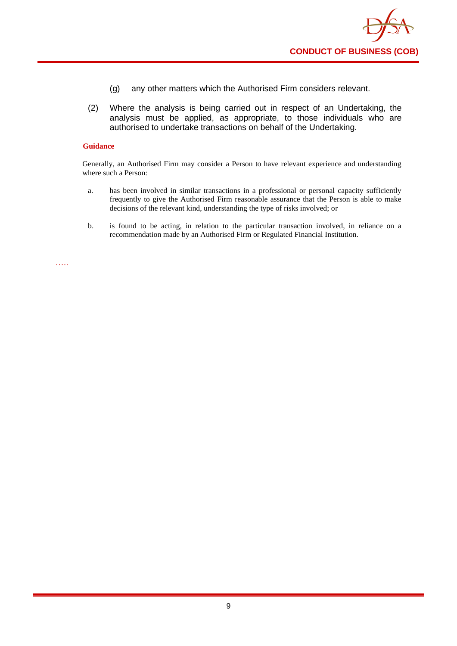

- (g) any other matters which the Authorised Firm considers relevant.
- (2) Where the analysis is being carried out in respect of an Undertaking, the analysis must be applied, as appropriate, to those individuals who are authorised to undertake transactions on behalf of the Undertaking.

Generally, an Authorised Firm may consider a Person to have relevant experience and understanding where such a Person:

- a. has been involved in similar transactions in a professional or personal capacity sufficiently frequently to give the Authorised Firm reasonable assurance that the Person is able to make decisions of the relevant kind, understanding the type of risks involved; or
- b. is found to be acting, in relation to the particular transaction involved, in reliance on a recommendation made by an Authorised Firm or Regulated Financial Institution.

…..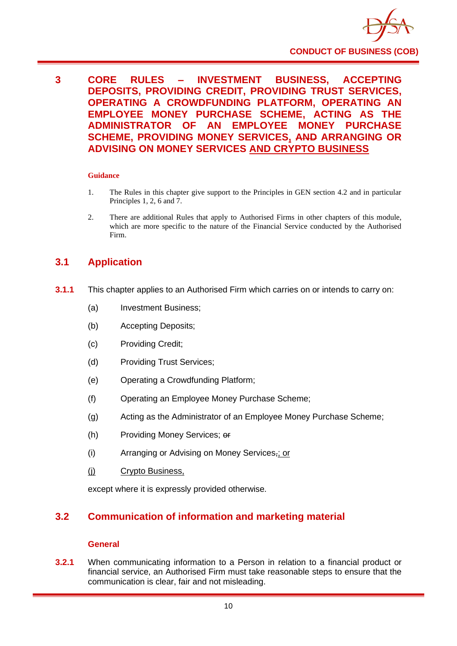

**3 CORE RULES – INVESTMENT BUSINESS, ACCEPTING DEPOSITS, PROVIDING CREDIT, PROVIDING TRUST SERVICES, OPERATING A CROWDFUNDING PLATFORM, OPERATING AN EMPLOYEE MONEY PURCHASE SCHEME, ACTING AS THE ADMINISTRATOR OF AN EMPLOYEE MONEY PURCHASE SCHEME, PROVIDING MONEY SERVICES, AND ARRANGING OR ADVISING ON MONEY SERVICES AND CRYPTO BUSINESS**

#### **Guidance**

- 1. The Rules in this chapter give support to the Principles in GEN section 4.2 and in particular Principles 1, 2, 6 and 7.
- 2. There are additional Rules that apply to Authorised Firms in other chapters of this module, which are more specific to the nature of the Financial Service conducted by the Authorised Firm.

# **3.1 Application**

- **3.1.1** This chapter applies to an Authorised Firm which carries on or intends to carry on:
	- (a) Investment Business;
	- (b) Accepting Deposits;
	- (c) Providing Credit;
	- (d) Providing Trust Services;
	- (e) Operating a Crowdfunding Platform;
	- (f) Operating an Employee Money Purchase Scheme;
	- (g) Acting as the Administrator of an Employee Money Purchase Scheme;
	- (h) Providing Money Services; or
	- (i) Arranging or Advising on Money Services,; or
	- (j) Crypto Business,

except where it is expressly provided otherwise.

# **3.2 Communication of information and marketing material**

#### **General**

**3.2.1** When communicating information to a Person in relation to a financial product or financial service, an Authorised Firm must take reasonable steps to ensure that the communication is clear, fair and not misleading.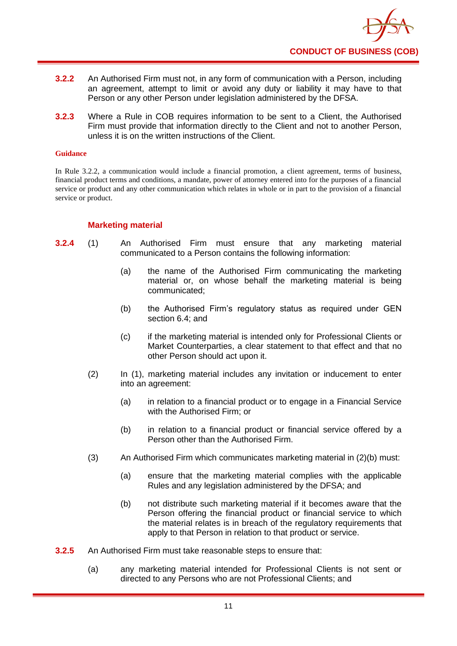

- **3.2.2** An Authorised Firm must not, in any form of communication with a Person, including an agreement, attempt to limit or avoid any duty or liability it may have to that Person or any other Person under legislation administered by the DFSA.
- **3.2.3** Where a Rule in COB requires information to be sent to a Client, the Authorised Firm must provide that information directly to the Client and not to another Person, unless it is on the written instructions of the Client.

In Rule 3.2.2, a communication would include a financial promotion, a client agreement, terms of business, financial product terms and conditions, a mandate, power of attorney entered into for the purposes of a financial service or product and any other communication which relates in whole or in part to the provision of a financial service or product.

## **Marketing material**

- **3.2.4** (1) An Authorised Firm must ensure that any marketing material communicated to a Person contains the following information:
	- (a) the name of the Authorised Firm communicating the marketing material or, on whose behalf the marketing material is being communicated;
	- (b) the Authorised Firm's regulatory status as required under GEN section 6.4; and
	- (c) if the marketing material is intended only for Professional Clients or Market Counterparties, a clear statement to that effect and that no other Person should act upon it.
	- (2) In (1), marketing material includes any invitation or inducement to enter into an agreement:
		- (a) in relation to a financial product or to engage in a Financial Service with the Authorised Firm; or
		- (b) in relation to a financial product or financial service offered by a Person other than the Authorised Firm.
	- (3) An Authorised Firm which communicates marketing material in (2)(b) must:
		- (a) ensure that the marketing material complies with the applicable Rules and any legislation administered by the DFSA; and
		- (b) not distribute such marketing material if it becomes aware that the Person offering the financial product or financial service to which the material relates is in breach of the regulatory requirements that apply to that Person in relation to that product or service.
- **3.2.5** An Authorised Firm must take reasonable steps to ensure that:
	- (a) any marketing material intended for Professional Clients is not sent or directed to any Persons who are not Professional Clients; and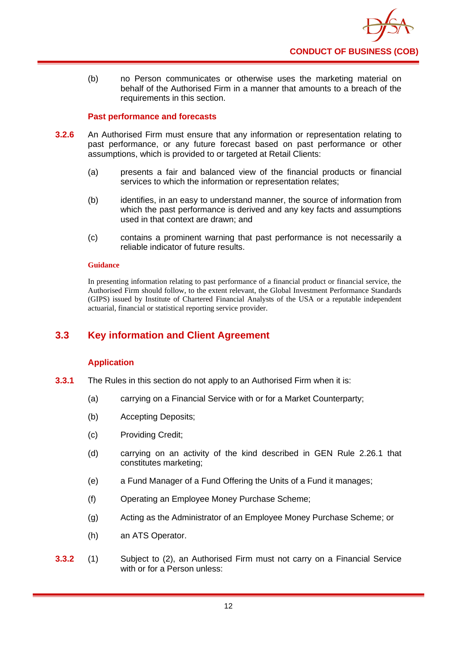

(b) no Person communicates or otherwise uses the marketing material on behalf of the Authorised Firm in a manner that amounts to a breach of the requirements in this section.

# **Past performance and forecasts**

- **3.2.6** An Authorised Firm must ensure that any information or representation relating to past performance, or any future forecast based on past performance or other assumptions, which is provided to or targeted at Retail Clients:
	- (a) presents a fair and balanced view of the financial products or financial services to which the information or representation relates;
	- (b) identifies, in an easy to understand manner, the source of information from which the past performance is derived and any key facts and assumptions used in that context are drawn; and
	- (c) contains a prominent warning that past performance is not necessarily a reliable indicator of future results.

#### **Guidance**

In presenting information relating to past performance of a financial product or financial service, the Authorised Firm should follow, to the extent relevant, the Global Investment Performance Standards (GIPS) issued by Institute of Chartered Financial Analysts of the USA or a reputable independent actuarial, financial or statistical reporting service provider.

# **3.3 Key information and Client Agreement**

# **Application**

- **3.3.1** The Rules in this section do not apply to an Authorised Firm when it is:
	- (a) carrying on a Financial Service with or for a Market Counterparty;
	- (b) Accepting Deposits;
	- (c) Providing Credit;
	- (d) carrying on an activity of the kind described in GEN Rule 2.26.1 that constitutes marketing;
	- (e) a Fund Manager of a Fund Offering the Units of a Fund it manages;
	- (f) Operating an Employee Money Purchase Scheme;
	- (g) Acting as the Administrator of an Employee Money Purchase Scheme; or
	- (h) an ATS Operator.
- **3.3.2** (1) Subject to (2), an Authorised Firm must not carry on a Financial Service with or for a Person unless: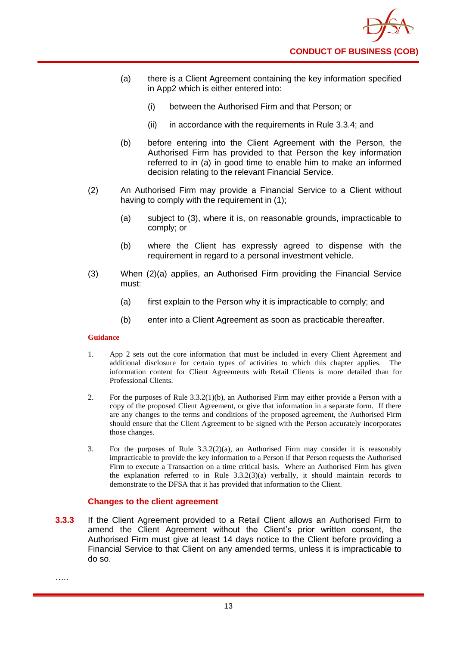

- (a) there is a Client Agreement containing the key information specified in App2 which is either entered into:
	- (i) between the Authorised Firm and that Person; or
	- (ii) in accordance with the requirements in Rule 3.3.4; and
- (b) before entering into the Client Agreement with the Person, the Authorised Firm has provided to that Person the key information referred to in (a) in good time to enable him to make an informed decision relating to the relevant Financial Service.
- (2) An Authorised Firm may provide a Financial Service to a Client without having to comply with the requirement in (1);
	- (a) subject to (3), where it is, on reasonable grounds, impracticable to comply; or
	- (b) where the Client has expressly agreed to dispense with the requirement in regard to a personal investment vehicle.
- (3) When (2)(a) applies, an Authorised Firm providing the Financial Service must:
	- (a) first explain to the Person why it is impracticable to comply; and
	- (b) enter into a Client Agreement as soon as practicable thereafter.

- 1. App 2 sets out the core information that must be included in every Client Agreement and additional disclosure for certain types of activities to which this chapter applies. The information content for Client Agreements with Retail Clients is more detailed than for Professional Clients.
- 2. For the purposes of Rule 3.3.2(1)(b), an Authorised Firm may either provide a Person with a copy of the proposed Client Agreement, or give that information in a separate form. If there are any changes to the terms and conditions of the proposed agreement, the Authorised Firm should ensure that the Client Agreement to be signed with the Person accurately incorporates those changes.
- 3. For the purposes of Rule  $3.3.2(2)(a)$ , an Authorised Firm may consider it is reasonably impracticable to provide the key information to a Person if that Person requests the Authorised Firm to execute a Transaction on a time critical basis. Where an Authorised Firm has given the explanation referred to in Rule  $3.3.2(3)(a)$  verbally, it should maintain records to demonstrate to the DFSA that it has provided that information to the Client.

#### **Changes to the client agreement**

**3.3.3** If the Client Agreement provided to a Retail Client allows an Authorised Firm to amend the Client Agreement without the Client's prior written consent, the Authorised Firm must give at least 14 days notice to the Client before providing a Financial Service to that Client on any amended terms, unless it is impracticable to do so.

……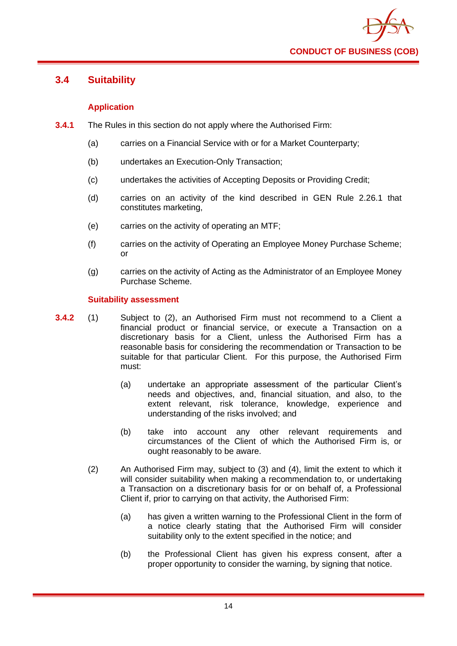

# **3.4 Suitability**

# **Application**

- **3.4.1** The Rules in this section do not apply where the Authorised Firm:
	- (a) carries on a Financial Service with or for a Market Counterparty;
	- (b) undertakes an Execution-Only Transaction;
	- (c) undertakes the activities of Accepting Deposits or Providing Credit;
	- (d) carries on an activity of the kind described in GEN Rule 2.26.1 that constitutes marketing,
	- (e) carries on the activity of operating an MTF;
	- (f) carries on the activity of Operating an Employee Money Purchase Scheme; or
	- (g) carries on the activity of Acting as the Administrator of an Employee Money Purchase Scheme.

#### **Suitability assessment**

- **3.4.2** (1) Subject to (2), an Authorised Firm must not recommend to a Client a financial product or financial service, or execute a Transaction on a discretionary basis for a Client, unless the Authorised Firm has a reasonable basis for considering the recommendation or Transaction to be suitable for that particular Client. For this purpose, the Authorised Firm must:
	- (a) undertake an appropriate assessment of the particular Client's needs and objectives, and, financial situation, and also, to the extent relevant, risk tolerance, knowledge, experience and understanding of the risks involved; and
	- (b) take into account any other relevant requirements and circumstances of the Client of which the Authorised Firm is, or ought reasonably to be aware.
	- (2) An Authorised Firm may, subject to (3) and (4), limit the extent to which it will consider suitability when making a recommendation to, or undertaking a Transaction on a discretionary basis for or on behalf of, a Professional Client if, prior to carrying on that activity, the Authorised Firm:
		- (a) has given a written warning to the Professional Client in the form of a notice clearly stating that the Authorised Firm will consider suitability only to the extent specified in the notice; and
		- (b) the Professional Client has given his express consent, after a proper opportunity to consider the warning, by signing that notice.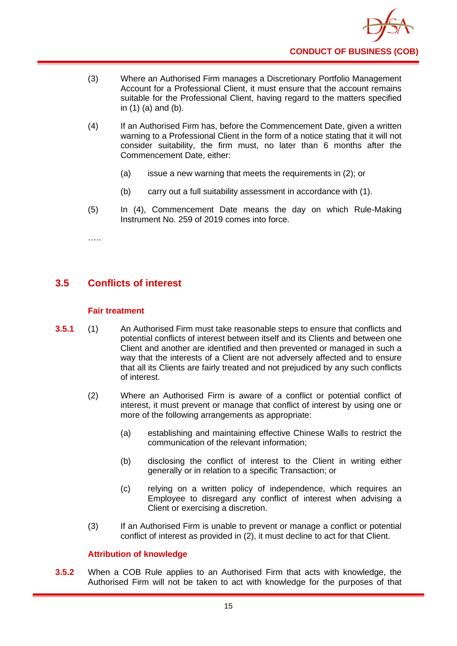

- (3) Where an Authorised Firm manages a Discretionary Portfolio Management Account for a Professional Client, it must ensure that the account remains suitable for the Professional Client, having regard to the matters specified in (1) (a) and (b).
- (4) If an Authorised Firm has, before the Commencement Date, given a written warning to a Professional Client in the form of a notice stating that it will not consider suitability, the firm must, no later than 6 months after the Commencement Date, either:
	- (a) issue a new warning that meets the requirements in (2); or
	- (b) carry out a full suitability assessment in accordance with (1).
- (5) In (4), Commencement Date means the day on which Rule-Making Instrument No. 259 of 2019 comes into force.

…..

# **3.5 Conflicts of interest**

## **Fair treatment**

- **3.5.1** (1) An Authorised Firm must take reasonable steps to ensure that conflicts and potential conflicts of interest between itself and its Clients and between one Client and another are identified and then prevented or managed in such a way that the interests of a Client are not adversely affected and to ensure that all its Clients are fairly treated and not prejudiced by any such conflicts of interest.
	- (2) Where an Authorised Firm is aware of a conflict or potential conflict of interest, it must prevent or manage that conflict of interest by using one or more of the following arrangements as appropriate:
		- (a) establishing and maintaining effective Chinese Walls to restrict the communication of the relevant information;
		- (b) disclosing the conflict of interest to the Client in writing either generally or in relation to a specific Transaction; or
		- (c) relying on a written policy of independence, which requires an Employee to disregard any conflict of interest when advising a Client or exercising a discretion.
	- (3) If an Authorised Firm is unable to prevent or manage a conflict or potential conflict of interest as provided in (2), it must decline to act for that Client.

# **Attribution of knowledge**

**3.5.2** When a COB Rule applies to an Authorised Firm that acts with knowledge, the Authorised Firm will not be taken to act with knowledge for the purposes of that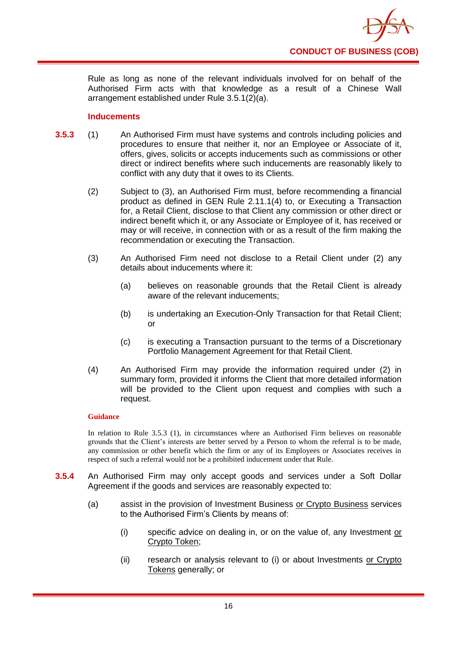

Rule as long as none of the relevant individuals involved for on behalf of the Authorised Firm acts with that knowledge as a result of a Chinese Wall arrangement established under Rule 3.5.1(2)(a).

## **Inducements**

- **3.5.3** (1) An Authorised Firm must have systems and controls including policies and procedures to ensure that neither it, nor an Employee or Associate of it, offers, gives, solicits or accepts inducements such as commissions or other direct or indirect benefits where such inducements are reasonably likely to conflict with any duty that it owes to its Clients.
	- (2) Subject to (3), an Authorised Firm must, before recommending a financial product as defined in GEN Rule 2.11.1(4) to, or Executing a Transaction for, a Retail Client, disclose to that Client any commission or other direct or indirect benefit which it, or any Associate or Employee of it, has received or may or will receive, in connection with or as a result of the firm making the recommendation or executing the Transaction.
	- (3) An Authorised Firm need not disclose to a Retail Client under (2) any details about inducements where it:
		- (a) believes on reasonable grounds that the Retail Client is already aware of the relevant inducements;
		- (b) is undertaking an Execution-Only Transaction for that Retail Client; or
		- (c) is executing a Transaction pursuant to the terms of a Discretionary Portfolio Management Agreement for that Retail Client.
	- (4) An Authorised Firm may provide the information required under (2) in summary form, provided it informs the Client that more detailed information will be provided to the Client upon request and complies with such a request.

## **Guidance**

In relation to Rule 3.5.3 (1), in circumstances where an Authorised Firm believes on reasonable grounds that the Client's interests are better served by a Person to whom the referral is to be made, any commission or other benefit which the firm or any of its Employees or Associates receives in respect of such a referral would not be a prohibited inducement under that Rule.

- **3.5.4** An Authorised Firm may only accept goods and services under a Soft Dollar Agreement if the goods and services are reasonably expected to:
	- (a) assist in the provision of Investment Business or Crypto Business services to the Authorised Firm's Clients by means of:
		- (i) specific advice on dealing in, or on the value of, any Investment or Crypto Token;
		- (ii) research or analysis relevant to (i) or about Investments or Crypto Tokens generally; or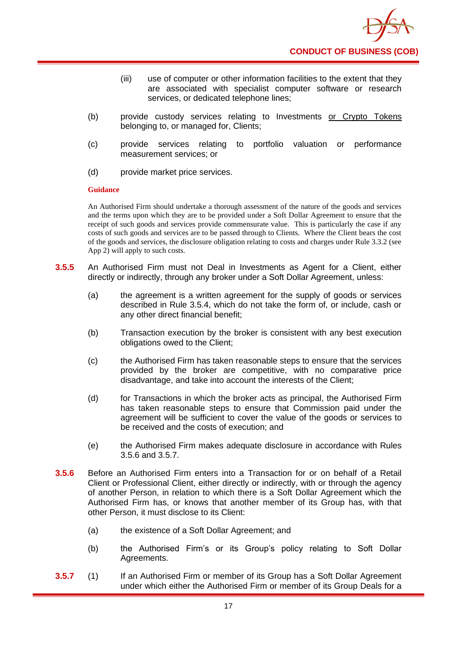

- (iii) use of computer or other information facilities to the extent that they are associated with specialist computer software or research services, or dedicated telephone lines;
- (b) provide custody services relating to Investments or Crypto Tokens belonging to, or managed for, Clients;
- (c) provide services relating to portfolio valuation or performance measurement services; or
- (d) provide market price services.

An Authorised Firm should undertake a thorough assessment of the nature of the goods and services and the terms upon which they are to be provided under a Soft Dollar Agreement to ensure that the receipt of such goods and services provide commensurate value. This is particularly the case if any costs of such goods and services are to be passed through to Clients. Where the Client bears the cost of the goods and services, the disclosure obligation relating to costs and charges under Rule 3.3.2 (see App 2) will apply to such costs.

- **3.5.5** An Authorised Firm must not Deal in Investments as Agent for a Client, either directly or indirectly, through any broker under a Soft Dollar Agreement, unless:
	- (a) the agreement is a written agreement for the supply of goods or services described in Rule 3.5.4, which do not take the form of, or include, cash or any other direct financial benefit;
	- (b) Transaction execution by the broker is consistent with any best execution obligations owed to the Client;
	- (c) the Authorised Firm has taken reasonable steps to ensure that the services provided by the broker are competitive, with no comparative price disadvantage, and take into account the interests of the Client;
	- (d) for Transactions in which the broker acts as principal, the Authorised Firm has taken reasonable steps to ensure that Commission paid under the agreement will be sufficient to cover the value of the goods or services to be received and the costs of execution; and
	- (e) the Authorised Firm makes adequate disclosure in accordance with Rules 3.5.6 and 3.5.7.
- **3.5.6** Before an Authorised Firm enters into a Transaction for or on behalf of a Retail Client or Professional Client, either directly or indirectly, with or through the agency of another Person, in relation to which there is a Soft Dollar Agreement which the Authorised Firm has, or knows that another member of its Group has, with that other Person, it must disclose to its Client:
	- (a) the existence of a Soft Dollar Agreement; and
	- (b) the Authorised Firm's or its Group's policy relating to Soft Dollar Agreements.
- **3.5.7** (1) If an Authorised Firm or member of its Group has a Soft Dollar Agreement under which either the Authorised Firm or member of its Group Deals for a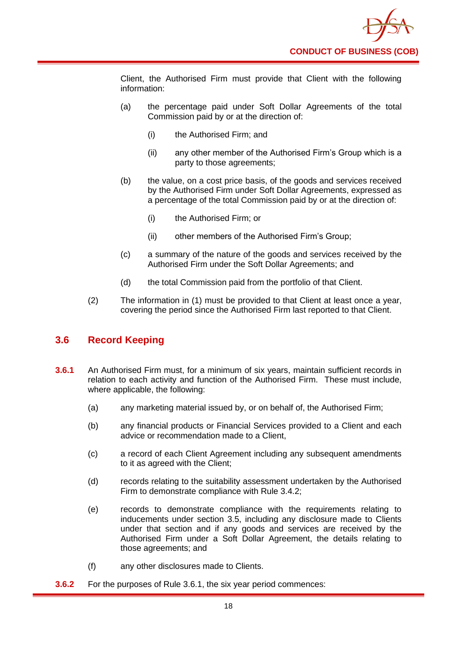

Client, the Authorised Firm must provide that Client with the following information:

- (a) the percentage paid under Soft Dollar Agreements of the total Commission paid by or at the direction of:
	- (i) the Authorised Firm; and
	- (ii) any other member of the Authorised Firm's Group which is a party to those agreements;
- (b) the value, on a cost price basis, of the goods and services received by the Authorised Firm under Soft Dollar Agreements, expressed as a percentage of the total Commission paid by or at the direction of:
	- (i) the Authorised Firm; or
	- (ii) other members of the Authorised Firm's Group;
- (c) a summary of the nature of the goods and services received by the Authorised Firm under the Soft Dollar Agreements; and
- (d) the total Commission paid from the portfolio of that Client.
- (2) The information in (1) must be provided to that Client at least once a year, covering the period since the Authorised Firm last reported to that Client.

# **3.6 Record Keeping**

- **3.6.1** An Authorised Firm must, for a minimum of six years, maintain sufficient records in relation to each activity and function of the Authorised Firm. These must include, where applicable, the following:
	- (a) any marketing material issued by, or on behalf of, the Authorised Firm;
	- (b) any financial products or Financial Services provided to a Client and each advice or recommendation made to a Client,
	- (c) a record of each Client Agreement including any subsequent amendments to it as agreed with the Client;
	- (d) records relating to the suitability assessment undertaken by the Authorised Firm to demonstrate compliance with Rule 3.4.2;
	- (e) records to demonstrate compliance with the requirements relating to inducements under section 3.5, including any disclosure made to Clients under that section and if any goods and services are received by the Authorised Firm under a Soft Dollar Agreement, the details relating to those agreements; and
	- (f) any other disclosures made to Clients.
- **3.6.2** For the purposes of Rule 3.6.1, the six year period commences: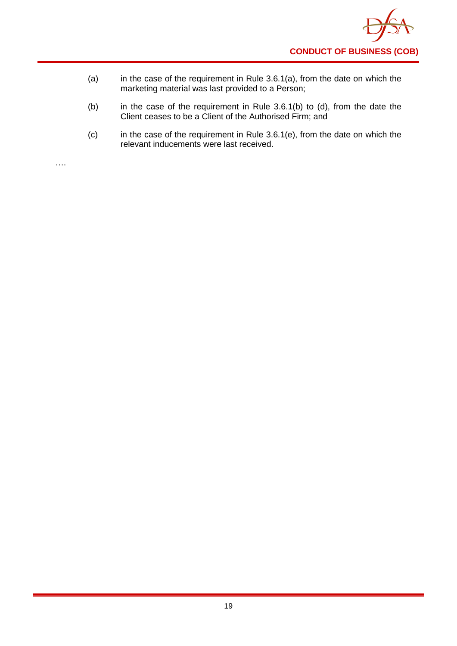

- (a) in the case of the requirement in Rule 3.6.1(a), from the date on which the marketing material was last provided to a Person;
- (b) in the case of the requirement in Rule 3.6.1(b) to (d), from the date the Client ceases to be a Client of the Authorised Firm; and
- (c) in the case of the requirement in Rule 3.6.1(e), from the date on which the relevant inducements were last received.

….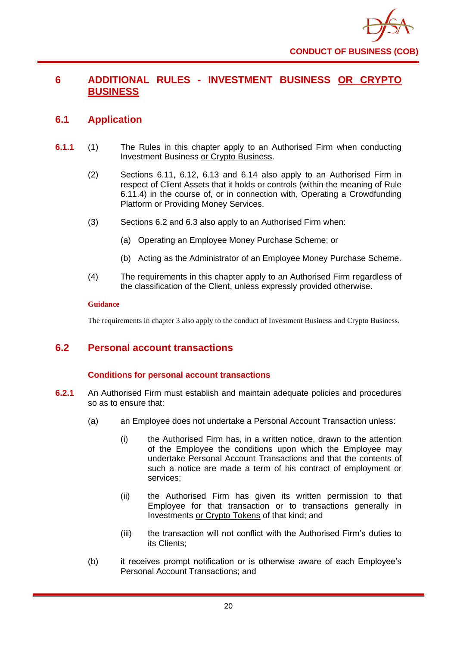

# **6 ADDITIONAL RULES - INVESTMENT BUSINESS OR CRYPTO BUSINESS**

# **6.1 Application**

- **6.1.1** (1) The Rules in this chapter apply to an Authorised Firm when conducting Investment Business or Crypto Business.
	- (2) Sections 6.11, 6.12, 6.13 and 6.14 also apply to an Authorised Firm in respect of Client Assets that it holds or controls (within the meaning of Rule 6.11.4) in the course of, or in connection with, Operating a Crowdfunding Platform or Providing Money Services.
	- (3) Sections 6.2 and 6.3 also apply to an Authorised Firm when:
		- (a) Operating an Employee Money Purchase Scheme; or
		- (b) Acting as the Administrator of an Employee Money Purchase Scheme.
	- (4) The requirements in this chapter apply to an Authorised Firm regardless of the classification of the Client, unless expressly provided otherwise.

#### **Guidance**

The requirements in chapter 3 also apply to the conduct of Investment Business and Crypto Business.

# **6.2 Personal account transactions**

# **Conditions for personal account transactions**

- **6.2.1** An Authorised Firm must establish and maintain adequate policies and procedures so as to ensure that:
	- (a) an Employee does not undertake a Personal Account Transaction unless:
		- (i) the Authorised Firm has, in a written notice, drawn to the attention of the Employee the conditions upon which the Employee may undertake Personal Account Transactions and that the contents of such a notice are made a term of his contract of employment or services;
		- (ii) the Authorised Firm has given its written permission to that Employee for that transaction or to transactions generally in Investments or Crypto Tokens of that kind; and
		- (iii) the transaction will not conflict with the Authorised Firm's duties to its Clients;
	- (b) it receives prompt notification or is otherwise aware of each Employee's Personal Account Transactions; and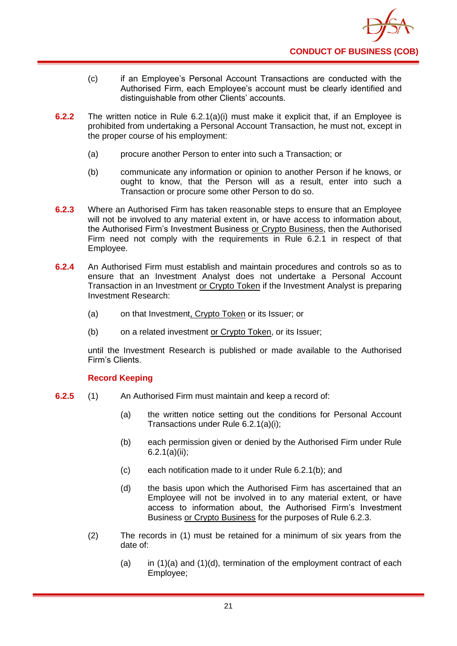

- (c) if an Employee's Personal Account Transactions are conducted with the Authorised Firm, each Employee's account must be clearly identified and distinguishable from other Clients' accounts.
- **6.2.2** The written notice in Rule 6.2.1(a)(i) must make it explicit that, if an Employee is prohibited from undertaking a Personal Account Transaction, he must not, except in the proper course of his employment:
	- (a) procure another Person to enter into such a Transaction; or
	- (b) communicate any information or opinion to another Person if he knows, or ought to know, that the Person will as a result, enter into such a Transaction or procure some other Person to do so.
- **6.2.3** Where an Authorised Firm has taken reasonable steps to ensure that an Employee will not be involved to any material extent in, or have access to information about, the Authorised Firm's Investment Business or Crypto Business, then the Authorised Firm need not comply with the requirements in Rule 6.2.1 in respect of that Employee.
- **6.2.4** An Authorised Firm must establish and maintain procedures and controls so as to ensure that an Investment Analyst does not undertake a Personal Account Transaction in an Investment or Crypto Token if the Investment Analyst is preparing Investment Research:
	- (a) on that Investment, Crypto Token or its Issuer; or
	- (b) on a related investment or Crypto Token, or its Issuer;

until the Investment Research is published or made available to the Authorised Firm's Clients.

# **Record Keeping**

- **6.2.5** (1) An Authorised Firm must maintain and keep a record of:
	- (a) the written notice setting out the conditions for Personal Account Transactions under Rule 6.2.1(a)(i);
	- (b) each permission given or denied by the Authorised Firm under Rule 6.2.1(a)(ii);
	- (c) each notification made to it under Rule 6.2.1(b); and
	- (d) the basis upon which the Authorised Firm has ascertained that an Employee will not be involved in to any material extent, or have access to information about, the Authorised Firm's Investment Business or Crypto Business for the purposes of Rule 6.2.3.
	- (2) The records in (1) must be retained for a minimum of six years from the date of:
		- (a) in  $(1)(a)$  and  $(1)(d)$ , termination of the employment contract of each Employee;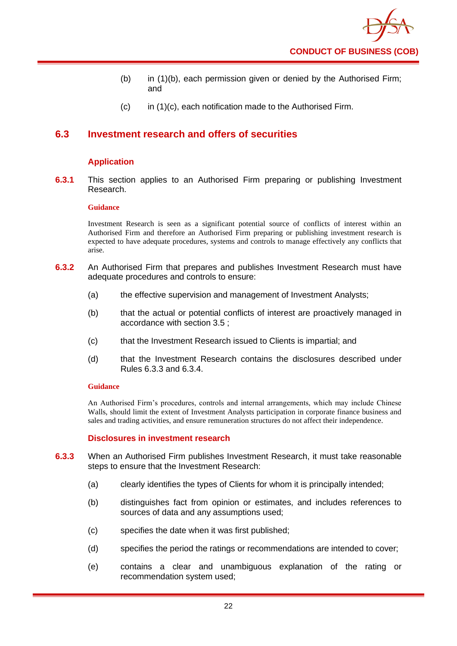- (b) in (1)(b), each permission given or denied by the Authorised Firm; and
- $(c)$  in  $(1)(c)$ , each notification made to the Authorised Firm.

# **6.3 Investment research and offers of securities**

# **Application**

**6.3.1** This section applies to an Authorised Firm preparing or publishing Investment Research.

#### **Guidance**

Investment Research is seen as a significant potential source of conflicts of interest within an Authorised Firm and therefore an Authorised Firm preparing or publishing investment research is expected to have adequate procedures, systems and controls to manage effectively any conflicts that arise.

- **6.3.2** An Authorised Firm that prepares and publishes Investment Research must have adequate procedures and controls to ensure:
	- (a) the effective supervision and management of Investment Analysts;
	- (b) that the actual or potential conflicts of interest are proactively managed in accordance with section 3.5 ;
	- (c) that the Investment Research issued to Clients is impartial; and
	- (d) that the Investment Research contains the disclosures described under Rules 6.3.3 and 6.3.4.

#### **Guidance**

An Authorised Firm's procedures, controls and internal arrangements, which may include Chinese Walls, should limit the extent of Investment Analysts participation in corporate finance business and sales and trading activities, and ensure remuneration structures do not affect their independence.

#### **Disclosures in investment research**

- **6.3.3** When an Authorised Firm publishes Investment Research, it must take reasonable steps to ensure that the Investment Research:
	- (a) clearly identifies the types of Clients for whom it is principally intended;
	- (b) distinguishes fact from opinion or estimates, and includes references to sources of data and any assumptions used;
	- (c) specifies the date when it was first published;
	- (d) specifies the period the ratings or recommendations are intended to cover;
	- (e) contains a clear and unambiguous explanation of the rating or recommendation system used;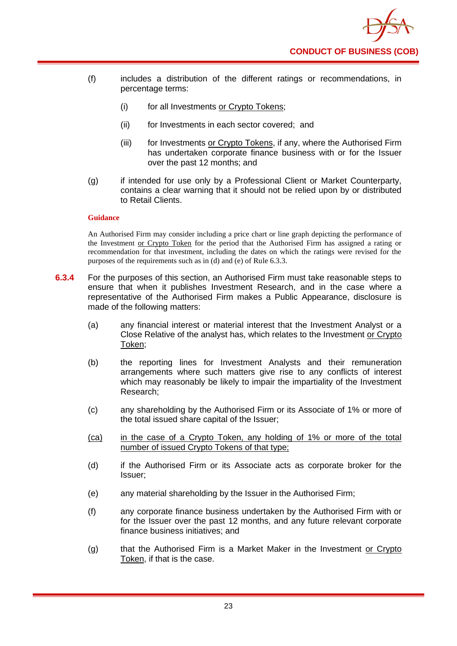

- (f) includes a distribution of the different ratings or recommendations, in percentage terms:
	- (i) for all Investments or Crypto Tokens;
	- (ii) for Investments in each sector covered; and
	- (iii) for Investments or Crypto Tokens, if any, where the Authorised Firm has undertaken corporate finance business with or for the Issuer over the past 12 months; and
- (g) if intended for use only by a Professional Client or Market Counterparty, contains a clear warning that it should not be relied upon by or distributed to Retail Clients.

An Authorised Firm may consider including a price chart or line graph depicting the performance of the Investment or Crypto Token for the period that the Authorised Firm has assigned a rating or recommendation for that investment, including the dates on which the ratings were revised for the purposes of the requirements such as in (d) and (e) of Rule 6.3.3.

- **6.3.4** For the purposes of this section, an Authorised Firm must take reasonable steps to ensure that when it publishes Investment Research, and in the case where a representative of the Authorised Firm makes a Public Appearance, disclosure is made of the following matters:
	- (a) any financial interest or material interest that the Investment Analyst or a Close Relative of the analyst has, which relates to the Investment or Crypto Token;
	- (b) the reporting lines for Investment Analysts and their remuneration arrangements where such matters give rise to any conflicts of interest which may reasonably be likely to impair the impartiality of the Investment Research;
	- (c) any shareholding by the Authorised Firm or its Associate of 1% or more of the total issued share capital of the Issuer;
	- (ca) in the case of a Crypto Token, any holding of 1% or more of the total number of issued Crypto Tokens of that type;
	- (d) if the Authorised Firm or its Associate acts as corporate broker for the Issuer;
	- (e) any material shareholding by the Issuer in the Authorised Firm;
	- (f) any corporate finance business undertaken by the Authorised Firm with or for the Issuer over the past 12 months, and any future relevant corporate finance business initiatives; and
	- (g) that the Authorised Firm is a Market Maker in the Investment or Crypto Token, if that is the case.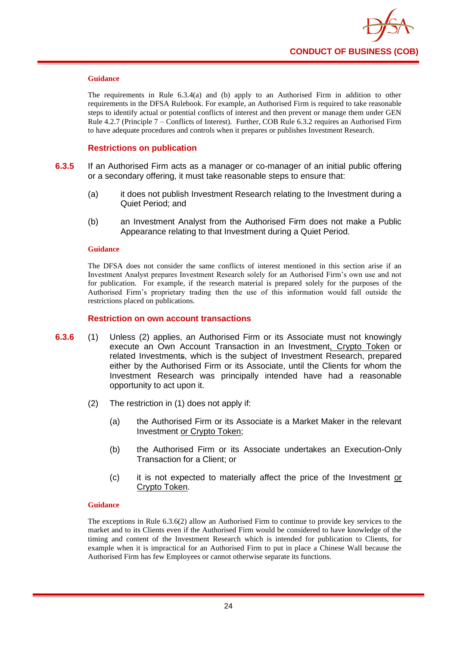

The requirements in Rule 6.3.4(a) and (b) apply to an Authorised Firm in addition to other requirements in the DFSA Rulebook. For example, an Authorised Firm is required to take reasonable steps to identify actual or potential conflicts of interest and then prevent or manage them under GEN Rule 4.2.7 (Principle 7 – Conflicts of Interest). Further, COB Rule 6.3.2 requires an Authorised Firm to have adequate procedures and controls when it prepares or publishes Investment Research.

#### **Restrictions on publication**

- **6.3.5** If an Authorised Firm acts as a manager or co-manager of an initial public offering or a secondary offering, it must take reasonable steps to ensure that:
	- (a) it does not publish Investment Research relating to the Investment during a Quiet Period; and
	- (b) an Investment Analyst from the Authorised Firm does not make a Public Appearance relating to that Investment during a Quiet Period.

#### **Guidance**

The DFSA does not consider the same conflicts of interest mentioned in this section arise if an Investment Analyst prepares Investment Research solely for an Authorised Firm's own use and not for publication. For example, if the research material is prepared solely for the purposes of the Authorised Firm's proprietary trading then the use of this information would fall outside the restrictions placed on publications.

#### **Restriction on own account transactions**

- **6.3.6** (1) Unless (2) applies, an Authorised Firm or its Associate must not knowingly execute an Own Account Transaction in an Investment, Crypto Token or related Investments, which is the subject of Investment Research, prepared either by the Authorised Firm or its Associate, until the Clients for whom the Investment Research was principally intended have had a reasonable opportunity to act upon it.
	- (2) The restriction in (1) does not apply if:
		- (a) the Authorised Firm or its Associate is a Market Maker in the relevant Investment or Crypto Token;
		- (b) the Authorised Firm or its Associate undertakes an Execution-Only Transaction for a Client; or
		- (c) it is not expected to materially affect the price of the Investment or Crypto Token.

#### **Guidance**

The exceptions in Rule 6.3.6(2) allow an Authorised Firm to continue to provide key services to the market and to its Clients even if the Authorised Firm would be considered to have knowledge of the timing and content of the Investment Research which is intended for publication to Clients, for example when it is impractical for an Authorised Firm to put in place a Chinese Wall because the Authorised Firm has few Employees or cannot otherwise separate its functions.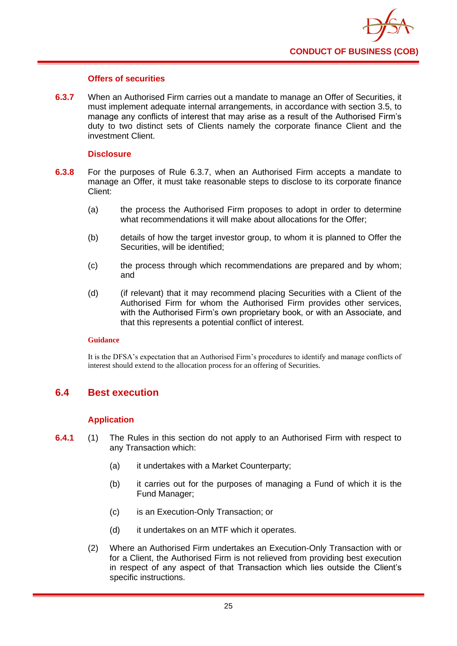

## **Offers of securities**

**6.3.7** When an Authorised Firm carries out a mandate to manage an Offer of Securities, it must implement adequate internal arrangements, in accordance with section 3.5, to manage any conflicts of interest that may arise as a result of the Authorised Firm's duty to two distinct sets of Clients namely the corporate finance Client and the investment Client.

### **Disclosure**

- **6.3.8** For the purposes of Rule 6.3.7, when an Authorised Firm accepts a mandate to manage an Offer, it must take reasonable steps to disclose to its corporate finance Client:
	- (a) the process the Authorised Firm proposes to adopt in order to determine what recommendations it will make about allocations for the Offer;
	- (b) details of how the target investor group, to whom it is planned to Offer the Securities, will be identified;
	- (c) the process through which recommendations are prepared and by whom; and
	- (d) (if relevant) that it may recommend placing Securities with a Client of the Authorised Firm for whom the Authorised Firm provides other services, with the Authorised Firm's own proprietary book, or with an Associate, and that this represents a potential conflict of interest.

#### **Guidance**

It is the DFSA's expectation that an Authorised Firm's procedures to identify and manage conflicts of interest should extend to the allocation process for an offering of Securities.

# **6.4 Best execution**

# **Application**

- **6.4.1** (1) The Rules in this section do not apply to an Authorised Firm with respect to any Transaction which:
	- (a) it undertakes with a Market Counterparty;
	- (b) it carries out for the purposes of managing a Fund of which it is the Fund Manager;
	- (c) is an Execution-Only Transaction; or
	- (d) it undertakes on an MTF which it operates.
	- (2) Where an Authorised Firm undertakes an Execution-Only Transaction with or for a Client, the Authorised Firm is not relieved from providing best execution in respect of any aspect of that Transaction which lies outside the Client's specific instructions.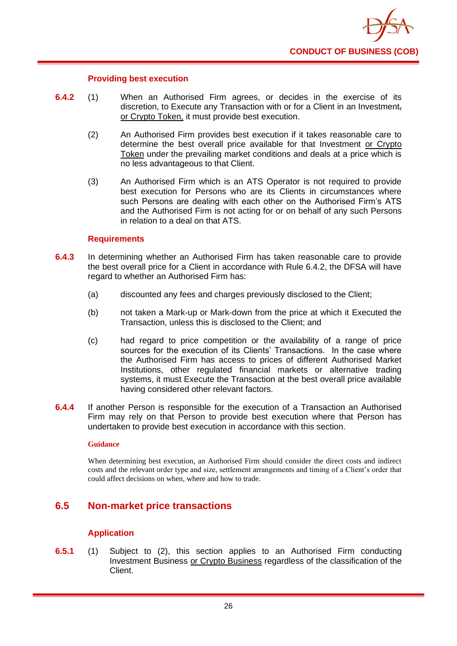

#### **Providing best execution**

- **6.4.2** (1) When an Authorised Firm agrees, or decides in the exercise of its discretion, to Execute any Transaction with or for a Client in an Investment, or Crypto Token, it must provide best execution.
	- (2) An Authorised Firm provides best execution if it takes reasonable care to determine the best overall price available for that Investment or Crypto Token under the prevailing market conditions and deals at a price which is no less advantageous to that Client.
	- (3) An Authorised Firm which is an ATS Operator is not required to provide best execution for Persons who are its Clients in circumstances where such Persons are dealing with each other on the Authorised Firm's ATS and the Authorised Firm is not acting for or on behalf of any such Persons in relation to a deal on that ATS.

#### **Requirements**

- **6.4.3** In determining whether an Authorised Firm has taken reasonable care to provide the best overall price for a Client in accordance with Rule 6.4.2, the DFSA will have regard to whether an Authorised Firm has:
	- (a) discounted any fees and charges previously disclosed to the Client;
	- (b) not taken a Mark-up or Mark-down from the price at which it Executed the Transaction, unless this is disclosed to the Client; and
	- (c) had regard to price competition or the availability of a range of price sources for the execution of its Clients' Transactions. In the case where the Authorised Firm has access to prices of different Authorised Market Institutions, other regulated financial markets or alternative trading systems, it must Execute the Transaction at the best overall price available having considered other relevant factors.
- **6.4.4** If another Person is responsible for the execution of a Transaction an Authorised Firm may rely on that Person to provide best execution where that Person has undertaken to provide best execution in accordance with this section.

#### **Guidance**

When determining best execution, an Authorised Firm should consider the direct costs and indirect costs and the relevant order type and size, settlement arrangements and timing of a Client's order that could affect decisions on when, where and how to trade.

# **6.5 Non-market price transactions**

#### **Application**

**6.5.1** (1) Subject to (2), this section applies to an Authorised Firm conducting Investment Business or Crypto Business regardless of the classification of the Client.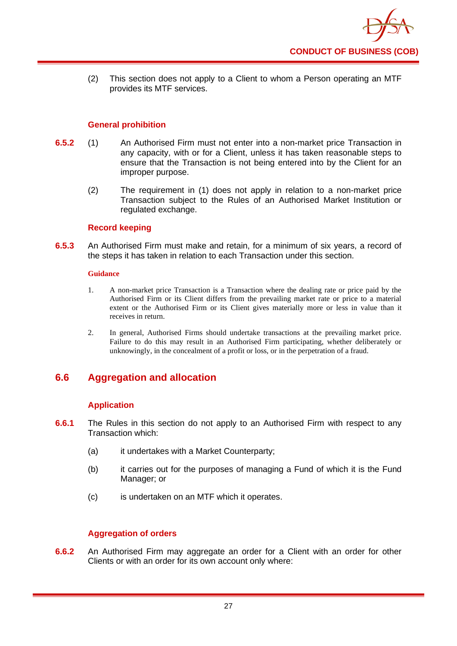

(2) This section does not apply to a Client to whom a Person operating an MTF provides its MTF services.

## **General prohibition**

- **6.5.2** (1) An Authorised Firm must not enter into a non-market price Transaction in any capacity, with or for a Client, unless it has taken reasonable steps to ensure that the Transaction is not being entered into by the Client for an improper purpose.
	- (2) The requirement in (1) does not apply in relation to a non-market price Transaction subject to the Rules of an Authorised Market Institution or regulated exchange.

#### **Record keeping**

**6.5.3** An Authorised Firm must make and retain, for a minimum of six years, a record of the steps it has taken in relation to each Transaction under this section.

#### **Guidance**

- 1. A non-market price Transaction is a Transaction where the dealing rate or price paid by the Authorised Firm or its Client differs from the prevailing market rate or price to a material extent or the Authorised Firm or its Client gives materially more or less in value than it receives in return.
- 2. In general, Authorised Firms should undertake transactions at the prevailing market price. Failure to do this may result in an Authorised Firm participating, whether deliberately or unknowingly, in the concealment of a profit or loss, or in the perpetration of a fraud.

# **6.6 Aggregation and allocation**

#### **Application**

- **6.6.1** The Rules in this section do not apply to an Authorised Firm with respect to any Transaction which:
	- (a) it undertakes with a Market Counterparty;
	- (b) it carries out for the purposes of managing a Fund of which it is the Fund Manager; or
	- (c) is undertaken on an MTF which it operates.

# **Aggregation of orders**

**6.6.2** An Authorised Firm may aggregate an order for a Client with an order for other Clients or with an order for its own account only where: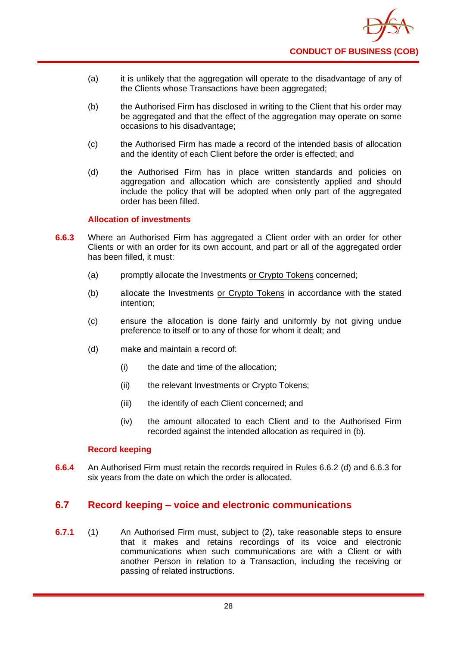

- (a) it is unlikely that the aggregation will operate to the disadvantage of any of the Clients whose Transactions have been aggregated;
- (b) the Authorised Firm has disclosed in writing to the Client that his order may be aggregated and that the effect of the aggregation may operate on some occasions to his disadvantage;
- (c) the Authorised Firm has made a record of the intended basis of allocation and the identity of each Client before the order is effected; and
- (d) the Authorised Firm has in place written standards and policies on aggregation and allocation which are consistently applied and should include the policy that will be adopted when only part of the aggregated order has been filled.

## **Allocation of investments**

- **6.6.3** Where an Authorised Firm has aggregated a Client order with an order for other Clients or with an order for its own account, and part or all of the aggregated order has been filled, it must:
	- (a) promptly allocate the Investments or Crypto Tokens concerned;
	- (b) allocate the Investments or Crypto Tokens in accordance with the stated intention;
	- (c) ensure the allocation is done fairly and uniformly by not giving undue preference to itself or to any of those for whom it dealt; and
	- (d) make and maintain a record of:
		- (i) the date and time of the allocation;
		- (ii) the relevant Investments or Crypto Tokens;
		- (iii) the identify of each Client concerned; and
		- (iv) the amount allocated to each Client and to the Authorised Firm recorded against the intended allocation as required in (b).

#### **Record keeping**

**6.6.4** An Authorised Firm must retain the records required in Rules 6.6.2 (d) and 6.6.3 for six years from the date on which the order is allocated.

# **6.7 Record keeping – voice and electronic communications**

**6.7.1** (1) An Authorised Firm must, subject to (2), take reasonable steps to ensure that it makes and retains recordings of its voice and electronic communications when such communications are with a Client or with another Person in relation to a Transaction, including the receiving or passing of related instructions.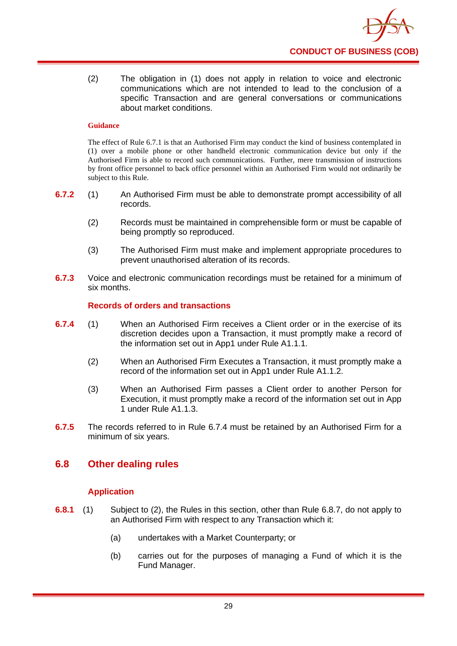

(2) The obligation in (1) does not apply in relation to voice and electronic communications which are not intended to lead to the conclusion of a specific Transaction and are general conversations or communications about market conditions.

#### **Guidance**

The effect of Rule 6.7.1 is that an Authorised Firm may conduct the kind of business contemplated in (1) over a mobile phone or other handheld electronic communication device but only if the Authorised Firm is able to record such communications. Further, mere transmission of instructions by front office personnel to back office personnel within an Authorised Firm would not ordinarily be subject to this Rule.

- **6.7.2** (1) An Authorised Firm must be able to demonstrate prompt accessibility of all records.
	- (2) Records must be maintained in comprehensible form or must be capable of being promptly so reproduced.
	- (3) The Authorised Firm must make and implement appropriate procedures to prevent unauthorised alteration of its records.
- **6.7.3** Voice and electronic communication recordings must be retained for a minimum of six months.

# **Records of orders and transactions**

- **6.7.4** (1) When an Authorised Firm receives a Client order or in the exercise of its discretion decides upon a Transaction, it must promptly make a record of the information set out in App1 under Rule A1.1.1.
	- (2) When an Authorised Firm Executes a Transaction, it must promptly make a record of the information set out in App1 under Rule A1.1.2.
	- (3) When an Authorised Firm passes a Client order to another Person for Execution, it must promptly make a record of the information set out in App 1 under Rule A1.1.3.
- **6.7.5** The records referred to in Rule 6.7.4 must be retained by an Authorised Firm for a minimum of six years.

# **6.8 Other dealing rules**

# **Application**

- **6.8.1** (1) Subject to (2), the Rules in this section, other than Rule 6.8.7, do not apply to an Authorised Firm with respect to any Transaction which it:
	- (a) undertakes with a Market Counterparty; or
	- (b) carries out for the purposes of managing a Fund of which it is the Fund Manager.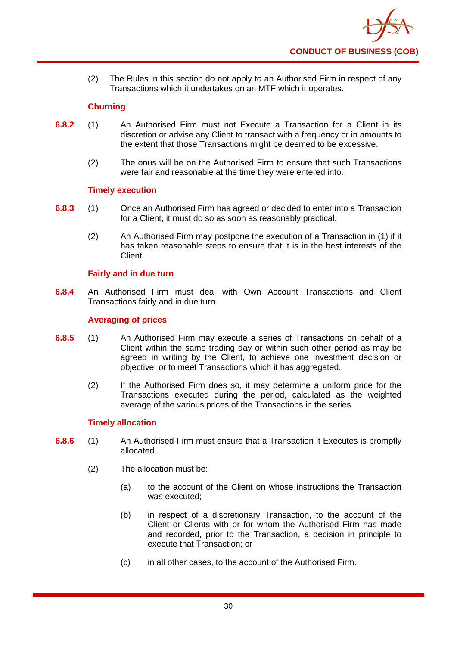

(2) The Rules in this section do not apply to an Authorised Firm in respect of any Transactions which it undertakes on an MTF which it operates.

# **Churning**

- **6.8.2** (1) An Authorised Firm must not Execute a Transaction for a Client in its discretion or advise any Client to transact with a frequency or in amounts to the extent that those Transactions might be deemed to be excessive.
	- (2) The onus will be on the Authorised Firm to ensure that such Transactions were fair and reasonable at the time they were entered into.

## **Timely execution**

- **6.8.3** (1) Once an Authorised Firm has agreed or decided to enter into a Transaction for a Client, it must do so as soon as reasonably practical.
	- (2) An Authorised Firm may postpone the execution of a Transaction in (1) if it has taken reasonable steps to ensure that it is in the best interests of the Client.

# **Fairly and in due turn**

**6.8.4** An Authorised Firm must deal with Own Account Transactions and Client Transactions fairly and in due turn.

## **Averaging of prices**

- **6.8.5** (1) An Authorised Firm may execute a series of Transactions on behalf of a Client within the same trading day or within such other period as may be agreed in writing by the Client, to achieve one investment decision or objective, or to meet Transactions which it has aggregated.
	- (2) If the Authorised Firm does so, it may determine a uniform price for the Transactions executed during the period, calculated as the weighted average of the various prices of the Transactions in the series.

#### **Timely allocation**

- **6.8.6** (1) An Authorised Firm must ensure that a Transaction it Executes is promptly allocated.
	- (2) The allocation must be:
		- (a) to the account of the Client on whose instructions the Transaction was executed;
		- (b) in respect of a discretionary Transaction, to the account of the Client or Clients with or for whom the Authorised Firm has made and recorded, prior to the Transaction, a decision in principle to execute that Transaction; or
		- (c) in all other cases, to the account of the Authorised Firm.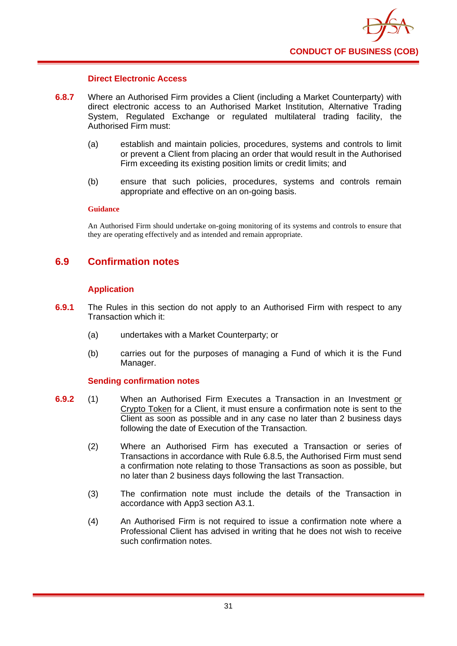

#### **Direct Electronic Access**

- **6.8.7** Where an Authorised Firm provides a Client (including a Market Counterparty) with direct electronic access to an Authorised Market Institution, Alternative Trading System, Regulated Exchange or regulated multilateral trading facility, the Authorised Firm must:
	- (a) establish and maintain policies, procedures, systems and controls to limit or prevent a Client from placing an order that would result in the Authorised Firm exceeding its existing position limits or credit limits; and
	- (b) ensure that such policies, procedures, systems and controls remain appropriate and effective on an on-going basis.

#### **Guidance**

An Authorised Firm should undertake on-going monitoring of its systems and controls to ensure that they are operating effectively and as intended and remain appropriate.

# **6.9 Confirmation notes**

## **Application**

- **6.9.1** The Rules in this section do not apply to an Authorised Firm with respect to any Transaction which it:
	- (a) undertakes with a Market Counterparty; or
	- (b) carries out for the purposes of managing a Fund of which it is the Fund Manager.

# **Sending confirmation notes**

- **6.9.2** (1) When an Authorised Firm Executes a Transaction in an Investment or Crypto Token for a Client, it must ensure a confirmation note is sent to the Client as soon as possible and in any case no later than 2 business days following the date of Execution of the Transaction.
	- (2) Where an Authorised Firm has executed a Transaction or series of Transactions in accordance with Rule 6.8.5, the Authorised Firm must send a confirmation note relating to those Transactions as soon as possible, but no later than 2 business days following the last Transaction.
	- (3) The confirmation note must include the details of the Transaction in accordance with App3 section A3.1.
	- (4) An Authorised Firm is not required to issue a confirmation note where a Professional Client has advised in writing that he does not wish to receive such confirmation notes.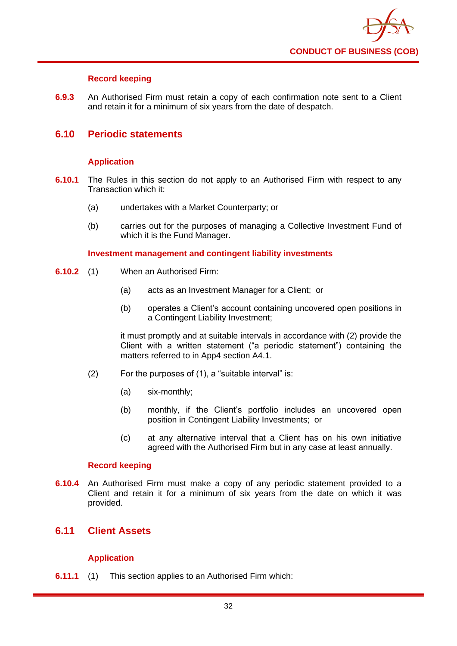

# **Record keeping**

**6.9.3** An Authorised Firm must retain a copy of each confirmation note sent to a Client and retain it for a minimum of six years from the date of despatch.

# **6.10 Periodic statements**

## **Application**

- **6.10.1** The Rules in this section do not apply to an Authorised Firm with respect to any Transaction which it:
	- (a) undertakes with a Market Counterparty; or
	- (b) carries out for the purposes of managing a Collective Investment Fund of which it is the Fund Manager.

#### **Investment management and contingent liability investments**

- **6.10.2** (1) When an Authorised Firm:
	- (a) acts as an Investment Manager for a Client; or
	- (b) operates a Client's account containing uncovered open positions in a Contingent Liability Investment;

it must promptly and at suitable intervals in accordance with (2) provide the Client with a written statement ("a periodic statement") containing the matters referred to in App4 section A4.1.

- (2) For the purposes of (1), a "suitable interval" is:
	- (a) six-monthly;
	- (b) monthly, if the Client's portfolio includes an uncovered open position in Contingent Liability Investments; or
	- (c) at any alternative interval that a Client has on his own initiative agreed with the Authorised Firm but in any case at least annually.

#### **Record keeping**

**6.10.4** An Authorised Firm must make a copy of any periodic statement provided to a Client and retain it for a minimum of six years from the date on which it was provided.

# **6.11 Client Assets**

# **Application**

**6.11.1** (1) This section applies to an Authorised Firm which: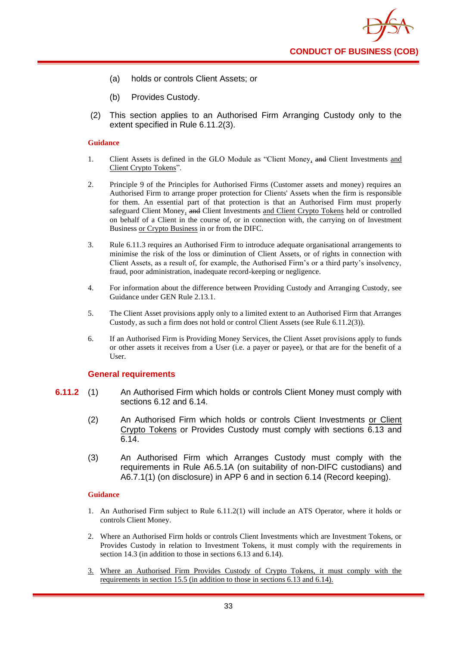- (a) holds or controls Client Assets; or
- (b) Provides Custody.
- (2) This section applies to an Authorised Firm Arranging Custody only to the extent specified in Rule 6.11.2(3).

- 1. Client Assets is defined in the GLO Module as "Client Money, and Client Investments and Client Crypto Tokens".
- 2. Principle 9 of the Principles for Authorised Firms (Customer assets and money) requires an Authorised Firm to arrange proper protection for Clients' Assets when the firm is responsible for them. An essential part of that protection is that an Authorised Firm must properly safeguard Client Money, and Client Investments and Client Crypto Tokens held or controlled on behalf of a Client in the course of, or in connection with, the carrying on of Investment Business or Crypto Business in or from the DIFC.
- 3. Rule 6.11.3 requires an Authorised Firm to introduce adequate organisational arrangements to minimise the risk of the loss or diminution of Client Assets, or of rights in connection with Client Assets, as a result of, for example, the Authorised Firm's or a third party's insolvency, fraud, poor administration, inadequate record-keeping or negligence.
- 4. For information about the difference between Providing Custody and Arranging Custody, see Guidance under GEN Rule 2.13.1.
- 5. The Client Asset provisions apply only to a limited extent to an Authorised Firm that Arranges Custody, as such a firm does not hold or control Client Assets (see Rule 6.11.2(3)).
- 6. If an Authorised Firm is Providing Money Services, the Client Asset provisions apply to funds or other assets it receives from a User (i.e. a payer or payee), or that are for the benefit of a User.

#### **General requirements**

- **6.11.2** (1) An Authorised Firm which holds or controls Client Money must comply with sections 6.12 and 6.14.
	- (2) An Authorised Firm which holds or controls Client Investments or Client Crypto Tokens or Provides Custody must comply with sections 6.13 and 6.14.
	- (3) An Authorised Firm which Arranges Custody must comply with the requirements in Rule A6.5.1A (on suitability of non-DIFC custodians) and A6.7.1(1) (on disclosure) in APP 6 and in section 6.14 (Record keeping).

- 1. An Authorised Firm subject to Rule 6.11.2(1) will include an ATS Operator, where it holds or controls Client Money.
- 2. Where an Authorised Firm holds or controls Client Investments which are Investment Tokens, or Provides Custody in relation to Investment Tokens, it must comply with the requirements in section 14.3 (in addition to those in sections 6.13 and 6.14).
- 3. Where an Authorised Firm Provides Custody of Crypto Tokens, it must comply with the requirements in section 15.5 (in addition to those in sections 6.13 and 6.14).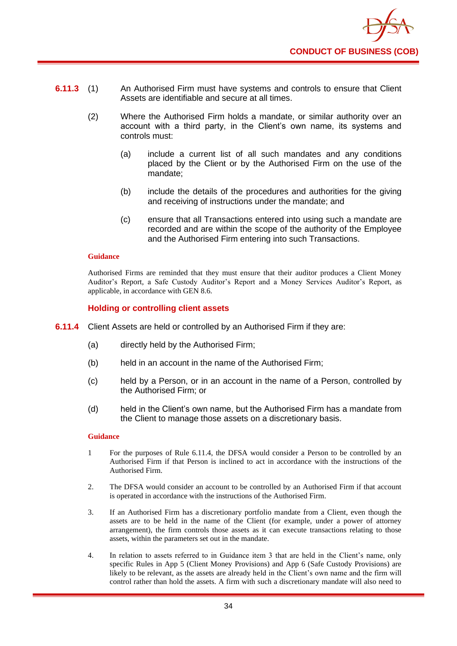- **6.11.3** (1) An Authorised Firm must have systems and controls to ensure that Client Assets are identifiable and secure at all times.
	- (2) Where the Authorised Firm holds a mandate, or similar authority over an account with a third party, in the Client's own name, its systems and controls must:
		- (a) include a current list of all such mandates and any conditions placed by the Client or by the Authorised Firm on the use of the mandate;
		- (b) include the details of the procedures and authorities for the giving and receiving of instructions under the mandate; and
		- (c) ensure that all Transactions entered into using such a mandate are recorded and are within the scope of the authority of the Employee and the Authorised Firm entering into such Transactions.

Authorised Firms are reminded that they must ensure that their auditor produces a Client Money Auditor's Report, a Safe Custody Auditor's Report and a Money Services Auditor's Report, as applicable, in accordance with GEN 8.6.

#### **Holding or controlling client assets**

- **6.11.4** Client Assets are held or controlled by an Authorised Firm if they are:
	- (a) directly held by the Authorised Firm;
	- (b) held in an account in the name of the Authorised Firm;
	- (c) held by a Person, or in an account in the name of a Person, controlled by the Authorised Firm; or
	- (d) held in the Client's own name, but the Authorised Firm has a mandate from the Client to manage those assets on a discretionary basis.

- 1 For the purposes of Rule 6.11.4, the DFSA would consider a Person to be controlled by an Authorised Firm if that Person is inclined to act in accordance with the instructions of the Authorised Firm.
- 2. The DFSA would consider an account to be controlled by an Authorised Firm if that account is operated in accordance with the instructions of the Authorised Firm.
- 3. If an Authorised Firm has a discretionary portfolio mandate from a Client, even though the assets are to be held in the name of the Client (for example, under a power of attorney arrangement), the firm controls those assets as it can execute transactions relating to those assets, within the parameters set out in the mandate.
- 4. In relation to assets referred to in Guidance item 3 that are held in the Client's name, only specific Rules in App 5 (Client Money Provisions) and App 6 (Safe Custody Provisions) are likely to be relevant, as the assets are already held in the Client's own name and the firm will control rather than hold the assets. A firm with such a discretionary mandate will also need to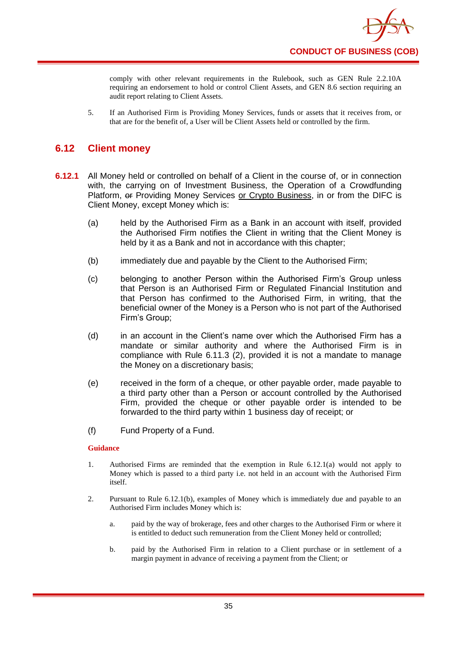

comply with other relevant requirements in the Rulebook, such as GEN Rule 2.2.10A requiring an endorsement to hold or control Client Assets, and GEN 8.6 section requiring an audit report relating to Client Assets.

5. If an Authorised Firm is Providing Money Services, funds or assets that it receives from, or that are for the benefit of, a User will be Client Assets held or controlled by the firm.

# **6.12 Client money**

- **6.12.1** All Money held or controlled on behalf of a Client in the course of, or in connection with, the carrying on of Investment Business, the Operation of a Crowdfunding Platform,  $\Theta$  Providing Money Services or Crypto Business, in or from the DIFC is Client Money, except Money which is:
	- (a) held by the Authorised Firm as a Bank in an account with itself, provided the Authorised Firm notifies the Client in writing that the Client Money is held by it as a Bank and not in accordance with this chapter;
	- (b) immediately due and payable by the Client to the Authorised Firm;
	- (c) belonging to another Person within the Authorised Firm's Group unless that Person is an Authorised Firm or Regulated Financial Institution and that Person has confirmed to the Authorised Firm, in writing, that the beneficial owner of the Money is a Person who is not part of the Authorised Firm's Group;
	- (d) in an account in the Client's name over which the Authorised Firm has a mandate or similar authority and where the Authorised Firm is in compliance with Rule 6.11.3 (2), provided it is not a mandate to manage the Money on a discretionary basis;
	- (e) received in the form of a cheque, or other payable order, made payable to a third party other than a Person or account controlled by the Authorised Firm, provided the cheque or other payable order is intended to be forwarded to the third party within 1 business day of receipt; or
	- (f) Fund Property of a Fund.

- 1. Authorised Firms are reminded that the exemption in Rule 6.12.1(a) would not apply to Money which is passed to a third party i.e. not held in an account with the Authorised Firm itself.
- 2. Pursuant to Rule 6.12.1(b), examples of Money which is immediately due and payable to an Authorised Firm includes Money which is:
	- a. paid by the way of brokerage, fees and other charges to the Authorised Firm or where it is entitled to deduct such remuneration from the Client Money held or controlled;
	- b. paid by the Authorised Firm in relation to a Client purchase or in settlement of a margin payment in advance of receiving a payment from the Client; or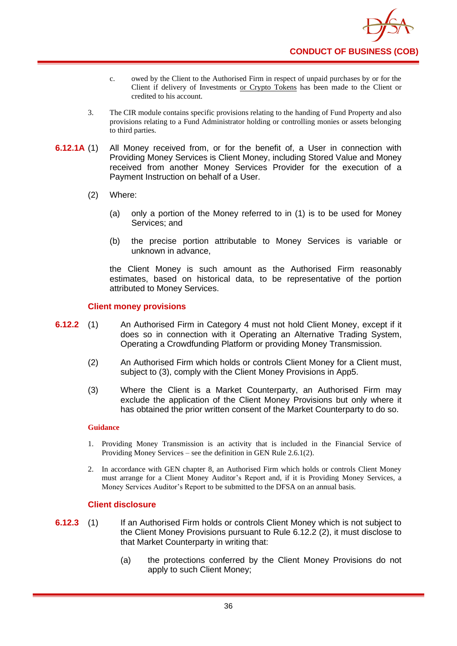

- c. owed by the Client to the Authorised Firm in respect of unpaid purchases by or for the Client if delivery of Investments or Crypto Tokens has been made to the Client or credited to his account.
- 3. The CIR module contains specific provisions relating to the handing of Fund Property and also provisions relating to a Fund Administrator holding or controlling monies or assets belonging to third parties.
- **6.12.1A** (1) All Money received from, or for the benefit of, a User in connection with Providing Money Services is Client Money, including Stored Value and Money received from another Money Services Provider for the execution of a Payment Instruction on behalf of a User.
	- (2) Where:
		- (a) only a portion of the Money referred to in (1) is to be used for Money Services; and
		- (b) the precise portion attributable to Money Services is variable or unknown in advance,

the Client Money is such amount as the Authorised Firm reasonably estimates, based on historical data, to be representative of the portion attributed to Money Services.

## **Client money provisions**

- **6.12.2** (1) An Authorised Firm in Category 4 must not hold Client Money, except if it does so in connection with it Operating an Alternative Trading System, Operating a Crowdfunding Platform or providing Money Transmission.
	- (2) An Authorised Firm which holds or controls Client Money for a Client must, subject to (3), comply with the Client Money Provisions in App5.
	- (3) Where the Client is a Market Counterparty, an Authorised Firm may exclude the application of the Client Money Provisions but only where it has obtained the prior written consent of the Market Counterparty to do so.

#### **Guidance**

- 1. Providing Money Transmission is an activity that is included in the Financial Service of Providing Money Services – see the definition in GEN Rule 2.6.1(2).
- 2. In accordance with GEN chapter 8, an Authorised Firm which holds or controls Client Money must arrange for a Client Money Auditor's Report and, if it is Providing Money Services, a Money Services Auditor's Report to be submitted to the DFSA on an annual basis.

#### **Client disclosure**

- **6.12.3** (1) If an Authorised Firm holds or controls Client Money which is not subject to the Client Money Provisions pursuant to Rule 6.12.2 (2), it must disclose to that Market Counterparty in writing that:
	- (a) the protections conferred by the Client Money Provisions do not apply to such Client Money;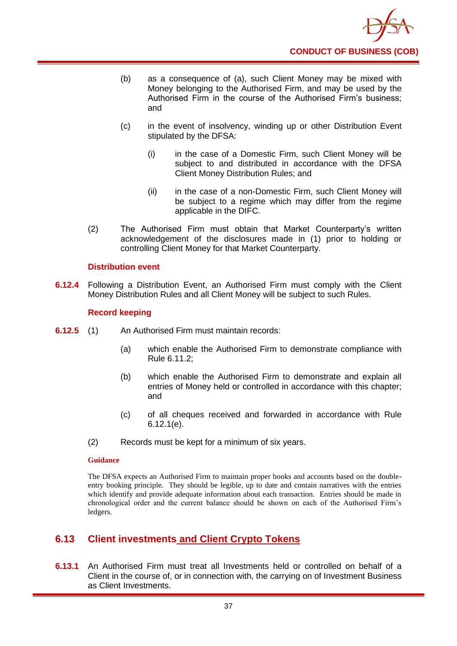

- (b) as a consequence of (a), such Client Money may be mixed with Money belonging to the Authorised Firm, and may be used by the Authorised Firm in the course of the Authorised Firm's business; and
- (c) in the event of insolvency, winding up or other Distribution Event stipulated by the DFSA:
	- (i) in the case of a Domestic Firm, such Client Money will be subject to and distributed in accordance with the DFSA Client Money Distribution Rules; and
	- (ii) in the case of a non-Domestic Firm, such Client Money will be subject to a regime which may differ from the regime applicable in the DIFC.
- (2) The Authorised Firm must obtain that Market Counterparty's written acknowledgement of the disclosures made in (1) prior to holding or controlling Client Money for that Market Counterparty.

### **Distribution event**

**6.12.4** Following a Distribution Event, an Authorised Firm must comply with the Client Money Distribution Rules and all Client Money will be subject to such Rules.

### **Record keeping**

- **6.12.5** (1) An Authorised Firm must maintain records:
	- (a) which enable the Authorised Firm to demonstrate compliance with Rule 6.11.2;
	- (b) which enable the Authorised Firm to demonstrate and explain all entries of Money held or controlled in accordance with this chapter; and
	- (c) of all cheques received and forwarded in accordance with Rule 6.12.1(e).
	- (2) Records must be kept for a minimum of six years.

#### **Guidance**

The DFSA expects an Authorised Firm to maintain proper books and accounts based on the doubleentry booking principle. They should be legible, up to date and contain narratives with the entries which identify and provide adequate information about each transaction. Entries should be made in chronological order and the current balance should be shown on each of the Authorised Firm's ledgers.

## **6.13 Client investments and Client Crypto Tokens**

**6.13.1** An Authorised Firm must treat all Investments held or controlled on behalf of a Client in the course of, or in connection with, the carrying on of Investment Business as Client Investments.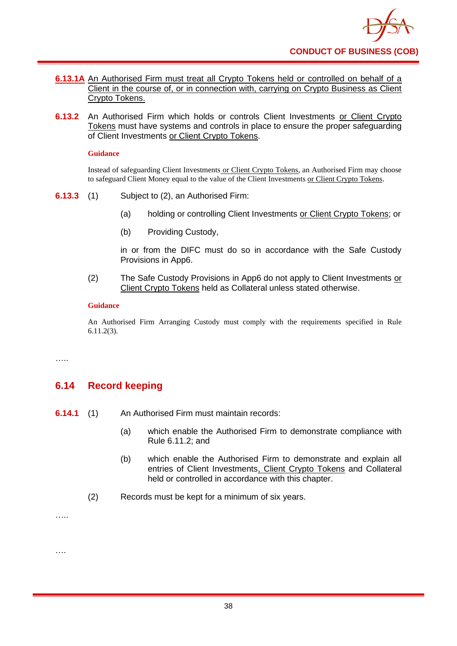- **6.13.1A** An Authorised Firm must treat all Crypto Tokens held or controlled on behalf of a Client in the course of, or in connection with, carrying on Crypto Business as Client Crypto Tokens.
- **6.13.2** An Authorised Firm which holds or controls Client Investments or Client Crypto Tokens must have systems and controls in place to ensure the proper safeguarding of Client Investments or Client Crypto Tokens.

Instead of safeguarding Client Investments or Client Crypto Tokens, an Authorised Firm may choose to safeguard Client Money equal to the value of the Client Investments or Client Crypto Tokens.

- **6.13.3** (1) Subject to (2), an Authorised Firm:
	- (a) holding or controlling Client Investments or Client Crypto Tokens; or
	- (b) Providing Custody,

in or from the DIFC must do so in accordance with the Safe Custody Provisions in App6.

(2) The Safe Custody Provisions in App6 do not apply to Client Investments or Client Crypto Tokens held as Collateral unless stated otherwise.

#### **Guidance**

An Authorised Firm Arranging Custody must comply with the requirements specified in Rule 6.11.2(3).

….

# **6.14 Record keeping**

- **6.14.1** (1) An Authorised Firm must maintain records:
	- (a) which enable the Authorised Firm to demonstrate compliance with Rule 6.11.2; and
	- (b) which enable the Authorised Firm to demonstrate and explain all entries of Client Investments, Client Crypto Tokens and Collateral held or controlled in accordance with this chapter.
	- (2) Records must be kept for a minimum of six years.

…..

….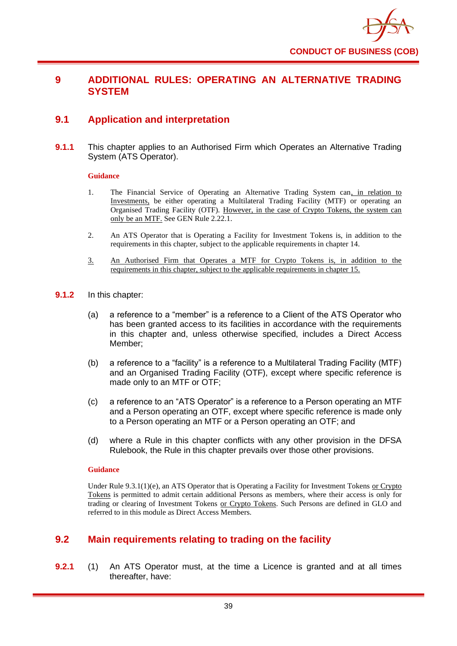

## **9 ADDITIONAL RULES: OPERATING AN ALTERNATIVE TRADING SYSTEM**

## **9.1 Application and interpretation**

**9.1.1** This chapter applies to an Authorised Firm which Operates an Alternative Trading System (ATS Operator).

#### **Guidance**

- 1. The Financial Service of Operating an Alternative Trading System can, in relation to Investments, be either operating a Multilateral Trading Facility (MTF) or operating an Organised Trading Facility (OTF). However, in the case of Crypto Tokens, the system can only be an MTF. See GEN Rule 2.22.1.
- 2. An ATS Operator that is Operating a Facility for Investment Tokens is, in addition to the requirements in this chapter, subject to the applicable requirements in chapter 14.
- 3. An Authorised Firm that Operates a MTF for Crypto Tokens is, in addition to the requirements in this chapter, subject to the applicable requirements in chapter 15.
- **9.1.2** In this chapter:
	- (a) a reference to a "member" is a reference to a Client of the ATS Operator who has been granted access to its facilities in accordance with the requirements in this chapter and, unless otherwise specified, includes a Direct Access Member;
	- (b) a reference to a "facility" is a reference to a Multilateral Trading Facility (MTF) and an Organised Trading Facility (OTF), except where specific reference is made only to an MTF or OTF;
	- (c) a reference to an "ATS Operator" is a reference to a Person operating an MTF and a Person operating an OTF, except where specific reference is made only to a Person operating an MTF or a Person operating an OTF; and
	- (d) where a Rule in this chapter conflicts with any other provision in the DFSA Rulebook, the Rule in this chapter prevails over those other provisions.

#### **Guidance**

Under Rule 9.3.1(1)(e), an ATS Operator that is Operating a Facility for Investment Tokens or Crypto Tokens is permitted to admit certain additional Persons as members, where their access is only for trading or clearing of Investment Tokens or Crypto Tokens. Such Persons are defined in GLO and referred to in this module as Direct Access Members.

## **9.2 Main requirements relating to trading on the facility**

**9.2.1** (1) An ATS Operator must, at the time a Licence is granted and at all times thereafter, have: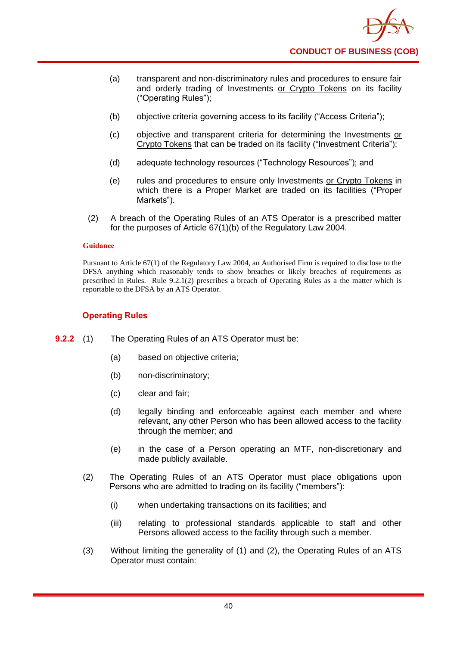

- (a) transparent and non-discriminatory rules and procedures to ensure fair and orderly trading of Investments or Crypto Tokens on its facility ("Operating Rules");
- (b) objective criteria governing access to its facility ("Access Criteria");
- (c) objective and transparent criteria for determining the Investments or Crypto Tokens that can be traded on its facility ("Investment Criteria");
- (d) adequate technology resources ("Technology Resources"); and
- (e) rules and procedures to ensure only Investments or Crypto Tokens in which there is a Proper Market are traded on its facilities ("Proper Markets").
- (2) A breach of the Operating Rules of an ATS Operator is a prescribed matter for the purposes of Article 67(1)(b) of the Regulatory Law 2004.

Pursuant to Article 67(1) of the Regulatory Law 2004, an Authorised Firm is required to disclose to the DFSA anything which reasonably tends to show breaches or likely breaches of requirements as prescribed in Rules. Rule 9.2.1(2) prescribes a breach of Operating Rules as a the matter which is reportable to the DFSA by an ATS Operator.

### **Operating Rules**

- **9.2.2** (1) The Operating Rules of an ATS Operator must be:
	- (a) based on objective criteria;
	- (b) non-discriminatory;
	- (c) clear and fair;
	- (d) legally binding and enforceable against each member and where relevant, any other Person who has been allowed access to the facility through the member; and
	- (e) in the case of a Person operating an MTF, non-discretionary and made publicly available.
	- (2) The Operating Rules of an ATS Operator must place obligations upon Persons who are admitted to trading on its facility ("members"):
		- (i) when undertaking transactions on its facilities; and
		- (iii) relating to professional standards applicable to staff and other Persons allowed access to the facility through such a member.
	- (3) Without limiting the generality of (1) and (2), the Operating Rules of an ATS Operator must contain: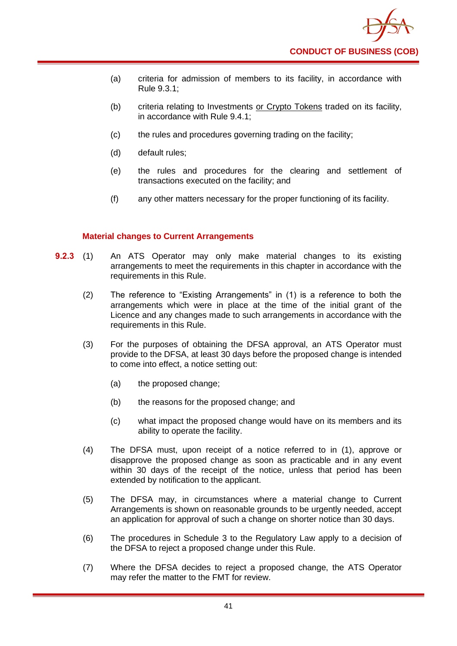

- (a) criteria for admission of members to its facility, in accordance with Rule 9.3.1;
- (b) criteria relating to Investments or Crypto Tokens traded on its facility, in accordance with Rule 9.4.1;
- (c) the rules and procedures governing trading on the facility;
- (d) default rules;
- (e) the rules and procedures for the clearing and settlement of transactions executed on the facility; and
- (f) any other matters necessary for the proper functioning of its facility.

### **Material changes to Current Arrangements**

- **9.2.3** (1) An ATS Operator may only make material changes to its existing arrangements to meet the requirements in this chapter in accordance with the requirements in this Rule.
	- (2) The reference to "Existing Arrangements" in (1) is a reference to both the arrangements which were in place at the time of the initial grant of the Licence and any changes made to such arrangements in accordance with the requirements in this Rule.
	- (3) For the purposes of obtaining the DFSA approval, an ATS Operator must provide to the DFSA, at least 30 days before the proposed change is intended to come into effect, a notice setting out:
		- (a) the proposed change;
		- (b) the reasons for the proposed change; and
		- (c) what impact the proposed change would have on its members and its ability to operate the facility.
	- (4) The DFSA must, upon receipt of a notice referred to in (1), approve or disapprove the proposed change as soon as practicable and in any event within 30 days of the receipt of the notice, unless that period has been extended by notification to the applicant.
	- (5) The DFSA may, in circumstances where a material change to Current Arrangements is shown on reasonable grounds to be urgently needed, accept an application for approval of such a change on shorter notice than 30 days.
	- (6) The procedures in Schedule 3 to the Regulatory Law apply to a decision of the DFSA to reject a proposed change under this Rule.
	- (7) Where the DFSA decides to reject a proposed change, the ATS Operator may refer the matter to the FMT for review.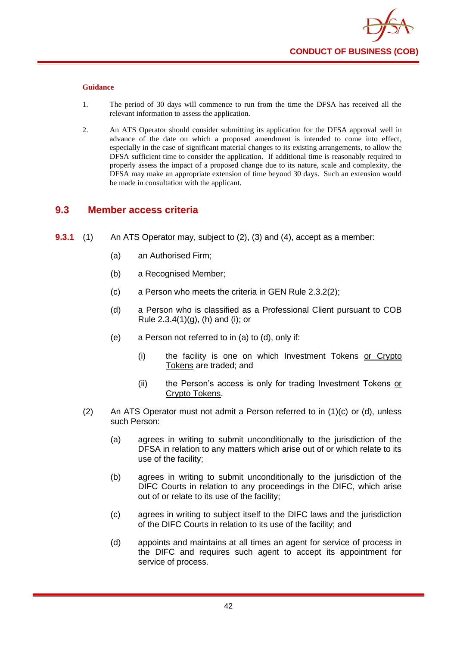

- 1. The period of 30 days will commence to run from the time the DFSA has received all the relevant information to assess the application.
- 2. An ATS Operator should consider submitting its application for the DFSA approval well in advance of the date on which a proposed amendment is intended to come into effect, especially in the case of significant material changes to its existing arrangements, to allow the DFSA sufficient time to consider the application. If additional time is reasonably required to properly assess the impact of a proposed change due to its nature, scale and complexity, the DFSA may make an appropriate extension of time beyond 30 days. Such an extension would be made in consultation with the applicant.

### **9.3 Member access criteria**

- **9.3.1** (1) An ATS Operator may, subject to (2), (3) and (4), accept as a member:
	- (a) an Authorised Firm;
	- (b) a Recognised Member;
	- (c) a Person who meets the criteria in GEN Rule 2.3.2(2);
	- (d) a Person who is classified as a Professional Client pursuant to COB Rule  $2.3.4(1)(g)$ , (h) and (i); or
	- (e) a Person not referred to in (a) to (d), only if:
		- (i) the facility is one on which Investment Tokens or Crypto Tokens are traded; and
		- (ii) the Person's access is only for trading Investment Tokens or Crypto Tokens.
	- (2) An ATS Operator must not admit a Person referred to in (1)(c) or (d), unless such Person:
		- (a) agrees in writing to submit unconditionally to the jurisdiction of the DFSA in relation to any matters which arise out of or which relate to its use of the facility;
		- (b) agrees in writing to submit unconditionally to the jurisdiction of the DIFC Courts in relation to any proceedings in the DIFC, which arise out of or relate to its use of the facility;
		- (c) agrees in writing to subject itself to the DIFC laws and the jurisdiction of the DIFC Courts in relation to its use of the facility; and
		- (d) appoints and maintains at all times an agent for service of process in the DIFC and requires such agent to accept its appointment for service of process.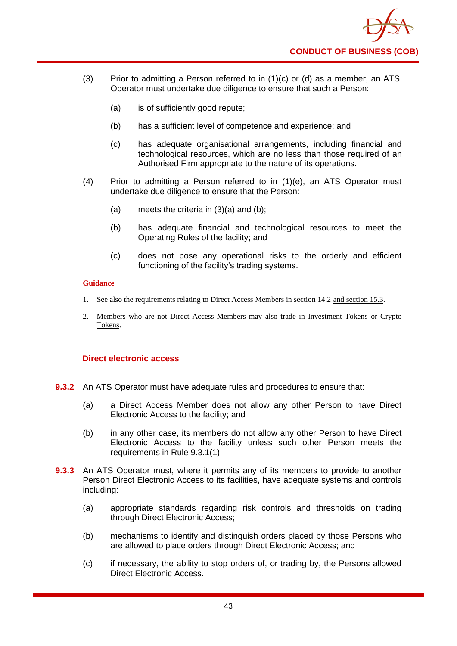

- (3) Prior to admitting a Person referred to in  $(1)(c)$  or  $(d)$  as a member, an ATS Operator must undertake due diligence to ensure that such a Person:
	- (a) is of sufficiently good repute;
	- (b) has a sufficient level of competence and experience; and
	- (c) has adequate organisational arrangements, including financial and technological resources, which are no less than those required of an Authorised Firm appropriate to the nature of its operations.
- (4) Prior to admitting a Person referred to in (1)(e), an ATS Operator must undertake due diligence to ensure that the Person:
	- (a) meets the criteria in  $(3)(a)$  and  $(b)$ ;
	- (b) has adequate financial and technological resources to meet the Operating Rules of the facility; and
	- (c) does not pose any operational risks to the orderly and efficient functioning of the facility's trading systems.

- 1. See also the requirements relating to Direct Access Members in section 14.2 and section 15.3.
- 2. Members who are not Direct Access Members may also trade in Investment Tokens or Crypto Tokens.

### **Direct electronic access**

- **9.3.2** An ATS Operator must have adequate rules and procedures to ensure that:
	- (a) a Direct Access Member does not allow any other Person to have Direct Electronic Access to the facility; and
	- (b) in any other case, its members do not allow any other Person to have Direct Electronic Access to the facility unless such other Person meets the requirements in Rule 9.3.1(1).
- **9.3.3** An ATS Operator must, where it permits any of its members to provide to another Person Direct Electronic Access to its facilities, have adequate systems and controls including:
	- (a) appropriate standards regarding risk controls and thresholds on trading through Direct Electronic Access;
	- (b) mechanisms to identify and distinguish orders placed by those Persons who are allowed to place orders through Direct Electronic Access; and
	- (c) if necessary, the ability to stop orders of, or trading by, the Persons allowed Direct Electronic Access.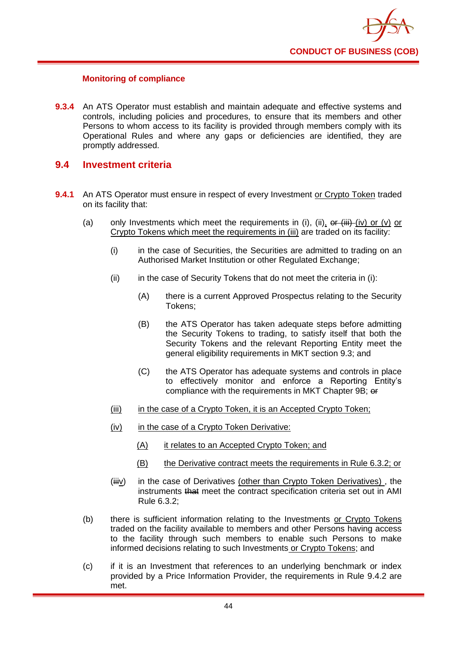### **Monitoring of compliance**

**9.3.4** An ATS Operator must establish and maintain adequate and effective systems and controls, including policies and procedures, to ensure that its members and other Persons to whom access to its facility is provided through members comply with its Operational Rules and where any gaps or deficiencies are identified, they are promptly addressed.

### **9.4 Investment criteria**

- **9.4.1** An ATS Operator must ensure in respect of every Investment or Crypto Token traded on its facility that:
	- (a) only Investments which meet the requirements in (i), (ii),  $\frac{d}{dr}$  (iv) or (v) or Crypto Tokens which meet the requirements in (iii) are traded on its facility:
		- (i) in the case of Securities, the Securities are admitted to trading on an Authorised Market Institution or other Regulated Exchange;
		- $(i)$  in the case of Security Tokens that do not meet the criteria in  $(i)$ :
			- (A) there is a current Approved Prospectus relating to the Security Tokens;
			- (B) the ATS Operator has taken adequate steps before admitting the Security Tokens to trading, to satisfy itself that both the Security Tokens and the relevant Reporting Entity meet the general eligibility requirements in MKT section 9.3; and
			- (C) the ATS Operator has adequate systems and controls in place to effectively monitor and enforce a Reporting Entity's compliance with the requirements in MKT Chapter 9B; or
		- (iii) in the case of a Crypto Token, it is an Accepted Crypto Token;
		- (iv) in the case of a Crypto Token Derivative:
			- (A) it relates to an Accepted Crypto Token; and
			- (B) the Derivative contract meets the requirements in Rule 6.3.2; or
		- (iiiv) in the case of Derivatives (other than Crypto Token Derivatives), the instruments that meet the contract specification criteria set out in AMI Rule 6.3.2;
	- (b) there is sufficient information relating to the Investments or Crypto Tokens traded on the facility available to members and other Persons having access to the facility through such members to enable such Persons to make informed decisions relating to such Investments or Crypto Tokens; and
	- (c) if it is an Investment that references to an underlying benchmark or index provided by a Price Information Provider, the requirements in Rule 9.4.2 are met.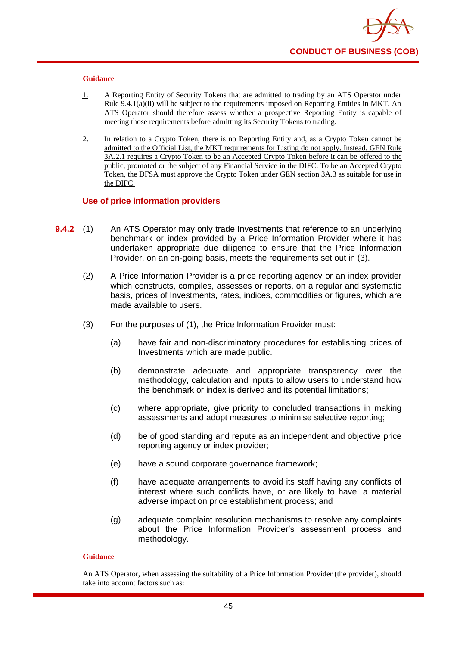

- 1. A Reporting Entity of Security Tokens that are admitted to trading by an ATS Operator under Rule 9.4.1(a)(ii) will be subject to the requirements imposed on Reporting Entities in MKT. An ATS Operator should therefore assess whether a prospective Reporting Entity is capable of meeting those requirements before admitting its Security Tokens to trading.
- 2. In relation to a Crypto Token, there is no Reporting Entity and, as a Crypto Token cannot be admitted to the Official List, the MKT requirements for Listing do not apply. Instead, GEN Rule 3A.2.1 requires a Crypto Token to be an Accepted Crypto Token before it can be offered to the public, promoted or the subject of any Financial Service in the DIFC. To be an Accepted Crypto Token, the DFSA must approve the Crypto Token under GEN section 3A.3 as suitable for use in the DIFC.

#### **Use of price information providers**

- **9.4.2** (1) An ATS Operator may only trade Investments that reference to an underlying benchmark or index provided by a Price Information Provider where it has undertaken appropriate due diligence to ensure that the Price Information Provider, on an on-going basis, meets the requirements set out in (3).
	- (2) A Price Information Provider is a price reporting agency or an index provider which constructs, compiles, assesses or reports, on a regular and systematic basis, prices of Investments, rates, indices, commodities or figures, which are made available to users.
	- (3) For the purposes of (1), the Price Information Provider must:
		- (a) have fair and non-discriminatory procedures for establishing prices of Investments which are made public.
		- (b) demonstrate adequate and appropriate transparency over the methodology, calculation and inputs to allow users to understand how the benchmark or index is derived and its potential limitations;
		- (c) where appropriate, give priority to concluded transactions in making assessments and adopt measures to minimise selective reporting;
		- (d) be of good standing and repute as an independent and objective price reporting agency or index provider;
		- (e) have a sound corporate governance framework;
		- (f) have adequate arrangements to avoid its staff having any conflicts of interest where such conflicts have, or are likely to have, a material adverse impact on price establishment process; and
		- (g) adequate complaint resolution mechanisms to resolve any complaints about the Price Information Provider's assessment process and methodology.

#### **Guidance**

An ATS Operator, when assessing the suitability of a Price Information Provider (the provider), should take into account factors such as: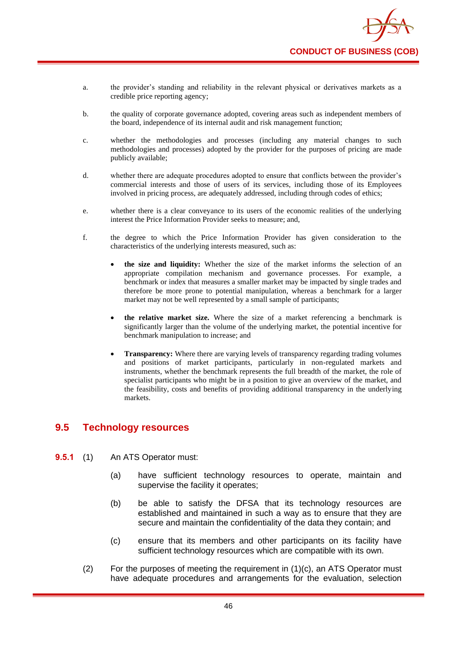- a. the provider's standing and reliability in the relevant physical or derivatives markets as a credible price reporting agency;
- b. the quality of corporate governance adopted, covering areas such as independent members of the board, independence of its internal audit and risk management function;
- c. whether the methodologies and processes (including any material changes to such methodologies and processes) adopted by the provider for the purposes of pricing are made publicly available;
- d. whether there are adequate procedures adopted to ensure that conflicts between the provider's commercial interests and those of users of its services, including those of its Employees involved in pricing process, are adequately addressed, including through codes of ethics;
- e. whether there is a clear conveyance to its users of the economic realities of the underlying interest the Price Information Provider seeks to measure; and,
- f. the degree to which the Price Information Provider has given consideration to the characteristics of the underlying interests measured, such as:
	- **the size and liquidity:** Whether the size of the market informs the selection of an appropriate compilation mechanism and governance processes. For example, a benchmark or index that measures a smaller market may be impacted by single trades and therefore be more prone to potential manipulation, whereas a benchmark for a larger market may not be well represented by a small sample of participants;
	- **the relative market size.** Where the size of a market referencing a benchmark is significantly larger than the volume of the underlying market, the potential incentive for benchmark manipulation to increase; and
	- **Transparency:** Where there are varying levels of transparency regarding trading volumes and positions of market participants, particularly in non-regulated markets and instruments, whether the benchmark represents the full breadth of the market, the role of specialist participants who might be in a position to give an overview of the market, and the feasibility, costs and benefits of providing additional transparency in the underlying markets.

### **9.5 Technology resources**

- **9.5.1** (1) An ATS Operator must:
	- (a) have sufficient technology resources to operate, maintain and supervise the facility it operates;
	- (b) be able to satisfy the DFSA that its technology resources are established and maintained in such a way as to ensure that they are secure and maintain the confidentiality of the data they contain; and
	- (c) ensure that its members and other participants on its facility have sufficient technology resources which are compatible with its own.
	- (2) For the purposes of meeting the requirement in (1)(c), an ATS Operator must have adequate procedures and arrangements for the evaluation, selection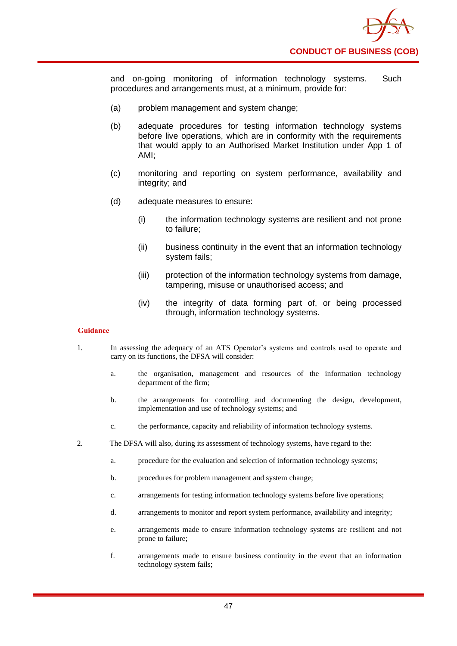

and on-going monitoring of information technology systems. Such procedures and arrangements must, at a minimum, provide for:

- (a) problem management and system change;
- (b) adequate procedures for testing information technology systems before live operations, which are in conformity with the requirements that would apply to an Authorised Market Institution under App 1 of AMI;
- (c) monitoring and reporting on system performance, availability and integrity; and
- (d) adequate measures to ensure:
	- (i) the information technology systems are resilient and not prone to failure;
	- (ii) business continuity in the event that an information technology system fails;
	- (iii) protection of the information technology systems from damage, tampering, misuse or unauthorised access; and
	- (iv) the integrity of data forming part of, or being processed through, information technology systems.

#### **Guidance**

- 1. In assessing the adequacy of an ATS Operator's systems and controls used to operate and carry on its functions, the DFSA will consider:
	- a. the organisation, management and resources of the information technology department of the firm;
	- b. the arrangements for controlling and documenting the design, development, implementation and use of technology systems; and
	- c. the performance, capacity and reliability of information technology systems.
- 2. The DFSA will also, during its assessment of technology systems, have regard to the:
	- a. procedure for the evaluation and selection of information technology systems;
	- b. procedures for problem management and system change;
	- c. arrangements for testing information technology systems before live operations;
	- d. arrangements to monitor and report system performance, availability and integrity;
	- e. arrangements made to ensure information technology systems are resilient and not prone to failure;
	- f. arrangements made to ensure business continuity in the event that an information technology system fails;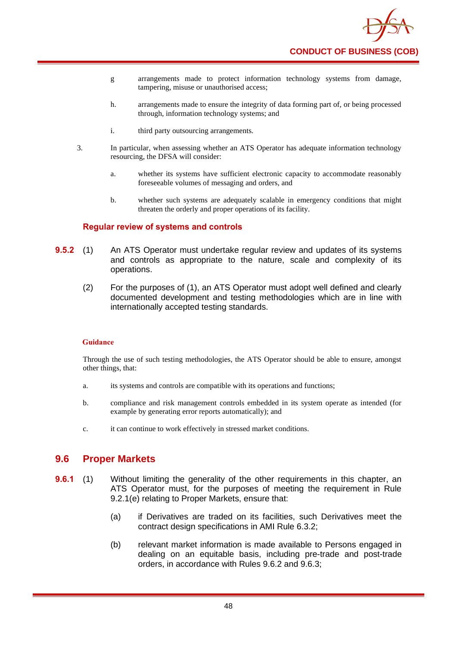

- g arrangements made to protect information technology systems from damage, tampering, misuse or unauthorised access;
- h. arrangements made to ensure the integrity of data forming part of, or being processed through, information technology systems; and
- i. third party outsourcing arrangements.
- 3. In particular, when assessing whether an ATS Operator has adequate information technology resourcing, the DFSA will consider:
	- a. whether its systems have sufficient electronic capacity to accommodate reasonably foreseeable volumes of messaging and orders, and
	- b. whether such systems are adequately scalable in emergency conditions that might threaten the orderly and proper operations of its facility.

#### **Regular review of systems and controls**

- **9.5.2** (1) An ATS Operator must undertake regular review and updates of its systems and controls as appropriate to the nature, scale and complexity of its operations.
	- (2) For the purposes of (1), an ATS Operator must adopt well defined and clearly documented development and testing methodologies which are in line with internationally accepted testing standards.

#### **Guidance**

Through the use of such testing methodologies, the ATS Operator should be able to ensure, amongst other things, that:

- a. its systems and controls are compatible with its operations and functions;
- b. compliance and risk management controls embedded in its system operate as intended (for example by generating error reports automatically); and
- c. it can continue to work effectively in stressed market conditions.

### **9.6 Proper Markets**

- **9.6.1** (1) Without limiting the generality of the other requirements in this chapter, an ATS Operator must, for the purposes of meeting the requirement in Rule 9.2.1(e) relating to Proper Markets, ensure that:
	- (a) if Derivatives are traded on its facilities, such Derivatives meet the contract design specifications in AMI Rule 6.3.2;
	- (b) relevant market information is made available to Persons engaged in dealing on an equitable basis, including pre-trade and post-trade orders, in accordance with Rules 9.6.2 and 9.6.3;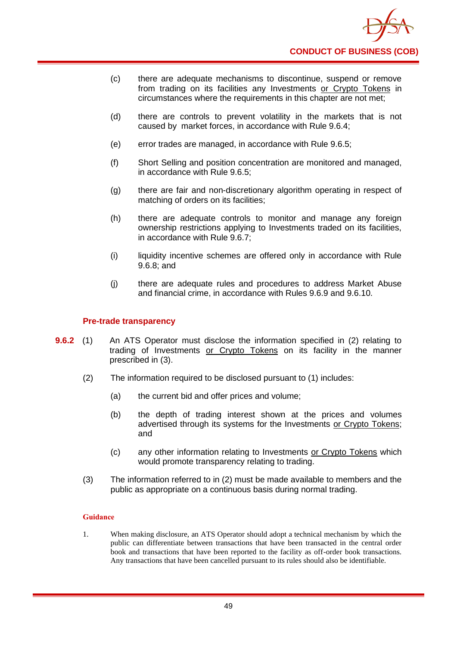- (c) there are adequate mechanisms to discontinue, suspend or remove from trading on its facilities any Investments or Crypto Tokens in circumstances where the requirements in this chapter are not met;
- (d) there are controls to prevent volatility in the markets that is not caused by market forces, in accordance with Rule 9.6.4;
- (e) error trades are managed, in accordance with Rule 9.6.5;
- (f) Short Selling and position concentration are monitored and managed, in accordance with Rule 9.6.5;
- (g) there are fair and non-discretionary algorithm operating in respect of matching of orders on its facilities;
- (h) there are adequate controls to monitor and manage any foreign ownership restrictions applying to Investments traded on its facilities, in accordance with Rule 9.6.7;
- (i) liquidity incentive schemes are offered only in accordance with Rule 9.6.8; and
- (j) there are adequate rules and procedures to address Market Abuse and financial crime, in accordance with Rules 9.6.9 and 9.6.10.

#### **Pre-trade transparency**

- **9.6.2** (1) An ATS Operator must disclose the information specified in (2) relating to trading of Investments or Crypto Tokens on its facility in the manner prescribed in (3).
	- (2) The information required to be disclosed pursuant to (1) includes:
		- (a) the current bid and offer prices and volume;
		- (b) the depth of trading interest shown at the prices and volumes advertised through its systems for the Investments or Crypto Tokens; and
		- (c) any other information relating to Investments or Crypto Tokens which would promote transparency relating to trading.
	- (3) The information referred to in (2) must be made available to members and the public as appropriate on a continuous basis during normal trading.

#### **Guidance**

1. When making disclosure, an ATS Operator should adopt a technical mechanism by which the public can differentiate between transactions that have been transacted in the central order book and transactions that have been reported to the facility as off-order book transactions. Any transactions that have been cancelled pursuant to its rules should also be identifiable.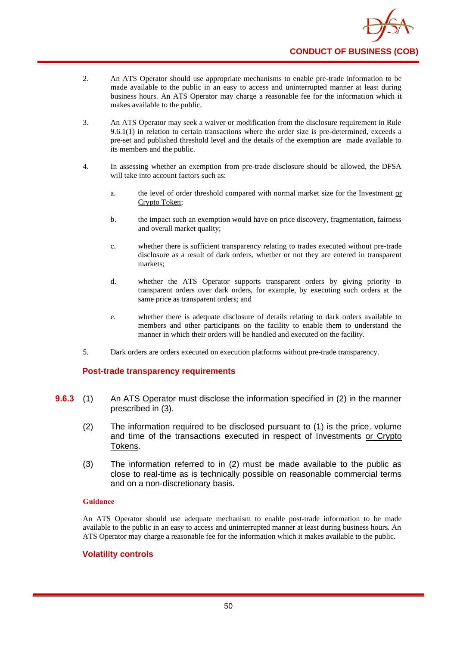

- 2. An ATS Operator should use appropriate mechanisms to enable pre-trade information to be made available to the public in an easy to access and uninterrupted manner at least during business hours. An ATS Operator may charge a reasonable fee for the information which it makes available to the public.
- 3. An ATS Operator may seek a waiver or modification from the disclosure requirement in Rule 9.6.1(1) in relation to certain transactions where the order size is pre-determined, exceeds a pre-set and published threshold level and the details of the exemption are made available to its members and the public.
- 4. In assessing whether an exemption from pre-trade disclosure should be allowed, the DFSA will take into account factors such as:
	- a. the level of order threshold compared with normal market size for the Investment or Crypto Token;
	- b. the impact such an exemption would have on price discovery, fragmentation, fairness and overall market quality;
	- c. whether there is sufficient transparency relating to trades executed without pre-trade disclosure as a result of dark orders, whether or not they are entered in transparent markets;
	- d. whether the ATS Operator supports transparent orders by giving priority to transparent orders over dark orders, for example, by executing such orders at the same price as transparent orders; and
	- e. whether there is adequate disclosure of details relating to dark orders available to members and other participants on the facility to enable them to understand the manner in which their orders will be handled and executed on the facility.
- 5. Dark orders are orders executed on execution platforms without pre-trade transparency.

#### **Post-trade transparency requirements**

- **9.6.3** (1) An ATS Operator must disclose the information specified in (2) in the manner prescribed in (3).
	- (2) The information required to be disclosed pursuant to (1) is the price, volume and time of the transactions executed in respect of Investments or Crypto Tokens.
	- (3) The information referred to in (2) must be made available to the public as close to real-time as is technically possible on reasonable commercial terms and on a non-discretionary basis.

#### **Guidance**

An ATS Operator should use adequate mechanism to enable post-trade information to be made available to the public in an easy to access and uninterrupted manner at least during business hours. An ATS Operator may charge a reasonable fee for the information which it makes available to the public.

#### **Volatility controls**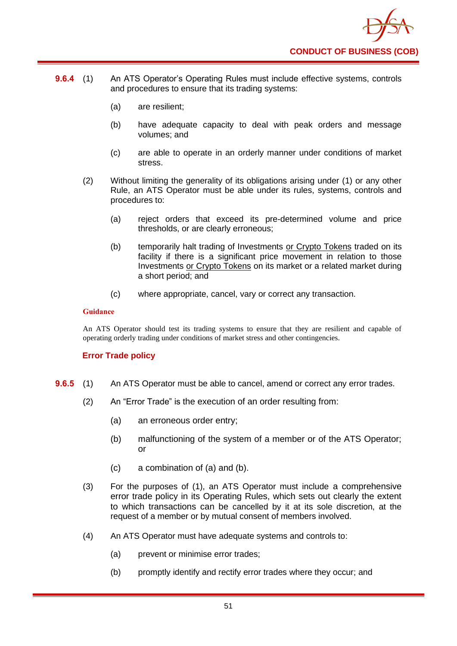

- **9.6.4** (1) An ATS Operator's Operating Rules must include effective systems, controls and procedures to ensure that its trading systems:
	- (a) are resilient;
	- (b) have adequate capacity to deal with peak orders and message volumes; and
	- (c) are able to operate in an orderly manner under conditions of market stress.
	- (2) Without limiting the generality of its obligations arising under (1) or any other Rule, an ATS Operator must be able under its rules, systems, controls and procedures to:
		- (a) reject orders that exceed its pre-determined volume and price thresholds, or are clearly erroneous;
		- (b) temporarily halt trading of Investments or Crypto Tokens traded on its facility if there is a significant price movement in relation to those Investments or Crypto Tokens on its market or a related market during a short period; and
		- (c) where appropriate, cancel, vary or correct any transaction.

An ATS Operator should test its trading systems to ensure that they are resilient and capable of operating orderly trading under conditions of market stress and other contingencies.

#### **Error Trade policy**

- **9.6.5** (1) An ATS Operator must be able to cancel, amend or correct any error trades.
	- (2) An "Error Trade" is the execution of an order resulting from:
		- (a) an erroneous order entry;
		- (b) malfunctioning of the system of a member or of the ATS Operator; or
		- (c) a combination of (a) and (b).
	- (3) For the purposes of (1), an ATS Operator must include a comprehensive error trade policy in its Operating Rules, which sets out clearly the extent to which transactions can be cancelled by it at its sole discretion, at the request of a member or by mutual consent of members involved.
	- (4) An ATS Operator must have adequate systems and controls to:
		- (a) prevent or minimise error trades;
		- (b) promptly identify and rectify error trades where they occur; and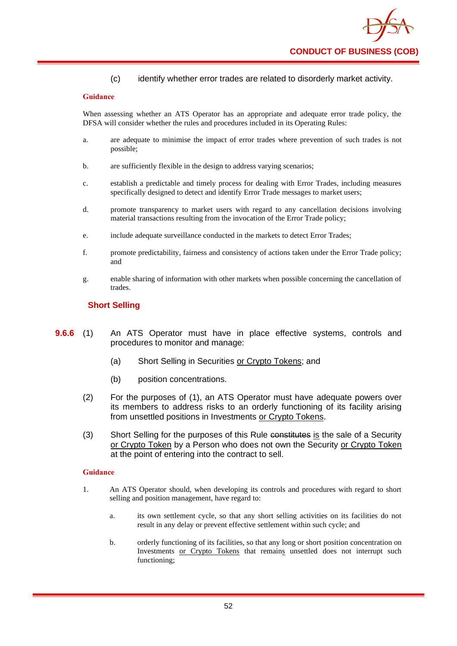(c) identify whether error trades are related to disorderly market activity.

#### **Guidance**

When assessing whether an ATS Operator has an appropriate and adequate error trade policy, the DFSA will consider whether the rules and procedures included in its Operating Rules:

- a. are adequate to minimise the impact of error trades where prevention of such trades is not possible;
- b. are sufficiently flexible in the design to address varying scenarios;
- c. establish a predictable and timely process for dealing with Error Trades, including measures specifically designed to detect and identify Error Trade messages to market users;
- d. promote transparency to market users with regard to any cancellation decisions involving material transactions resulting from the invocation of the Error Trade policy;
- e. include adequate surveillance conducted in the markets to detect Error Trades;
- f. promote predictability, fairness and consistency of actions taken under the Error Trade policy; and
- g. enable sharing of information with other markets when possible concerning the cancellation of trades.

### **Short Selling**

- **9.6.6** (1) An ATS Operator must have in place effective systems, controls and procedures to monitor and manage:
	- (a) Short Selling in Securities or Crypto Tokens; and
	- (b) position concentrations.
	- (2) For the purposes of (1), an ATS Operator must have adequate powers over its members to address risks to an orderly functioning of its facility arising from unsettled positions in Investments or Crypto Tokens.
	- (3) Short Selling for the purposes of this Rule constitutes is the sale of a Security or Crypto Token by a Person who does not own the Security or Crypto Token at the point of entering into the contract to sell.

#### **Guidance**

- 1. An ATS Operator should, when developing its controls and procedures with regard to short selling and position management, have regard to:
	- a. its own settlement cycle, so that any short selling activities on its facilities do not result in any delay or prevent effective settlement within such cycle; and
	- b. orderly functioning of its facilities, so that any long or short position concentration on Investments or Crypto Tokens that remains unsettled does not interrupt such functioning;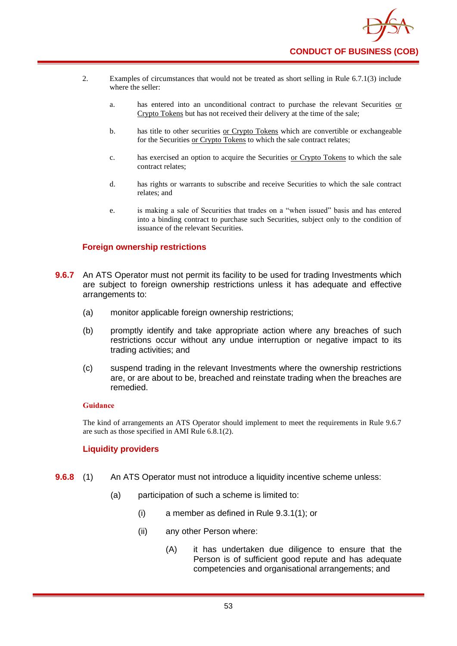

- 2. Examples of circumstances that would not be treated as short selling in Rule 6.7.1(3) include where the seller:
	- a. has entered into an unconditional contract to purchase the relevant Securities or Crypto Tokens but has not received their delivery at the time of the sale;
	- b. has title to other securities or Crypto Tokens which are convertible or exchangeable for the Securities or Crypto Tokens to which the sale contract relates;
	- c. has exercised an option to acquire the Securities or Crypto Tokens to which the sale contract relates;
	- d. has rights or warrants to subscribe and receive Securities to which the sale contract relates; and
	- e. is making a sale of Securities that trades on a "when issued" basis and has entered into a binding contract to purchase such Securities, subject only to the condition of issuance of the relevant Securities.

#### **Foreign ownership restrictions**

- **9.6.7** An ATS Operator must not permit its facility to be used for trading Investments which are subject to foreign ownership restrictions unless it has adequate and effective arrangements to:
	- (a) monitor applicable foreign ownership restrictions;
	- (b) promptly identify and take appropriate action where any breaches of such restrictions occur without any undue interruption or negative impact to its trading activities; and
	- (c) suspend trading in the relevant Investments where the ownership restrictions are, or are about to be, breached and reinstate trading when the breaches are remedied.

#### **Guidance**

The kind of arrangements an ATS Operator should implement to meet the requirements in Rule 9.6.7 are such as those specified in AMI Rule 6.8.1(2).

#### **Liquidity providers**

- **9.6.8** (1) An ATS Operator must not introduce a liquidity incentive scheme unless:
	- (a) participation of such a scheme is limited to:
		- (i) a member as defined in Rule 9.3.1(1); or
		- (ii) any other Person where:
			- (A) it has undertaken due diligence to ensure that the Person is of sufficient good repute and has adequate competencies and organisational arrangements; and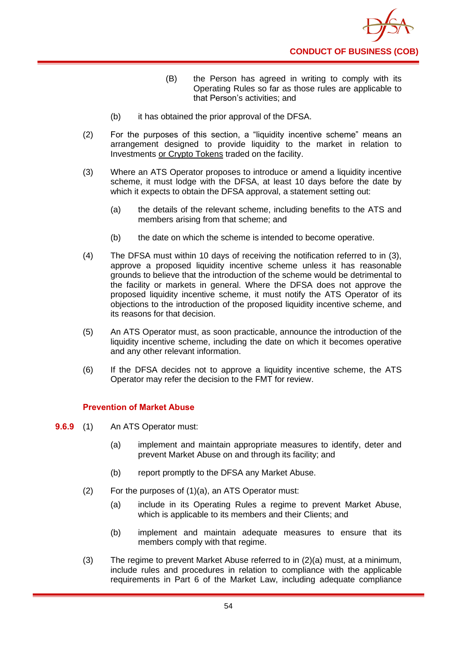

- (B) the Person has agreed in writing to comply with its Operating Rules so far as those rules are applicable to that Person's activities; and
- (b) it has obtained the prior approval of the DFSA.
- (2) For the purposes of this section, a "liquidity incentive scheme" means an arrangement designed to provide liquidity to the market in relation to Investments or Crypto Tokens traded on the facility.
- (3) Where an ATS Operator proposes to introduce or amend a liquidity incentive scheme, it must lodge with the DFSA, at least 10 days before the date by which it expects to obtain the DFSA approval, a statement setting out:
	- (a) the details of the relevant scheme, including benefits to the ATS and members arising from that scheme; and
	- (b) the date on which the scheme is intended to become operative.
- (4) The DFSA must within 10 days of receiving the notification referred to in (3), approve a proposed liquidity incentive scheme unless it has reasonable grounds to believe that the introduction of the scheme would be detrimental to the facility or markets in general. Where the DFSA does not approve the proposed liquidity incentive scheme, it must notify the ATS Operator of its objections to the introduction of the proposed liquidity incentive scheme, and its reasons for that decision.
- (5) An ATS Operator must, as soon practicable, announce the introduction of the liquidity incentive scheme, including the date on which it becomes operative and any other relevant information.
- (6) If the DFSA decides not to approve a liquidity incentive scheme, the ATS Operator may refer the decision to the FMT for review.

### **Prevention of Market Abuse**

- **9.6.9** (1) An ATS Operator must:
	- (a) implement and maintain appropriate measures to identify, deter and prevent Market Abuse on and through its facility; and
	- (b) report promptly to the DFSA any Market Abuse.
	- (2) For the purposes of (1)(a), an ATS Operator must:
		- (a) include in its Operating Rules a regime to prevent Market Abuse, which is applicable to its members and their Clients; and
		- (b) implement and maintain adequate measures to ensure that its members comply with that regime.
	- (3) The regime to prevent Market Abuse referred to in (2)(a) must, at a minimum, include rules and procedures in relation to compliance with the applicable requirements in Part 6 of the Market Law, including adequate compliance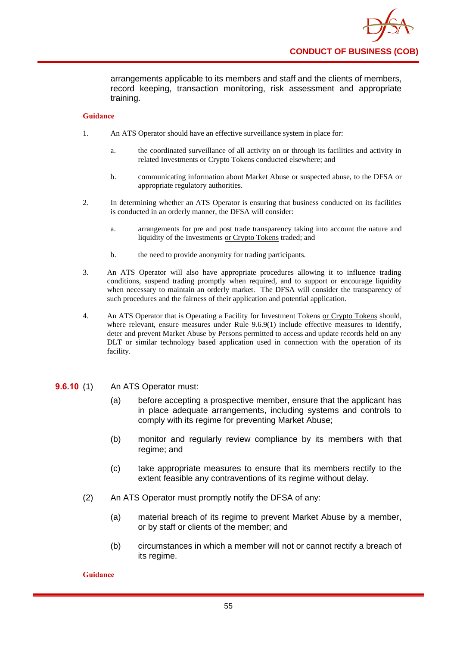

arrangements applicable to its members and staff and the clients of members, record keeping, transaction monitoring, risk assessment and appropriate training.

#### **Guidance**

- 1. An ATS Operator should have an effective surveillance system in place for:
	- a. the coordinated surveillance of all activity on or through its facilities and activity in related Investments or Crypto Tokens conducted elsewhere; and
	- b. communicating information about Market Abuse or suspected abuse, to the DFSA or appropriate regulatory authorities.
- 2. In determining whether an ATS Operator is ensuring that business conducted on its facilities is conducted in an orderly manner, the DFSA will consider:
	- a. arrangements for pre and post trade transparency taking into account the nature and liquidity of the Investments or Crypto Tokens traded; and
	- b. the need to provide anonymity for trading participants.
- 3. An ATS Operator will also have appropriate procedures allowing it to influence trading conditions, suspend trading promptly when required, and to support or encourage liquidity when necessary to maintain an orderly market. The DFSA will consider the transparency of such procedures and the fairness of their application and potential application.
- 4. An ATS Operator that is Operating a Facility for Investment Tokens or Crypto Tokens should, where relevant, ensure measures under Rule 9.6.9(1) include effective measures to identify, deter and prevent Market Abuse by Persons permitted to access and update records held on any DLT or similar technology based application used in connection with the operation of its facility.

#### **9.6.10** (1) An ATS Operator must:

- (a) before accepting a prospective member, ensure that the applicant has in place adequate arrangements, including systems and controls to comply with its regime for preventing Market Abuse;
- (b) monitor and regularly review compliance by its members with that regime; and
- (c) take appropriate measures to ensure that its members rectify to the extent feasible any contraventions of its regime without delay.
- (2) An ATS Operator must promptly notify the DFSA of any:
	- (a) material breach of its regime to prevent Market Abuse by a member, or by staff or clients of the member; and
	- (b) circumstances in which a member will not or cannot rectify a breach of its regime.

#### **Guidance**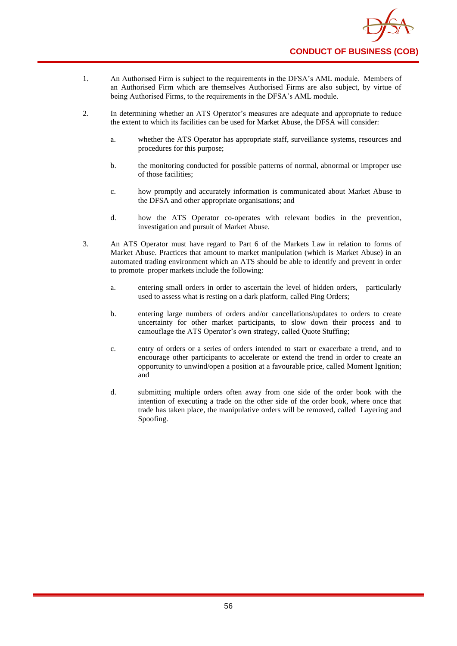

- 1. An Authorised Firm is subject to the requirements in the DFSA's AML module. Members of an Authorised Firm which are themselves Authorised Firms are also subject, by virtue of being Authorised Firms, to the requirements in the DFSA's AML module.
- 2. In determining whether an ATS Operator's measures are adequate and appropriate to reduce the extent to which its facilities can be used for Market Abuse, the DFSA will consider:
	- a. whether the ATS Operator has appropriate staff, surveillance systems, resources and procedures for this purpose;
	- b. the monitoring conducted for possible patterns of normal, abnormal or improper use of those facilities;
	- c. how promptly and accurately information is communicated about Market Abuse to the DFSA and other appropriate organisations; and
	- d. how the ATS Operator co-operates with relevant bodies in the prevention, investigation and pursuit of Market Abuse.
- 3. An ATS Operator must have regard to Part 6 of the Markets Law in relation to forms of Market Abuse. Practices that amount to market manipulation (which is Market Abuse) in an automated trading environment which an ATS should be able to identify and prevent in order to promote proper markets include the following:
	- a. entering small orders in order to ascertain the level of hidden orders, particularly used to assess what is resting on a dark platform, called Ping Orders;
	- b. entering large numbers of orders and/or cancellations/updates to orders to create uncertainty for other market participants, to slow down their process and to camouflage the ATS Operator's own strategy, called Quote Stuffing;
	- c. entry of orders or a series of orders intended to start or exacerbate a trend, and to encourage other participants to accelerate or extend the trend in order to create an opportunity to unwind/open a position at a favourable price, called Moment Ignition; and
	- d. submitting multiple orders often away from one side of the order book with the intention of executing a trade on the other side of the order book, where once that trade has taken place, the manipulative orders will be removed, called Layering and Spoofing.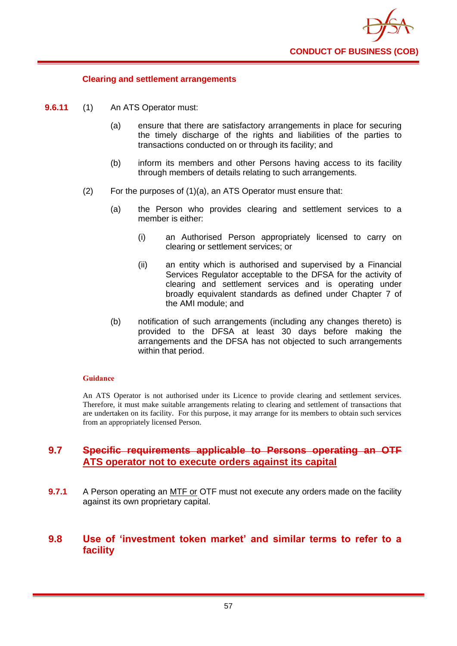

### **Clearing and settlement arrangements**

- **9.6.11** (1) An ATS Operator must:
	- (a) ensure that there are satisfactory arrangements in place for securing the timely discharge of the rights and liabilities of the parties to transactions conducted on or through its facility; and
	- (b) inform its members and other Persons having access to its facility through members of details relating to such arrangements.
	- (2) For the purposes of (1)(a), an ATS Operator must ensure that:
		- (a) the Person who provides clearing and settlement services to a member is either:
			- (i) an Authorised Person appropriately licensed to carry on clearing or settlement services; or
			- (ii) an entity which is authorised and supervised by a Financial Services Regulator acceptable to the DFSA for the activity of clearing and settlement services and is operating under broadly equivalent standards as defined under Chapter 7 of the AMI module; and
		- (b) notification of such arrangements (including any changes thereto) is provided to the DFSA at least 30 days before making the arrangements and the DFSA has not objected to such arrangements within that period.

#### **Guidance**

An ATS Operator is not authorised under its Licence to provide clearing and settlement services. Therefore, it must make suitable arrangements relating to clearing and settlement of transactions that are undertaken on its facility. For this purpose, it may arrange for its members to obtain such services from an appropriately licensed Person.

### **9.7 Specific requirements applicable to Persons operating an OTF ATS operator not to execute orders against its capital**

**9.7.1** A Person operating an MTF or OTF must not execute any orders made on the facility against its own proprietary capital.

### **9.8 Use of 'investment token market' and similar terms to refer to a facility**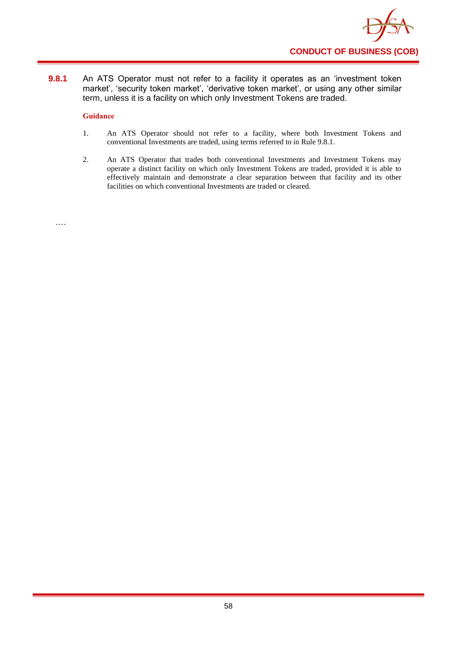

**9.8.1** An ATS Operator must not refer to a facility it operates as an 'investment token market', 'security token market', 'derivative token market', or using any other similar term, unless it is a facility on which only Investment Tokens are traded.

#### **Guidance**

- 1. An ATS Operator should not refer to a facility, where both Investment Tokens and conventional Investments are traded, using terms referred to in Rule 9.8.1.
- 2. An ATS Operator that trades both conventional Investments and Investment Tokens may operate a distinct facility on which only Investment Tokens are traded, provided it is able to effectively maintain and demonstrate a clear separation between that facility and its other facilities on which conventional Investments are traded or cleared.

….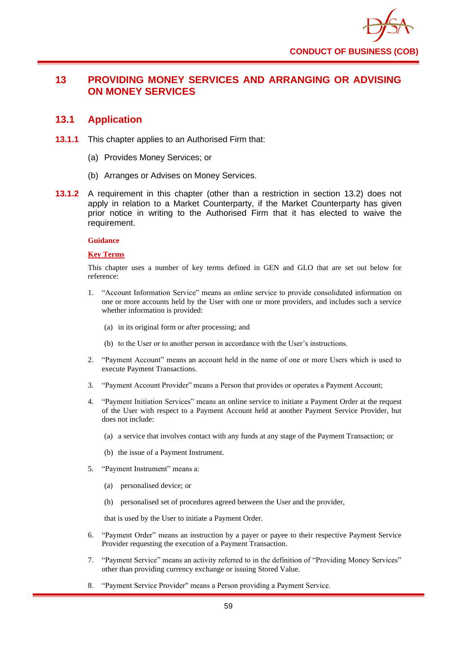

## **13 PROVIDING MONEY SERVICES AND ARRANGING OR ADVISING ON MONEY SERVICES**

### **13.1 Application**

- **13.1.1** This chapter applies to an Authorised Firm that:
	- (a) Provides Money Services; or
	- (b) Arranges or Advises on Money Services.
- **13.1.2** A requirement in this chapter (other than a restriction in section 13.2) does not apply in relation to a Market Counterparty, if the Market Counterparty has given prior notice in writing to the Authorised Firm that it has elected to waive the requirement.

#### **Guidance**

#### **Key Terms**

This chapter uses a number of key terms defined in GEN and GLO that are set out below for reference:

- 1. "Account Information Service" means an online service to provide consolidated information on one or more accounts held by the User with one or more providers, and includes such a service whether information is provided:
	- (a) in its original form or after processing; and
	- (b) to the User or to another person in accordance with the User's instructions.
- 2. "Payment Account" means an account held in the name of one or more Users which is used to execute Payment Transactions.
- 3. "Payment Account Provider" means a Person that provides or operates a Payment Account;
- 4. "Payment Initiation Services" means an online service to initiate a Payment Order at the request of the User with respect to a Payment Account held at another Payment Service Provider, but does not include:
	- (a) a service that involves contact with any funds at any stage of the Payment Transaction; or
	- (b) the issue of a Payment Instrument.
- 5. "Payment Instrument" means a:
	- (a) personalised device; or
	- (b) personalised set of procedures agreed between the User and the provider,

that is used by the User to initiate a Payment Order.

- 6. "Payment Order" means an instruction by a payer or payee to their respective Payment Service Provider requesting the execution of a Payment Transaction.
- 7. "Payment Service" means an activity referred to in the definition of "Providing Money Services" other than providing currency exchange or issuing Stored Value.
- 8. "Payment Service Provider" means a Person providing a Payment Service.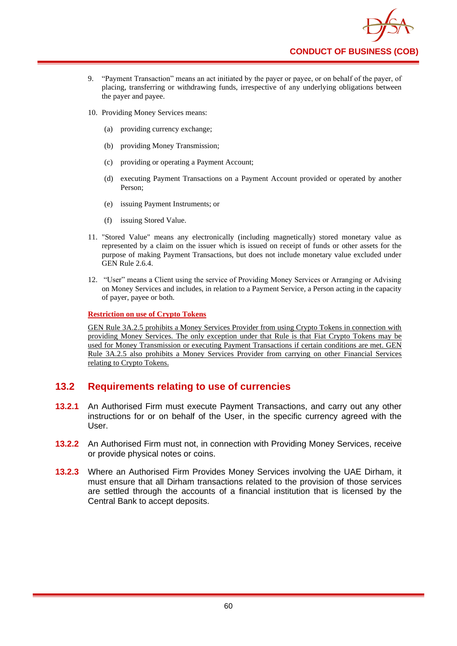

- 9. "Payment Transaction" means an act initiated by the payer or payee, or on behalf of the payer, of placing, transferring or withdrawing funds, irrespective of any underlying obligations between the payer and payee.
- 10. Providing Money Services means:
	- (a) providing currency exchange;
	- (b) providing Money Transmission;
	- (c) providing or operating a Payment Account;
	- (d) executing Payment Transactions on a Payment Account provided or operated by another Person;
	- (e) issuing Payment Instruments; or
	- (f) issuing Stored Value.
- 11. "Stored Value" means any electronically (including magnetically) stored monetary value as represented by a claim on the issuer which is issued on receipt of funds or other assets for the purpose of making Payment Transactions, but does not include monetary value excluded under GEN Rule 2.6.4.
- 12. "User" means a Client using the service of Providing Money Services or Arranging or Advising on Money Services and includes, in relation to a Payment Service, a Person acting in the capacity of payer, payee or both.

#### **Restriction on use of Crypto Tokens**

GEN Rule 3A.2.5 prohibits a Money Services Provider from using Crypto Tokens in connection with providing Money Services. The only exception under that Rule is that Fiat Crypto Tokens may be used for Money Transmission or executing Payment Transactions if certain conditions are met. GEN Rule 3A.2.5 also prohibits a Money Services Provider from carrying on other Financial Services relating to Crypto Tokens.

## **13.2 Requirements relating to use of currencies**

- **13.2.1** An Authorised Firm must execute Payment Transactions, and carry out any other instructions for or on behalf of the User, in the specific currency agreed with the User.
- **13.2.2** An Authorised Firm must not, in connection with Providing Money Services, receive or provide physical notes or coins.
- **13.2.3** Where an Authorised Firm Provides Money Services involving the UAE Dirham, it must ensure that all Dirham transactions related to the provision of those services are settled through the accounts of a financial institution that is licensed by the Central Bank to accept deposits.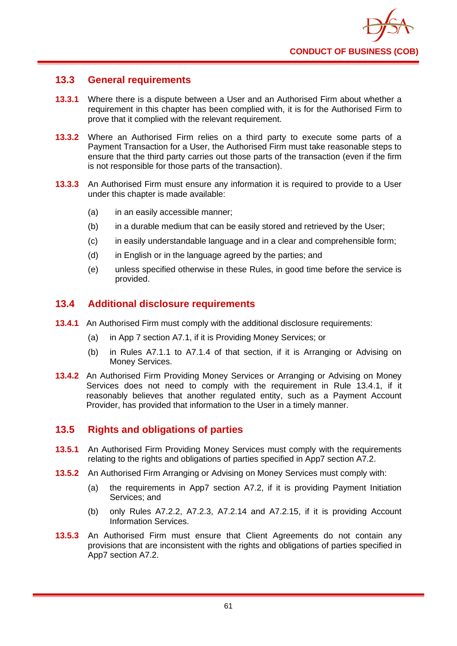

## **13.3 General requirements**

- **13.3.1** Where there is a dispute between a User and an Authorised Firm about whether a requirement in this chapter has been complied with, it is for the Authorised Firm to prove that it complied with the relevant requirement.
- **13.3.2** Where an Authorised Firm relies on a third party to execute some parts of a Payment Transaction for a User, the Authorised Firm must take reasonable steps to ensure that the third party carries out those parts of the transaction (even if the firm is not responsible for those parts of the transaction).
- **13.3.3** An Authorised Firm must ensure any information it is required to provide to a User under this chapter is made available:
	- (a) in an easily accessible manner;
	- (b) in a durable medium that can be easily stored and retrieved by the User;
	- (c) in easily understandable language and in a clear and comprehensible form;
	- (d) in English or in the language agreed by the parties; and
	- (e) unless specified otherwise in these Rules, in good time before the service is provided.

### **13.4 Additional disclosure requirements**

- **13.4.1** An Authorised Firm must comply with the additional disclosure requirements:
	- (a) in App 7 section A7.1, if it is Providing Money Services; or
	- (b) in Rules A7.1.1 to A7.1.4 of that section, if it is Arranging or Advising on Money Services.
- **13.4.2** An Authorised Firm Providing Money Services or Arranging or Advising on Money Services does not need to comply with the requirement in Rule 13.4.1, if it reasonably believes that another regulated entity, such as a Payment Account Provider, has provided that information to the User in a timely manner.

## **13.5 Rights and obligations of parties**

- **13.5.1** An Authorised Firm Providing Money Services must comply with the requirements relating to the rights and obligations of parties specified in App7 section A7.2.
- **13.5.2** An Authorised Firm Arranging or Advising on Money Services must comply with:
	- (a) the requirements in App7 section A7.2, if it is providing Payment Initiation Services; and
	- (b) only Rules A7.2.2, A7.2.3, A7.2.14 and A7.2.15, if it is providing Account Information Services.
- **13.5.3** An Authorised Firm must ensure that Client Agreements do not contain any provisions that are inconsistent with the rights and obligations of parties specified in App7 section A7.2.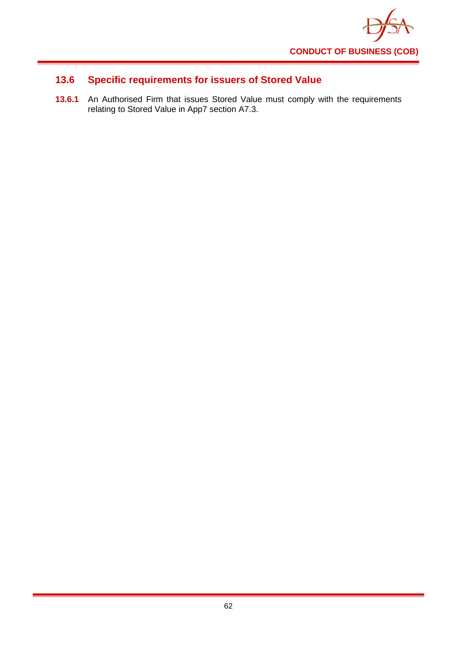

# **13.6 Specific requirements for issuers of Stored Value**

**13.6.1** An Authorised Firm that issues Stored Value must comply with the requirements relating to Stored Value in App7 section A7.3.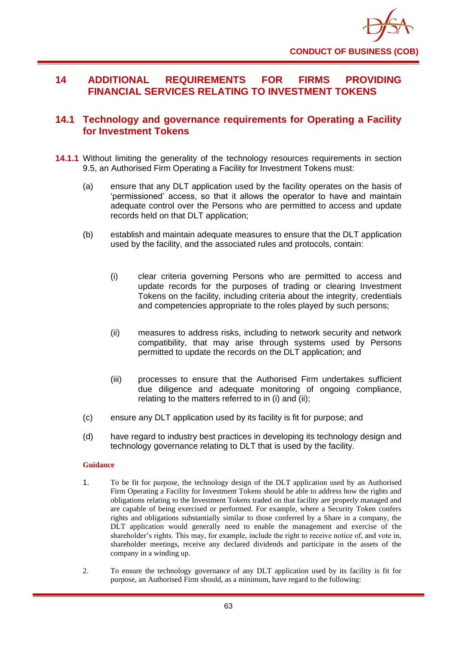

## **14 ADDITIONAL REQUIREMENTS FOR FIRMS PROVIDING FINANCIAL SERVICES RELATING TO INVESTMENT TOKENS**

### **14.1 Technology and governance requirements for Operating a Facility for Investment Tokens**

- **14.1.1** Without limiting the generality of the technology resources requirements in section 9.5, an Authorised Firm Operating a Facility for Investment Tokens must:
	- (a) ensure that any DLT application used by the facility operates on the basis of 'permissioned' access, so that it allows the operator to have and maintain adequate control over the Persons who are permitted to access and update records held on that DLT application;
	- (b) establish and maintain adequate measures to ensure that the DLT application used by the facility, and the associated rules and protocols, contain:
		- (i) clear criteria governing Persons who are permitted to access and update records for the purposes of trading or clearing Investment Tokens on the facility, including criteria about the integrity, credentials and competencies appropriate to the roles played by such persons;
		- (ii) measures to address risks, including to network security and network compatibility, that may arise through systems used by Persons permitted to update the records on the DLT application; and
		- (iii) processes to ensure that the Authorised Firm undertakes sufficient due diligence and adequate monitoring of ongoing compliance, relating to the matters referred to in (i) and (ii);
	- (c) ensure any DLT application used by its facility is fit for purpose; and
	- (d) have regard to industry best practices in developing its technology design and technology governance relating to DLT that is used by the facility.

#### **Guidance**

- 1. To be fit for purpose, the technology design of the DLT application used by an Authorised Firm Operating a Facility for Investment Tokens should be able to address how the rights and obligations relating to the Investment Tokens traded on that facility are properly managed and are capable of being exercised or performed. For example, where a Security Token confers rights and obligations substantially similar to those conferred by a Share in a company, the DLT application would generally need to enable the management and exercise of the shareholder's rights. This may, for example, include the right to receive notice of, and vote in, shareholder meetings, receive any declared dividends and participate in the assets of the company in a winding up.
- 2. To ensure the technology governance of any DLT application used by its facility is fit for purpose, an Authorised Firm should, as a minimum, have regard to the following: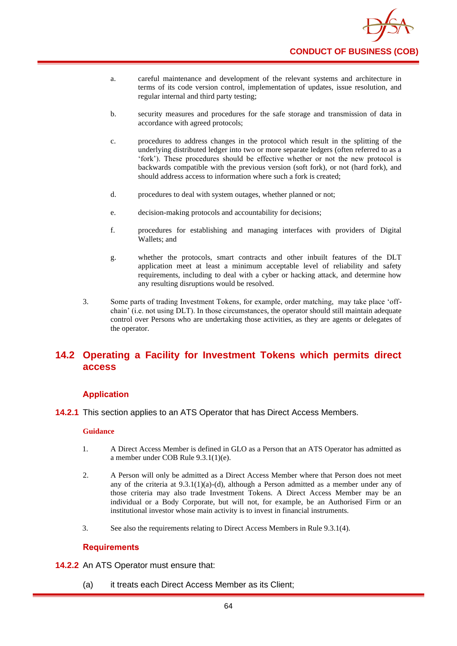

- a. careful maintenance and development of the relevant systems and architecture in terms of its code version control, implementation of updates, issue resolution, and regular internal and third party testing;
- b. security measures and procedures for the safe storage and transmission of data in accordance with agreed protocols;
- c. procedures to address changes in the protocol which result in the splitting of the underlying distributed ledger into two or more separate ledgers (often referred to as a 'fork'). These procedures should be effective whether or not the new protocol is backwards compatible with the previous version (soft fork), or not (hard fork), and should address access to information where such a fork is created;
- d. procedures to deal with system outages, whether planned or not;
- e. decision-making protocols and accountability for decisions;
- f. procedures for establishing and managing interfaces with providers of Digital Wallets; and
- g. whether the protocols, smart contracts and other inbuilt features of the DLT application meet at least a minimum acceptable level of reliability and safety requirements, including to deal with a cyber or hacking attack, and determine how any resulting disruptions would be resolved.
- 3. Some parts of trading Investment Tokens, for example, order matching, may take place 'offchain' (i.e. not using DLT). In those circumstances, the operator should still maintain adequate control over Persons who are undertaking those activities, as they are agents or delegates of the operator.

## **14.2 Operating a Facility for Investment Tokens which permits direct access**

#### **Application**

**14.2.1** This section applies to an ATS Operator that has Direct Access Members.

#### **Guidance**

- 1. A Direct Access Member is defined in GLO as a Person that an ATS Operator has admitted as a member under COB Rule 9.3.1(1)(e).
- 2. A Person will only be admitted as a Direct Access Member where that Person does not meet any of the criteria at  $9.3.1(1)(a)$ -(d), although a Person admitted as a member under any of those criteria may also trade Investment Tokens. A Direct Access Member may be an individual or a Body Corporate, but will not, for example, be an Authorised Firm or an institutional investor whose main activity is to invest in financial instruments.
- 3. See also the requirements relating to Direct Access Members in Rule 9.3.1(4).

#### **Requirements**

- **14.2.2** An ATS Operator must ensure that:
	- (a) it treats each Direct Access Member as its Client;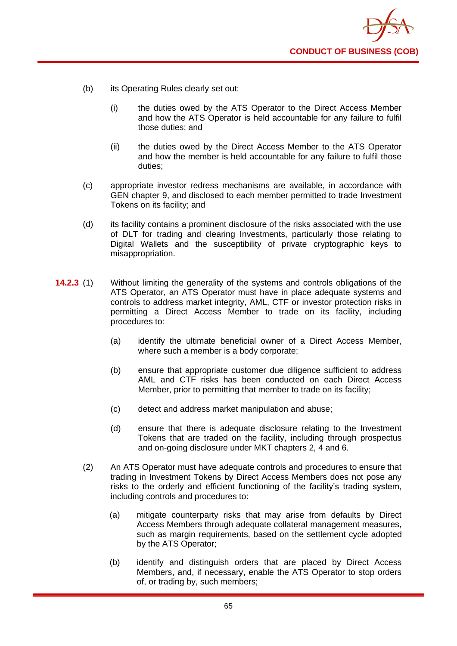

- (b) its Operating Rules clearly set out:
	- (i) the duties owed by the ATS Operator to the Direct Access Member and how the ATS Operator is held accountable for any failure to fulfil those duties; and
	- (ii) the duties owed by the Direct Access Member to the ATS Operator and how the member is held accountable for any failure to fulfil those duties;
- (c) appropriate investor redress mechanisms are available, in accordance with GEN chapter 9, and disclosed to each member permitted to trade Investment Tokens on its facility; and
- (d) its facility contains a prominent disclosure of the risks associated with the use of DLT for trading and clearing Investments, particularly those relating to Digital Wallets and the susceptibility of private cryptographic keys to misappropriation.
- **14.2.3** (1) Without limiting the generality of the systems and controls obligations of the ATS Operator, an ATS Operator must have in place adequate systems and controls to address market integrity, AML, CTF or investor protection risks in permitting a Direct Access Member to trade on its facility, including procedures to:
	- (a) identify the ultimate beneficial owner of a Direct Access Member, where such a member is a body corporate;
	- (b) ensure that appropriate customer due diligence sufficient to address AML and CTF risks has been conducted on each Direct Access Member, prior to permitting that member to trade on its facility;
	- (c) detect and address market manipulation and abuse;
	- (d) ensure that there is adequate disclosure relating to the Investment Tokens that are traded on the facility, including through prospectus and on-going disclosure under MKT chapters 2, 4 and 6.
	- (2) An ATS Operator must have adequate controls and procedures to ensure that trading in Investment Tokens by Direct Access Members does not pose any risks to the orderly and efficient functioning of the facility's trading system, including controls and procedures to:
		- (a) mitigate counterparty risks that may arise from defaults by Direct Access Members through adequate collateral management measures, such as margin requirements, based on the settlement cycle adopted by the ATS Operator;
		- (b) identify and distinguish orders that are placed by Direct Access Members, and, if necessary, enable the ATS Operator to stop orders of, or trading by, such members;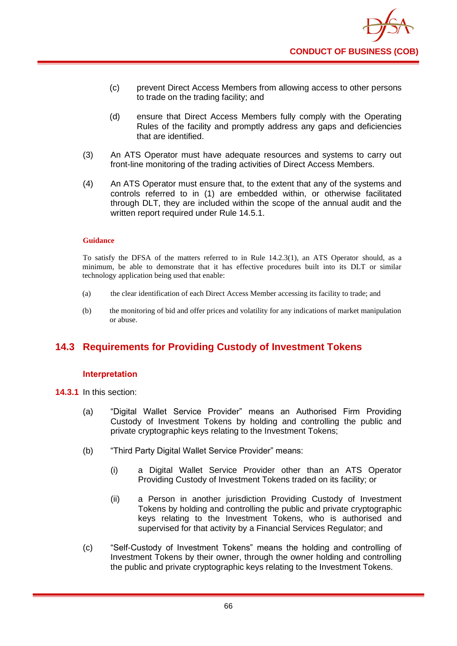- (c) prevent Direct Access Members from allowing access to other persons to trade on the trading facility; and
- (d) ensure that Direct Access Members fully comply with the Operating Rules of the facility and promptly address any gaps and deficiencies that are identified.
- (3) An ATS Operator must have adequate resources and systems to carry out front-line monitoring of the trading activities of Direct Access Members.
- (4) An ATS Operator must ensure that, to the extent that any of the systems and controls referred to in (1) are embedded within, or otherwise facilitated through DLT, they are included within the scope of the annual audit and the written report required under Rule 14.5.1.

To satisfy the DFSA of the matters referred to in Rule 14.2.3(1), an ATS Operator should, as a minimum, be able to demonstrate that it has effective procedures built into its DLT or similar technology application being used that enable:

- (a) the clear identification of each Direct Access Member accessing its facility to trade; and
- (b) the monitoring of bid and offer prices and volatility for any indications of market manipulation or abuse.

# **14.3 Requirements for Providing Custody of Investment Tokens**

### **Interpretation**

**14.3.1** In this section:

- (a) "Digital Wallet Service Provider" means an Authorised Firm Providing Custody of Investment Tokens by holding and controlling the public and private cryptographic keys relating to the Investment Tokens;
- (b) "Third Party Digital Wallet Service Provider" means:
	- (i) a Digital Wallet Service Provider other than an ATS Operator Providing Custody of Investment Tokens traded on its facility; or
	- (ii) a Person in another jurisdiction Providing Custody of Investment Tokens by holding and controlling the public and private cryptographic keys relating to the Investment Tokens, who is authorised and supervised for that activity by a Financial Services Regulator; and
- (c) "Self-Custody of Investment Tokens" means the holding and controlling of Investment Tokens by their owner, through the owner holding and controlling the public and private cryptographic keys relating to the Investment Tokens.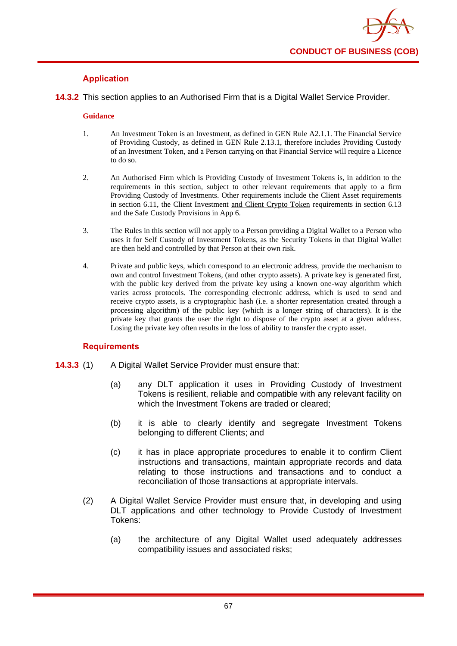

### **Application**

**14.3.2** This section applies to an Authorised Firm that is a Digital Wallet Service Provider.

#### **Guidance**

- 1. An Investment Token is an Investment, as defined in GEN Rule A2.1.1. The Financial Service of Providing Custody, as defined in GEN Rule 2.13.1, therefore includes Providing Custody of an Investment Token, and a Person carrying on that Financial Service will require a Licence to do so.
- 2. An Authorised Firm which is Providing Custody of Investment Tokens is, in addition to the requirements in this section, subject to other relevant requirements that apply to a firm Providing Custody of Investments. Other requirements include the Client Asset requirements in section 6.11, the Client Investment and Client Crypto Token requirements in section 6.13 and the Safe Custody Provisions in App 6.
- 3. The Rules in this section will not apply to a Person providing a Digital Wallet to a Person who uses it for Self Custody of Investment Tokens, as the Security Tokens in that Digital Wallet are then held and controlled by that Person at their own risk.
- 4. Private and public keys, which correspond to an electronic address, provide the mechanism to own and control Investment Tokens, (and other crypto assets). A private key is generated first, with the public key derived from the private key using a known one-way algorithm which varies across protocols. The corresponding electronic address, which is used to send and receive crypto assets, is a cryptographic hash (i.e. a shorter representation created through a processing algorithm) of the public key (which is a longer string of characters). It is the private key that grants the user the right to dispose of the crypto asset at a given address. Losing the private key often results in the loss of ability to transfer the crypto asset.

### **Requirements**

- **14.3.3** (1) A Digital Wallet Service Provider must ensure that:
	- (a) any DLT application it uses in Providing Custody of Investment Tokens is resilient, reliable and compatible with any relevant facility on which the Investment Tokens are traded or cleared;
	- (b) it is able to clearly identify and segregate Investment Tokens belonging to different Clients; and
	- (c) it has in place appropriate procedures to enable it to confirm Client instructions and transactions, maintain appropriate records and data relating to those instructions and transactions and to conduct a reconciliation of those transactions at appropriate intervals.
	- (2) A Digital Wallet Service Provider must ensure that, in developing and using DLT applications and other technology to Provide Custody of Investment Tokens:
		- (a) the architecture of any Digital Wallet used adequately addresses compatibility issues and associated risks;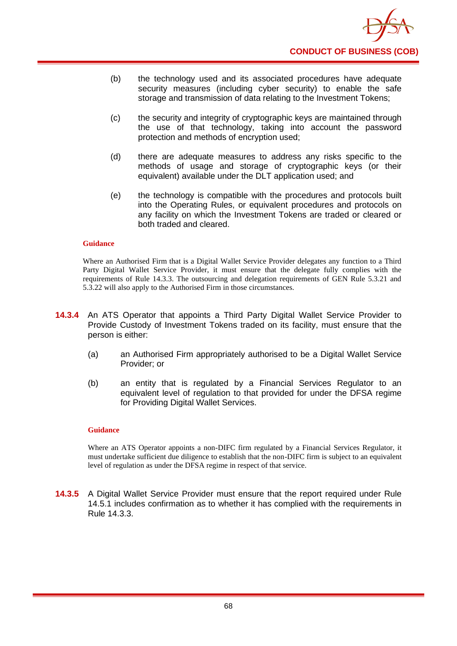

- (b) the technology used and its associated procedures have adequate security measures (including cyber security) to enable the safe storage and transmission of data relating to the Investment Tokens;
- (c) the security and integrity of cryptographic keys are maintained through the use of that technology, taking into account the password protection and methods of encryption used;
- (d) there are adequate measures to address any risks specific to the methods of usage and storage of cryptographic keys (or their equivalent) available under the DLT application used; and
- (e) the technology is compatible with the procedures and protocols built into the Operating Rules, or equivalent procedures and protocols on any facility on which the Investment Tokens are traded or cleared or both traded and cleared.

Where an Authorised Firm that is a Digital Wallet Service Provider delegates any function to a Third Party Digital Wallet Service Provider, it must ensure that the delegate fully complies with the requirements of Rule 14.3.3. The outsourcing and delegation requirements of GEN Rule 5.3.21 and 5.3.22 will also apply to the Authorised Firm in those circumstances.

- **14.3.4** An ATS Operator that appoints a Third Party Digital Wallet Service Provider to Provide Custody of Investment Tokens traded on its facility, must ensure that the person is either:
	- (a) an Authorised Firm appropriately authorised to be a Digital Wallet Service Provider; or
	- (b) an entity that is regulated by a Financial Services Regulator to an equivalent level of regulation to that provided for under the DFSA regime for Providing Digital Wallet Services.

#### **Guidance**

Where an ATS Operator appoints a non-DIFC firm regulated by a Financial Services Regulator, it must undertake sufficient due diligence to establish that the non-DIFC firm is subject to an equivalent level of regulation as under the DFSA regime in respect of that service.

**14.3.5** A Digital Wallet Service Provider must ensure that the report required under Rule 14.5.1 includes confirmation as to whether it has complied with the requirements in Rule 14.3.3.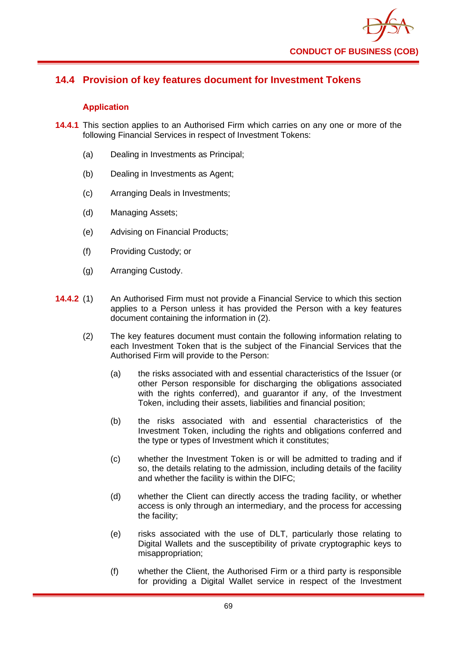

## **14.4 Provision of key features document for Investment Tokens**

### **Application**

- **14.4.1** This section applies to an Authorised Firm which carries on any one or more of the following Financial Services in respect of Investment Tokens:
	- (a) Dealing in Investments as Principal;
	- (b) Dealing in Investments as Agent;
	- (c) Arranging Deals in Investments;
	- (d) Managing Assets;
	- (e) Advising on Financial Products;
	- (f) Providing Custody; or
	- (g) Arranging Custody.
- **14.4.2** (1) An Authorised Firm must not provide a Financial Service to which this section applies to a Person unless it has provided the Person with a key features document containing the information in (2).
	- (2) The key features document must contain the following information relating to each Investment Token that is the subject of the Financial Services that the Authorised Firm will provide to the Person:
		- (a) the risks associated with and essential characteristics of the Issuer (or other Person responsible for discharging the obligations associated with the rights conferred), and guarantor if any, of the Investment Token, including their assets, liabilities and financial position;
		- (b) the risks associated with and essential characteristics of the Investment Token, including the rights and obligations conferred and the type or types of Investment which it constitutes;
		- (c) whether the Investment Token is or will be admitted to trading and if so, the details relating to the admission, including details of the facility and whether the facility is within the DIFC;
		- (d) whether the Client can directly access the trading facility, or whether access is only through an intermediary, and the process for accessing the facility;
		- (e) risks associated with the use of DLT, particularly those relating to Digital Wallets and the susceptibility of private cryptographic keys to misappropriation;
		- (f) whether the Client, the Authorised Firm or a third party is responsible for providing a Digital Wallet service in respect of the Investment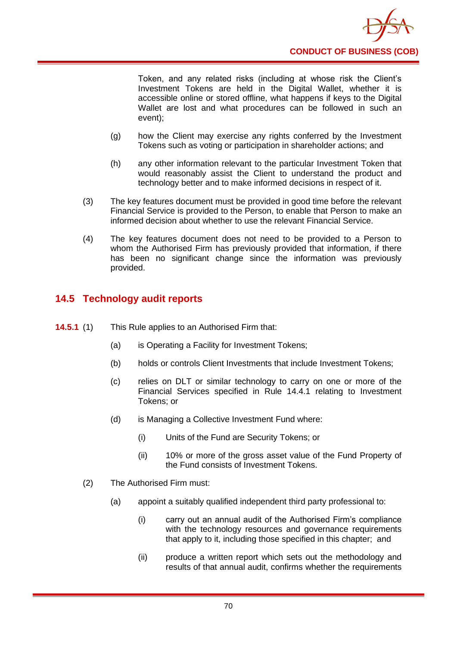

Token, and any related risks (including at whose risk the Client's Investment Tokens are held in the Digital Wallet, whether it is accessible online or stored offline, what happens if keys to the Digital Wallet are lost and what procedures can be followed in such an event);

- (g) how the Client may exercise any rights conferred by the Investment Tokens such as voting or participation in shareholder actions; and
- (h) any other information relevant to the particular Investment Token that would reasonably assist the Client to understand the product and technology better and to make informed decisions in respect of it.
- (3) The key features document must be provided in good time before the relevant Financial Service is provided to the Person, to enable that Person to make an informed decision about whether to use the relevant Financial Service.
- (4) The key features document does not need to be provided to a Person to whom the Authorised Firm has previously provided that information, if there has been no significant change since the information was previously provided.

## **14.5 Technology audit reports**

- **14.5.1** (1) This Rule applies to an Authorised Firm that:
	- (a) is Operating a Facility for Investment Tokens;
	- (b) holds or controls Client Investments that include Investment Tokens;
	- (c) relies on DLT or similar technology to carry on one or more of the Financial Services specified in Rule 14.4.1 relating to Investment Tokens; or
	- (d) is Managing a Collective Investment Fund where:
		- (i) Units of the Fund are Security Tokens; or
		- (ii) 10% or more of the gross asset value of the Fund Property of the Fund consists of Investment Tokens.
	- (2) The Authorised Firm must:
		- (a) appoint a suitably qualified independent third party professional to:
			- (i) carry out an annual audit of the Authorised Firm's compliance with the technology resources and governance requirements that apply to it, including those specified in this chapter; and
			- (ii) produce a written report which sets out the methodology and results of that annual audit, confirms whether the requirements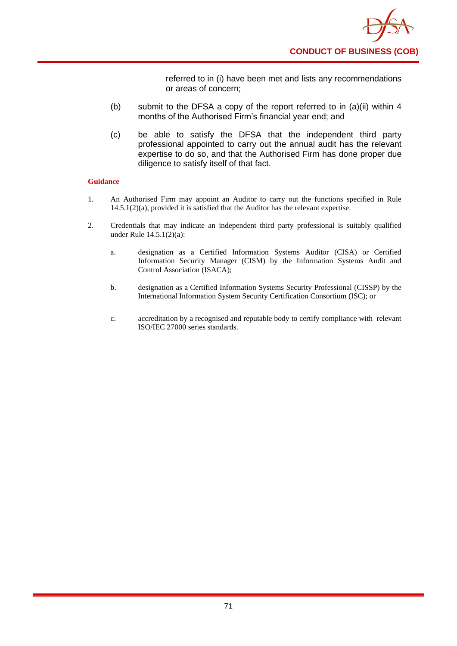

referred to in (i) have been met and lists any recommendations or areas of concern;

- (b) submit to the DFSA a copy of the report referred to in (a)(ii) within 4 months of the Authorised Firm's financial year end; and
- (c) be able to satisfy the DFSA that the independent third party professional appointed to carry out the annual audit has the relevant expertise to do so, and that the Authorised Firm has done proper due diligence to satisfy itself of that fact.

#### **Guidance**

- 1. An Authorised Firm may appoint an Auditor to carry out the functions specified in Rule 14.5.1(2)(a), provided it is satisfied that the Auditor has the relevant expertise.
- 2. Credentials that may indicate an independent third party professional is suitably qualified under Rule 14.5.1(2)(a):
	- a. designation as a Certified Information Systems Auditor (CISA) or Certified Information Security Manager (CISM) by the Information Systems Audit and Control Association (ISACA);
	- b. designation as a Certified Information Systems Security Professional (CISSP) by the International Information System Security Certification Consortium (ISC); or
	- c. accreditation by a recognised and reputable body to certify compliance with relevant ISO/IEC 27000 series standards.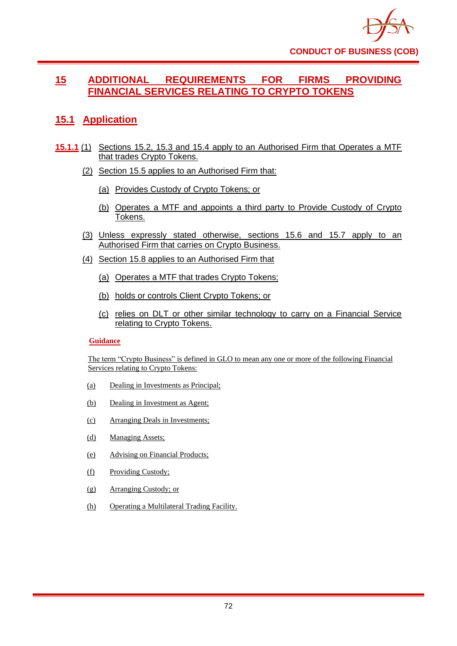

## **15 ADDITIONAL REQUIREMENTS FOR FIRMS PROVIDING FINANCIAL SERVICES RELATING TO CRYPTO TOKENS**

# **15.1 Application**

- **15.1.1** (1) Sections 15.2, 15.3 and 15.4 apply to an Authorised Firm that Operates a MTF that trades Crypto Tokens.
	- (2) Section 15.5 applies to an Authorised Firm that:
		- (a) Provides Custody of Crypto Tokens; or
		- (b) Operates a MTF and appoints a third party to Provide Custody of Crypto Tokens.
	- (3) Unless expressly stated otherwise, sections 15.6 and 15.7 apply to an Authorised Firm that carries on Crypto Business.
	- (4) Section 15.8 applies to an Authorised Firm that
		- (a) Operates a MTF that trades Crypto Tokens;
		- (b) holds or controls Client Crypto Tokens; or
		- (c) relies on DLT or other similar technology to carry on a Financial Service relating to Crypto Tokens.

#### **Guidance**

The term "Crypto Business" is defined in GLO to mean any one or more of the following Financial Services relating to Crypto Tokens:

- (a) Dealing in Investments as Principal;
- (b) Dealing in Investment as Agent;
- (c) Arranging Deals in Investments;
- (d) Managing Assets;
- (e) Advising on Financial Products;
- (f) Providing Custody;
- (g) Arranging Custody; or
- (h) Operating a Multilateral Trading Facility.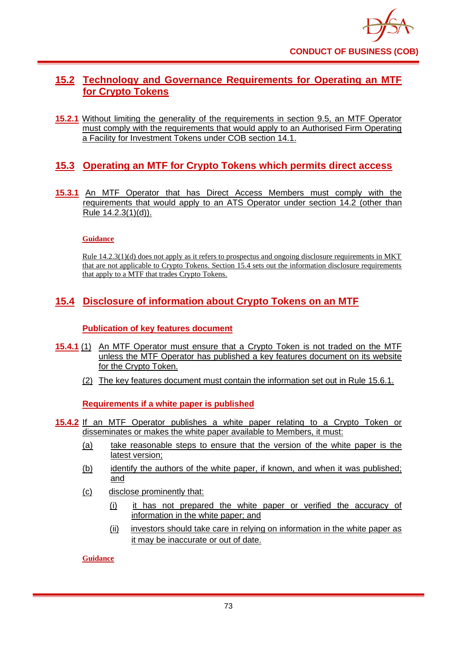

# **15.2 Technology and Governance Requirements for Operating an MTF for Crypto Tokens**

**15.2.1** Without limiting the generality of the requirements in section 9.5, an MTF Operator must comply with the requirements that would apply to an Authorised Firm Operating a Facility for Investment Tokens under COB section 14.1.

# **15.3 Operating an MTF for Crypto Tokens which permits direct access**

**15.3.1** An MTF Operator that has Direct Access Members must comply with the requirements that would apply to an ATS Operator under section 14.2 (other than Rule 14.2.3(1)(d)).

### **Guidance**

Rule 14.2.3(1)(d) does not apply as it refers to prospectus and ongoing disclosure requirements in MKT that are not applicable to Crypto Tokens. Section 15.4 sets out the information disclosure requirements that apply to a MTF that trades Crypto Tokens.

# **15.4 Disclosure of information about Crypto Tokens on an MTF**

### **Publication of key features document**

- **15.4.1** (1) An MTF Operator must ensure that a Crypto Token is not traded on the MTF unless the MTF Operator has published a key features document on its website for the Crypto Token.
	- (2) The key features document must contain the information set out in Rule 15.6.1.

**Requirements if a white paper is published**

- **15.4.2** If an MTF Operator publishes a white paper relating to a Crypto Token or disseminates or makes the white paper available to Members, it must:
	- (a) take reasonable steps to ensure that the version of the white paper is the latest version;
	- (b) identify the authors of the white paper, if known, and when it was published; and
	- (c) disclose prominently that:
		- (i) it has not prepared the white paper or verified the accuracy of information in the white paper; and
		- (ii) investors should take care in relying on information in the white paper as it may be inaccurate or out of date.

### **Guidance**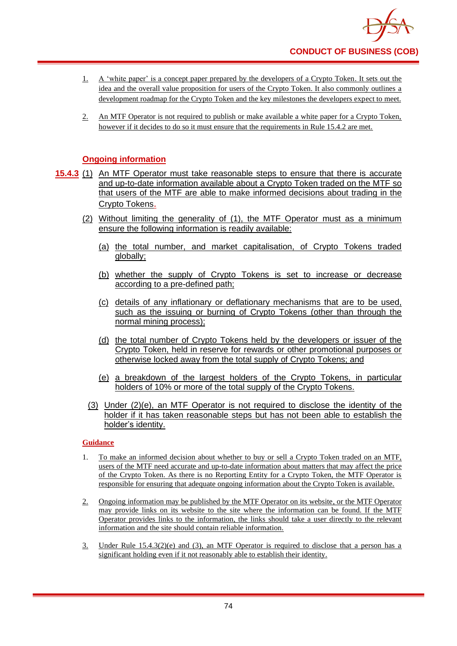

- 1. A 'white paper' is a concept paper prepared by the developers of a Crypto Token. It sets out the idea and the overall value proposition for users of the Crypto Token. It also commonly outlines a development roadmap for the Crypto Token and the key milestones the developers expect to meet.
- 2. An MTF Operator is not required to publish or make available a white paper for a Crypto Token, however if it decides to do so it must ensure that the requirements in Rule 15.4.2 are met.

### **Ongoing information**

- **15.4.3** (1) An MTF Operator must take reasonable steps to ensure that there is accurate and up-to-date information available about a Crypto Token traded on the MTF so that users of the MTF are able to make informed decisions about trading in the Crypto Tokens.
	- (2) Without limiting the generality of (1), the MTF Operator must as a minimum ensure the following information is readily available:
		- (a) the total number, and market capitalisation, of Crypto Tokens traded globally;
		- (b) whether the supply of Crypto Tokens is set to increase or decrease according to a pre-defined path;
		- (c) details of any inflationary or deflationary mechanisms that are to be used, such as the issuing or burning of Crypto Tokens (other than through the normal mining process);
		- (d) the total number of Crypto Tokens held by the developers or issuer of the Crypto Token, held in reserve for rewards or other promotional purposes or otherwise locked away from the total supply of Crypto Tokens; and
		- (e) a breakdown of the largest holders of the Crypto Tokens, in particular holders of 10% or more of the total supply of the Crypto Tokens.
		- (3) Under (2)(e), an MTF Operator is not required to disclose the identity of the holder if it has taken reasonable steps but has not been able to establish the holder's identity.

#### **Guidance**

- 1. To make an informed decision about whether to buy or sell a Crypto Token traded on an MTF, users of the MTF need accurate and up-to-date information about matters that may affect the price of the Crypto Token. As there is no Reporting Entity for a Crypto Token, the MTF Operator is responsible for ensuring that adequate ongoing information about the Crypto Token is available.
- 2. Ongoing information may be published by the MTF Operator on its website, or the MTF Operator may provide links on its website to the site where the information can be found. If the MTF Operator provides links to the information, the links should take a user directly to the relevant information and the site should contain reliable information.
- 3. Under Rule 15.4.3(2)(e) and (3), an MTF Operator is required to disclose that a person has a significant holding even if it not reasonably able to establish their identity.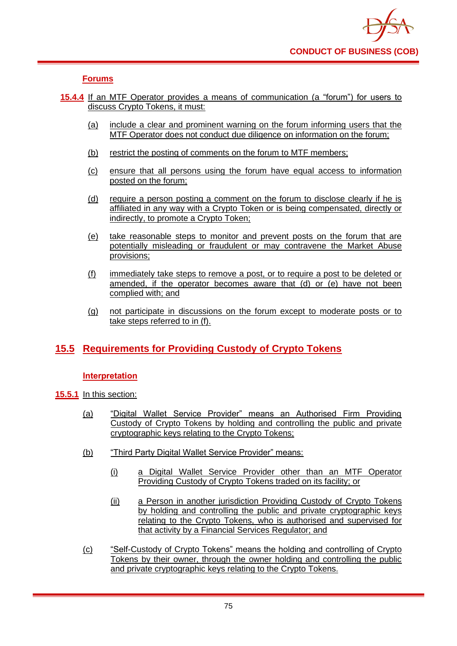### **Forums**

- **15.4.4** If an MTF Operator provides a means of communication (a "forum") for users to discuss Crypto Tokens, it must:
	- (a) include a clear and prominent warning on the forum informing users that the MTF Operator does not conduct due diligence on information on the forum;
	- (b) restrict the posting of comments on the forum to MTF members;
	- (c) ensure that all persons using the forum have equal access to information posted on the forum;
	- (d) require a person posting a comment on the forum to disclose clearly if he is affiliated in any way with a Crypto Token or is being compensated, directly or indirectly, to promote a Crypto Token;
	- (e) take reasonable steps to monitor and prevent posts on the forum that are potentially misleading or fraudulent or may contravene the Market Abuse provisions;
	- (f) immediately take steps to remove a post, or to require a post to be deleted or amended, if the operator becomes aware that (d) or (e) have not been complied with; and
	- (g) not participate in discussions on the forum except to moderate posts or to take steps referred to in (f).

# **15.5 Requirements for Providing Custody of Crypto Tokens**

### **Interpretation**

- **15.5.1** In this section:
	- (a) "Digital Wallet Service Provider" means an Authorised Firm Providing Custody of Crypto Tokens by holding and controlling the public and private cryptographic keys relating to the Crypto Tokens;
	- (b) "Third Party Digital Wallet Service Provider" means:
		- (i) a Digital Wallet Service Provider other than an MTF Operator Providing Custody of Crypto Tokens traded on its facility; or
		- (ii) a Person in another jurisdiction Providing Custody of Crypto Tokens by holding and controlling the public and private cryptographic keys relating to the Crypto Tokens, who is authorised and supervised for that activity by a Financial Services Regulator; and
	- (c) "Self-Custody of Crypto Tokens" means the holding and controlling of Crypto Tokens by their owner, through the owner holding and controlling the public and private cryptographic keys relating to the Crypto Tokens.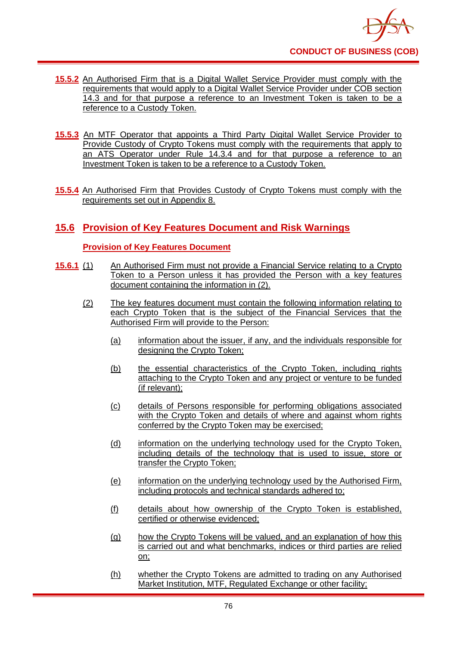

- **15.5.2** An Authorised Firm that is a Digital Wallet Service Provider must comply with the requirements that would apply to a Digital Wallet Service Provider under COB section 14.3 and for that purpose a reference to an Investment Token is taken to be a reference to a Custody Token.
- **15.5.3** An MTF Operator that appoints a Third Party Digital Wallet Service Provider to Provide Custody of Crypto Tokens must comply with the requirements that apply to an ATS Operator under Rule 14.3.4 and for that purpose a reference to an Investment Token is taken to be a reference to a Custody Token.
- **15.5.4** An Authorised Firm that Provides Custody of Crypto Tokens must comply with the requirements set out in Appendix 8.

# **15.6 Provision of Key Features Document and Risk Warnings**

### **Provision of Key Features Document**

- **15.6.1** (1) An Authorised Firm must not provide a Financial Service relating to a Crypto Token to a Person unless it has provided the Person with a key features document containing the information in (2).
	- (2) The key features document must contain the following information relating to each Crypto Token that is the subject of the Financial Services that the Authorised Firm will provide to the Person:
		- (a) information about the issuer, if any, and the individuals responsible for designing the Crypto Token:
		- (b) the essential characteristics of the Crypto Token, including rights attaching to the Crypto Token and any project or venture to be funded (if relevant);
		- (c) details of Persons responsible for performing obligations associated with the Crypto Token and details of where and against whom rights conferred by the Crypto Token may be exercised;
		- (d) information on the underlying technology used for the Crypto Token, including details of the technology that is used to issue, store or transfer the Crypto Token;
		- (e) information on the underlying technology used by the Authorised Firm, including protocols and technical standards adhered to;
		- (f) details about how ownership of the Crypto Token is established, certified or otherwise evidenced;
		- (g) how the Crypto Tokens will be valued, and an explanation of how this is carried out and what benchmarks, indices or third parties are relied on;
		- (h) whether the Crypto Tokens are admitted to trading on any Authorised Market Institution, MTF, Regulated Exchange or other facility;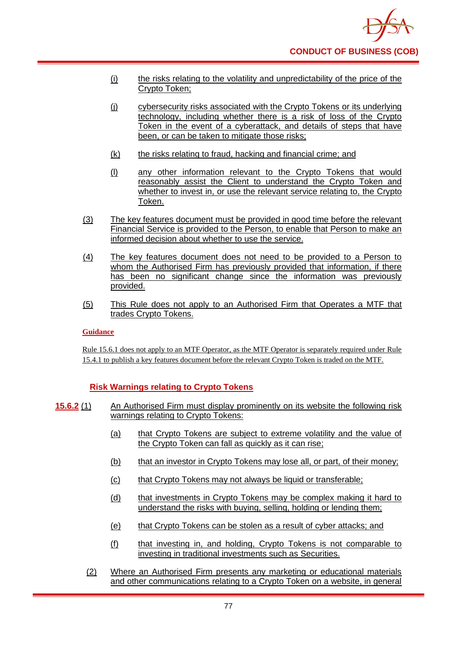- (i) the risks relating to the volatility and unpredictability of the price of the Crypto Token;
- (j) cybersecurity risks associated with the Crypto Tokens or its underlying technology, including whether there is a risk of loss of the Crypto Token in the event of a cyberattack, and details of steps that have been, or can be taken to mitigate those risks;
- (k) the risks relating to fraud, hacking and financial crime; and
- (l) any other information relevant to the Crypto Tokens that would reasonably assist the Client to understand the Crypto Token and whether to invest in, or use the relevant service relating to, the Crypto Token.
- (3) The key features document must be provided in good time before the relevant Financial Service is provided to the Person, to enable that Person to make an informed decision about whether to use the service.
- (4) The key features document does not need to be provided to a Person to whom the Authorised Firm has previously provided that information, if there has been no significant change since the information was previously provided.
- (5) This Rule does not apply to an Authorised Firm that Operates a MTF that trades Crypto Tokens.

### **Guidance**

Rule 15.6.1 does not apply to an MTF Operator, as the MTF Operator is separately required under Rule 15.4.1 to publish a key features document before the relevant Crypto Token is traded on the MTF.

### **Risk Warnings relating to Crypto Tokens**

- **15.6.2** (1) An Authorised Firm must display prominently on its website the following risk warnings relating to Crypto Tokens:
	- (a) that Crypto Tokens are subject to extreme volatility and the value of the Crypto Token can fall as quickly as it can rise;
	- (b) that an investor in Crypto Tokens may lose all, or part, of their money;
	- (c) that Crypto Tokens may not always be liquid or transferable;
	- (d) that investments in Crypto Tokens may be complex making it hard to understand the risks with buying, selling, holding or lending them;
	- (e) that Crypto Tokens can be stolen as a result of cyber attacks; and
	- (f) that investing in, and holding, Crypto Tokens is not comparable to investing in traditional investments such as Securities.
	- (2) Where an Authorised Firm presents any marketing or educational materials and other communications relating to a Crypto Token on a website, in general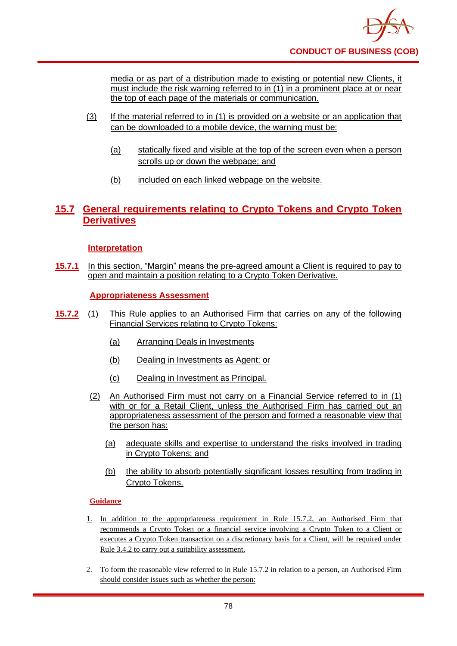media or as part of a distribution made to existing or potential new Clients, it must include the risk warning referred to in (1) in a prominent place at or near the top of each page of the materials or communication.

- (3) If the material referred to in (1) is provided on a website or an application that can be downloaded to a mobile device, the warning must be:
	- (a) statically fixed and visible at the top of the screen even when a person scrolls up or down the webpage; and
	- (b) included on each linked webpage on the website.

## **15.7 General requirements relating to Crypto Tokens and Crypto Token Derivatives**

### **Interpretation**

**15.7.1** In this section, "Margin" means the pre-agreed amount a Client is required to pay to open and maintain a position relating to a Crypto Token Derivative.

**Appropriateness Assessment**

- **15.7.2** (1) This Rule applies to an Authorised Firm that carries on any of the following Financial Services relating to Crypto Tokens:
	- (a) Arranging Deals in Investments
	- (b) Dealing in Investments as Agent; or
	- (c) Dealing in Investment as Principal.
	- (2) An Authorised Firm must not carry on a Financial Service referred to in (1) with or for a Retail Client, unless the Authorised Firm has carried out an appropriateness assessment of the person and formed a reasonable view that the person has:
		- (a) adequate skills and expertise to understand the risks involved in trading in Crypto Tokens; and
		- (b) the ability to absorb potentially significant losses resulting from trading in Crypto Tokens.

### **Guidance**

- 1. In addition to the appropriateness requirement in Rule 15.7.2, an Authorised Firm that recommends a Crypto Token or a financial service involving a Crypto Token to a Client or executes a Crypto Token transaction on a discretionary basis for a Client, will be required under Rule 3.4.2 to carry out a suitability assessment.
- 2. To form the reasonable view referred to in Rule 15.7.2 in relation to a person, an Authorised Firm should consider issues such as whether the person: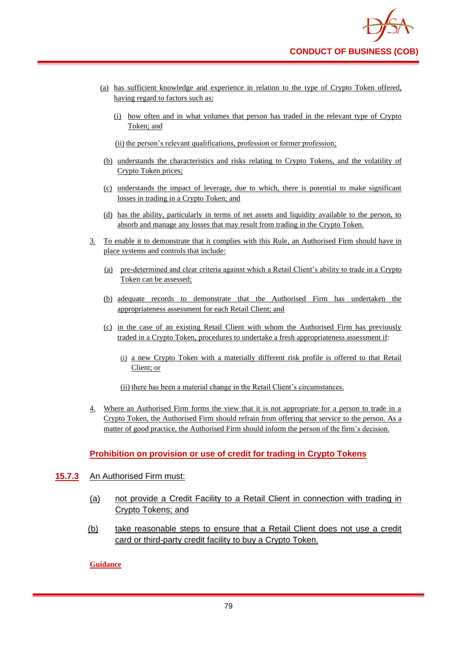- (a) has sufficient knowledge and experience in relation to the type of Crypto Token offered, having regard to factors such as:
	- (i) how often and in what volumes that person has traded in the relevant type of Crypto Token; and
	- (ii) the person's relevant qualifications, profession or former profession;
- (b) understands the characteristics and risks relating to Crypto Tokens, and the volatility of Crypto Token prices;
- (c) understands the impact of leverage, due to which, there is potential to make significant losses in trading in a Crypto Token; and
- (d) has the ability, particularly in terms of net assets and liquidity available to the person, to absorb and manage any losses that may result from trading in the Crypto Token.
- 3. To enable it to demonstrate that it complies with this Rule, an Authorised Firm should have in place systems and controls that include:
	- (a) pre-determined and clear criteria against which a Retail Client's ability to trade in a Crypto Token can be assessed;
	- (b) adequate records to demonstrate that the Authorised Firm has undertaken the appropriateness assessment for each Retail Client; and
	- (c) in the case of an existing Retail Client with whom the Authorised Firm has previously traded in a Crypto Token, procedures to undertake a fresh appropriateness assessment if:
		- (i) a new Crypto Token with a materially different risk profile is offered to that Retail Client; or

(ii) there has been a material change in the Retail Client's circumstances.

4. Where an Authorised Firm forms the view that it is not appropriate for a person to trade in a Crypto Token, the Authorised Firm should refrain from offering that service to the person. As a matter of good practice, the Authorised Firm should inform the person of the firm's decision.

## **Prohibition on provision or use of credit for trading in Crypto Tokens**

- **15.7.3** An Authorised Firm must:
	- (a) not provide a Credit Facility to a Retail Client in connection with trading in Crypto Tokens; and
	- (b) take reasonable steps to ensure that a Retail Client does not use a credit card or third-party credit facility to buy a Crypto Token.

**Guidance**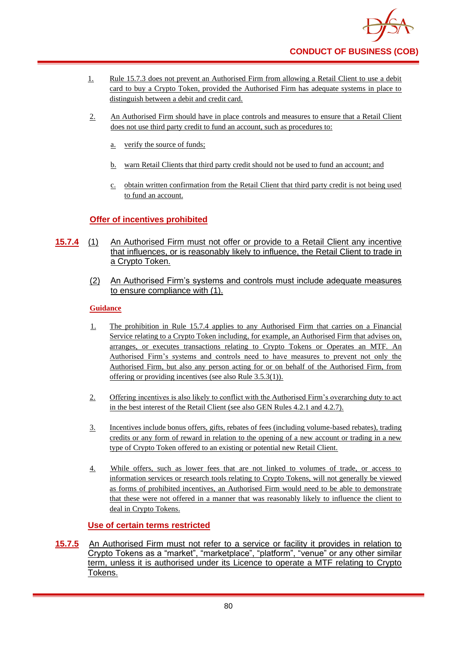

- 1. Rule 15.7.3 does not prevent an Authorised Firm from allowing a Retail Client to use a debit card to buy a Crypto Token, provided the Authorised Firm has adequate systems in place to distinguish between a debit and credit card.
- 2. An Authorised Firm should have in place controls and measures to ensure that a Retail Client does not use third party credit to fund an account, such as procedures to:
	- a. verify the source of funds;
	- b. warn Retail Clients that third party credit should not be used to fund an account; and
	- c. obtain written confirmation from the Retail Client that third party credit is not being used to fund an account.

### **Offer of incentives prohibited**

- **15.7.4** (1) An Authorised Firm must not offer or provide to a Retail Client any incentive that influences, or is reasonably likely to influence, the Retail Client to trade in a Crypto Token.
	- (2) An Authorised Firm's systems and controls must include adequate measures to ensure compliance with (1).

#### **Guidance**

- 1. The prohibition in Rule 15.7.4 applies to any Authorised Firm that carries on a Financial Service relating to a Crypto Token including, for example, an Authorised Firm that advises on, arranges, or executes transactions relating to Crypto Tokens or Operates an MTF. An Authorised Firm's systems and controls need to have measures to prevent not only the Authorised Firm, but also any person acting for or on behalf of the Authorised Firm, from offering or providing incentives (see also Rule 3.5.3(1)).
- 2. Offering incentives is also likely to conflict with the Authorised Firm's overarching duty to act in the best interest of the Retail Client (see also GEN Rules 4.2.1 and 4.2.7).
- 3. Incentives include bonus offers, gifts, rebates of fees (including volume-based rebates), trading credits or any form of reward in relation to the opening of a new account or trading in a new type of Crypto Token offered to an existing or potential new Retail Client.
- 4. While offers, such as lower fees that are not linked to volumes of trade, or access to information services or research tools relating to Crypto Tokens, will not generally be viewed as forms of prohibited incentives, an Authorised Firm would need to be able to demonstrate that these were not offered in a manner that was reasonably likely to influence the client to deal in Crypto Tokens.

### **Use of certain terms restricted**

**15.7.5** An Authorised Firm must not refer to a service or facility it provides in relation to Crypto Tokens as a "market", "marketplace", "platform", "venue" or any other similar term, unless it is authorised under its Licence to operate a MTF relating to Crypto Tokens.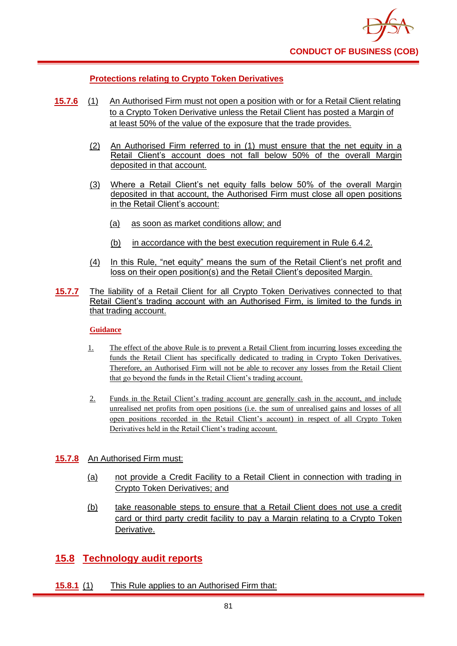## **Protections relating to Crypto Token Derivatives**

- **15.7.6** (1) An Authorised Firm must not open a position with or for a Retail Client relating to a Crypto Token Derivative unless the Retail Client has posted a Margin of at least 50% of the value of the exposure that the trade provides.
	- (2) An Authorised Firm referred to in (1) must ensure that the net equity in a Retail Client's account does not fall below 50% of the overall Margin deposited in that account.
	- (3) Where a Retail Client's net equity falls below 50% of the overall Margin deposited in that account, the Authorised Firm must close all open positions in the Retail Client's account:
		- (a) as soon as market conditions allow; and
		- (b) in accordance with the best execution requirement in Rule 6.4.2.
	- (4) In this Rule, "net equity" means the sum of the Retail Client's net profit and loss on their open position(s) and the Retail Client's deposited Margin.
- **15.7.7** The liability of a Retail Client for all Crypto Token Derivatives connected to that Retail Client's trading account with an Authorised Firm, is limited to the funds in that trading account.

### **Guidance**

- 1. The effect of the above Rule is to prevent a Retail Client from incurring losses exceeding the funds the Retail Client has specifically dedicated to trading in Crypto Token Derivatives. Therefore, an Authorised Firm will not be able to recover any losses from the Retail Client that go beyond the funds in the Retail Client's trading account.
- 2. Funds in the Retail Client's trading account are generally cash in the account, and include unrealised net profits from open positions (i.e. the sum of unrealised gains and losses of all open positions recorded in the Retail Client's account) in respect of all Crypto Token Derivatives held in the Retail Client's trading account.

### **15.7.8** An Authorised Firm must:

- (a) not provide a Credit Facility to a Retail Client in connection with trading in Crypto Token Derivatives; and
- (b) take reasonable steps to ensure that a Retail Client does not use a credit card or third party credit facility to pay a Margin relating to a Crypto Token Derivative.

# **15.8 Technology audit reports**

### **15.8.1** (1) This Rule applies to an Authorised Firm that: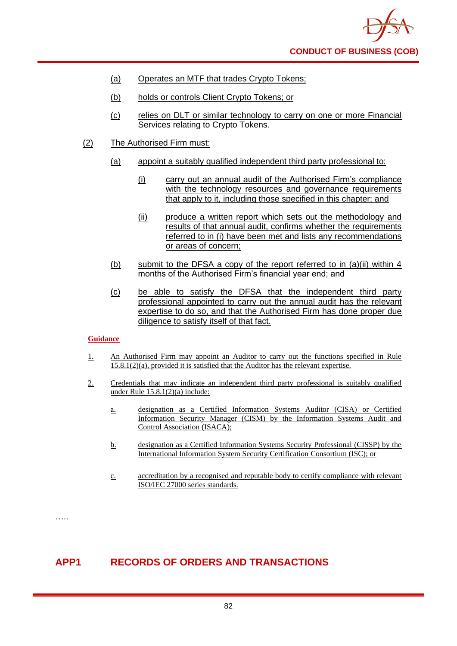

- (a) Operates an MTF that trades Crypto Tokens;
- (b) holds or controls Client Crypto Tokens; or
- (c) relies on DLT or similar technology to carry on one or more Financial Services relating to Crypto Tokens.
- (2) The Authorised Firm must:
	- (a) appoint a suitably qualified independent third party professional to:
		- (i) carry out an annual audit of the Authorised Firm's compliance with the technology resources and governance requirements that apply to it, including those specified in this chapter; and
		- (ii) produce a written report which sets out the methodology and results of that annual audit, confirms whether the requirements referred to in (i) have been met and lists any recommendations or areas of concern;
	- (b) submit to the DFSA a copy of the report referred to in (a)(ii) within 4 months of the Authorised Firm's financial year end; and
	- (c) be able to satisfy the DFSA that the independent third party professional appointed to carry out the annual audit has the relevant expertise to do so, and that the Authorised Firm has done proper due diligence to satisfy itself of that fact.

#### **Guidance**

- 1. An Authorised Firm may appoint an Auditor to carry out the functions specified in Rule 15.8.1(2)(a), provided it is satisfied that the Auditor has the relevant expertise.
- 2. Credentials that may indicate an independent third party professional is suitably qualified under Rule 15.8.1(2)(a) include:
	- a. designation as a Certified Information Systems Auditor (CISA) or Certified Information Security Manager (CISM) by the Information Systems Audit and Control Association (ISACA);
	- b. designation as a Certified Information Systems Security Professional (CISSP) by the International Information System Security Certification Consortium (ISC); or
	- c. accreditation by a recognised and reputable body to certify compliance with relevant ISO/IEC 27000 series standards.

……

### **APP1 RECORDS OF ORDERS AND TRANSACTIONS**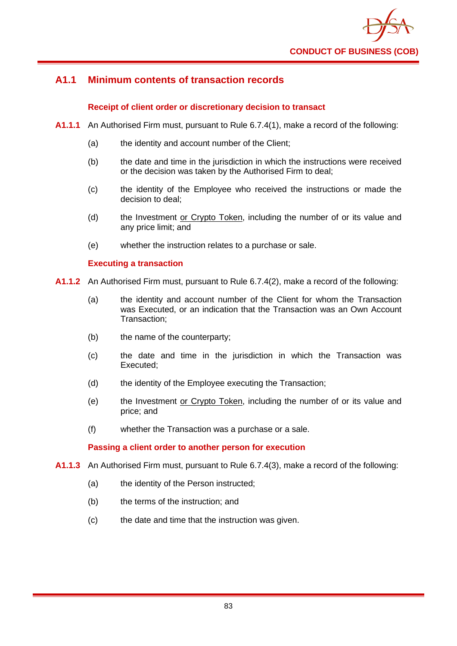

## **A1.1 Minimum contents of transaction records**

### **Receipt of client order or discretionary decision to transact**

- **A1.1.1** An Authorised Firm must, pursuant to Rule 6.7.4(1), make a record of the following:
	- (a) the identity and account number of the Client;
	- (b) the date and time in the jurisdiction in which the instructions were received or the decision was taken by the Authorised Firm to deal;
	- (c) the identity of the Employee who received the instructions or made the decision to deal;
	- (d) the Investment or Crypto Token, including the number of or its value and any price limit; and
	- (e) whether the instruction relates to a purchase or sale.

#### **Executing a transaction**

- **A1.1.2** An Authorised Firm must, pursuant to Rule 6.7.4(2), make a record of the following:
	- (a) the identity and account number of the Client for whom the Transaction was Executed, or an indication that the Transaction was an Own Account Transaction;
	- (b) the name of the counterparty;
	- (c) the date and time in the jurisdiction in which the Transaction was Executed;
	- (d) the identity of the Employee executing the Transaction;
	- (e) the Investment or Crypto Token, including the number of or its value and price; and
	- (f) whether the Transaction was a purchase or a sale.

#### **Passing a client order to another person for execution**

- **A1.1.3** An Authorised Firm must, pursuant to Rule 6.7.4(3), make a record of the following:
	- (a) the identity of the Person instructed;
	- (b) the terms of the instruction; and
	- (c) the date and time that the instruction was given.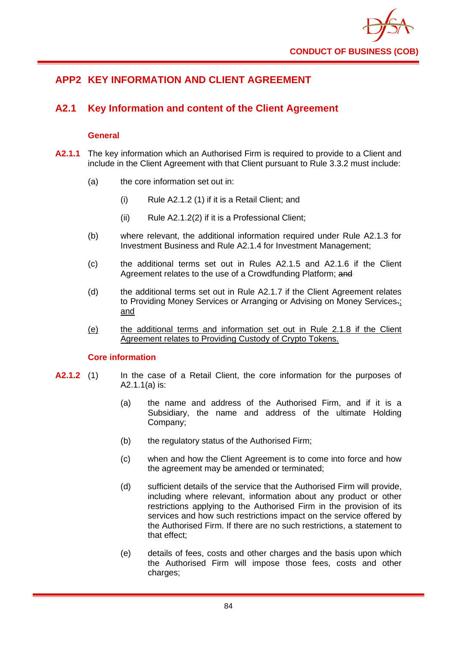

# **APP2 KEY INFORMATION AND CLIENT AGREEMENT**

## **A2.1 Key Information and content of the Client Agreement**

#### **General**

- **A2.1.1** The key information which an Authorised Firm is required to provide to a Client and include in the Client Agreement with that Client pursuant to Rule 3.3.2 must include:
	- (a) the core information set out in:
		- (i) Rule A2.1.2 (1) if it is a Retail Client; and
		- (ii) Rule A2.1.2(2) if it is a Professional Client;
	- (b) where relevant, the additional information required under Rule A2.1.3 for Investment Business and Rule A2.1.4 for Investment Management;
	- (c) the additional terms set out in Rules A2.1.5 and A2.1.6 if the Client Agreement relates to the use of a Crowdfunding Platform; and
	- (d) the additional terms set out in Rule A2.1.7 if the Client Agreement relates to Providing Money Services or Arranging or Advising on Money Services.; and
	- (e) the additional terms and information set out in Rule 2.1.8 if the Client Agreement relates to Providing Custody of Crypto Tokens.

#### **Core information**

- **A2.1.2** (1) In the case of a Retail Client, the core information for the purposes of A2.1.1(a) is:
	- (a) the name and address of the Authorised Firm, and if it is a Subsidiary, the name and address of the ultimate Holding Company;
	- (b) the regulatory status of the Authorised Firm;
	- (c) when and how the Client Agreement is to come into force and how the agreement may be amended or terminated;
	- (d) sufficient details of the service that the Authorised Firm will provide, including where relevant, information about any product or other restrictions applying to the Authorised Firm in the provision of its services and how such restrictions impact on the service offered by the Authorised Firm. If there are no such restrictions, a statement to that effect;
	- (e) details of fees, costs and other charges and the basis upon which the Authorised Firm will impose those fees, costs and other charges;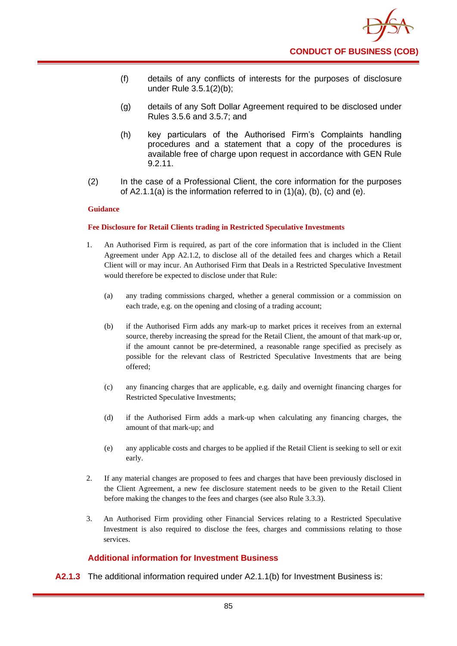- (f) details of any conflicts of interests for the purposes of disclosure under Rule 3.5.1(2)(b);
- (g) details of any Soft Dollar Agreement required to be disclosed under Rules 3.5.6 and 3.5.7; and
- (h) key particulars of the Authorised Firm's Complaints handling procedures and a statement that a copy of the procedures is available free of charge upon request in accordance with GEN Rule 9.2.11.
- (2) In the case of a Professional Client, the core information for the purposes of A2.1.1(a) is the information referred to in  $(1)(a)$ ,  $(b)$ ,  $(c)$  and  $(e)$ .

#### **Guidance**

#### **Fee Disclosure for Retail Clients trading in Restricted Speculative Investments**

- 1. An Authorised Firm is required, as part of the core information that is included in the Client Agreement under App A2.1.2, to disclose all of the detailed fees and charges which a Retail Client will or may incur. An Authorised Firm that Deals in a Restricted Speculative Investment would therefore be expected to disclose under that Rule:
	- (a) any trading commissions charged, whether a general commission or a commission on each trade, e.g. on the opening and closing of a trading account;
	- (b) if the Authorised Firm adds any mark-up to market prices it receives from an external source, thereby increasing the spread for the Retail Client, the amount of that mark-up or, if the amount cannot be pre-determined, a reasonable range specified as precisely as possible for the relevant class of Restricted Speculative Investments that are being offered;
	- (c) any financing charges that are applicable, e.g. daily and overnight financing charges for Restricted Speculative Investments;
	- (d) if the Authorised Firm adds a mark-up when calculating any financing charges, the amount of that mark-up; and
	- (e) any applicable costs and charges to be applied if the Retail Client is seeking to sell or exit early.
- 2. If any material changes are proposed to fees and charges that have been previously disclosed in the Client Agreement, a new fee disclosure statement needs to be given to the Retail Client before making the changes to the fees and charges (see also Rule 3.3.3).
- 3. An Authorised Firm providing other Financial Services relating to a Restricted Speculative Investment is also required to disclose the fees, charges and commissions relating to those services.

### **Additional information for Investment Business**

**A2.1.3** The additional information required under A2.1.1(b) for Investment Business is: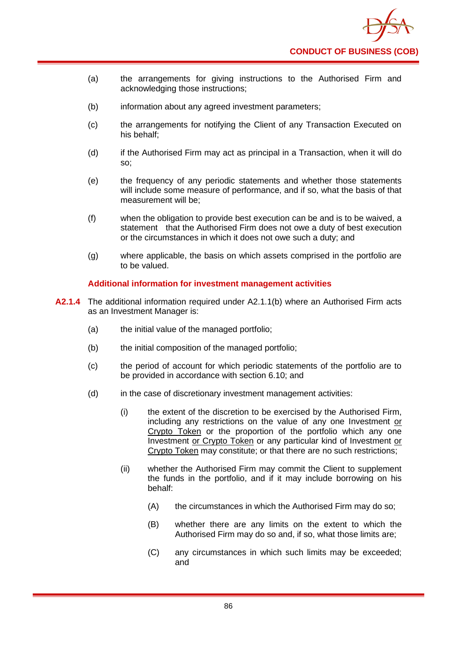

- (a) the arrangements for giving instructions to the Authorised Firm and acknowledging those instructions;
- (b) information about any agreed investment parameters;
- (c) the arrangements for notifying the Client of any Transaction Executed on his behalf;
- (d) if the Authorised Firm may act as principal in a Transaction, when it will do so;
- (e) the frequency of any periodic statements and whether those statements will include some measure of performance, and if so, what the basis of that measurement will be;
- (f) when the obligation to provide best execution can be and is to be waived, a statement that the Authorised Firm does not owe a duty of best execution or the circumstances in which it does not owe such a duty; and
- (g) where applicable, the basis on which assets comprised in the portfolio are to be valued.

#### **Additional information for investment management activities**

- **A2.1.4** The additional information required under A2.1.1(b) where an Authorised Firm acts as an Investment Manager is:
	- (a) the initial value of the managed portfolio;
	- (b) the initial composition of the managed portfolio;
	- (c) the period of account for which periodic statements of the portfolio are to be provided in accordance with section 6.10; and
	- (d) in the case of discretionary investment management activities:
		- (i) the extent of the discretion to be exercised by the Authorised Firm, including any restrictions on the value of any one Investment or Crypto Token or the proportion of the portfolio which any one Investment or Crypto Token or any particular kind of Investment or Crypto Token may constitute; or that there are no such restrictions;
		- (ii) whether the Authorised Firm may commit the Client to supplement the funds in the portfolio, and if it may include borrowing on his behalf:
			- (A) the circumstances in which the Authorised Firm may do so;
			- (B) whether there are any limits on the extent to which the Authorised Firm may do so and, if so, what those limits are;
			- (C) any circumstances in which such limits may be exceeded; and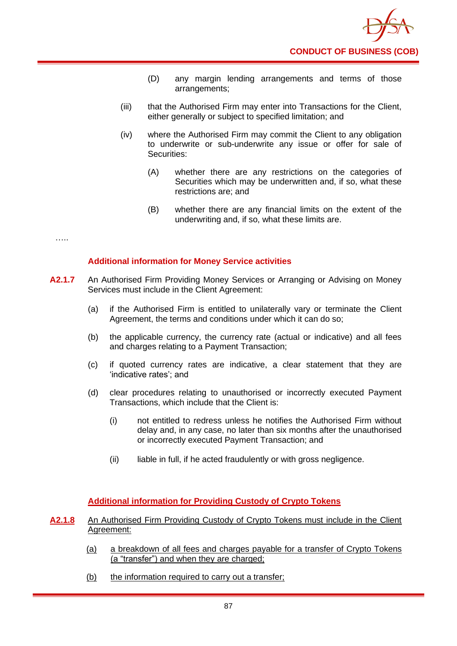- (D) any margin lending arrangements and terms of those arrangements;
- (iii) that the Authorised Firm may enter into Transactions for the Client, either generally or subject to specified limitation; and
- (iv) where the Authorised Firm may commit the Client to any obligation to underwrite or sub-underwrite any issue or offer for sale of Securities:
	- (A) whether there are any restrictions on the categories of Securities which may be underwritten and, if so, what these restrictions are; and
	- (B) whether there are any financial limits on the extent of the underwriting and, if so, what these limits are.

…..

### **Additional information for Money Service activities**

- **A2.1.7** An Authorised Firm Providing Money Services or Arranging or Advising on Money Services must include in the Client Agreement:
	- (a) if the Authorised Firm is entitled to unilaterally vary or terminate the Client Agreement, the terms and conditions under which it can do so;
	- (b) the applicable currency, the currency rate (actual or indicative) and all fees and charges relating to a Payment Transaction;
	- (c) if quoted currency rates are indicative, a clear statement that they are 'indicative rates'; and
	- (d) clear procedures relating to unauthorised or incorrectly executed Payment Transactions, which include that the Client is:
		- (i) not entitled to redress unless he notifies the Authorised Firm without delay and, in any case, no later than six months after the unauthorised or incorrectly executed Payment Transaction; and
		- (ii) liable in full, if he acted fraudulently or with gross negligence.

### **Additional information for Providing Custody of Crypto Tokens**

#### **A2.1.8** An Authorised Firm Providing Custody of Crypto Tokens must include in the Client Agreement:

- (a) a breakdown of all fees and charges payable for a transfer of Crypto Tokens (a "transfer") and when they are charged;
- (b) the information required to carry out a transfer;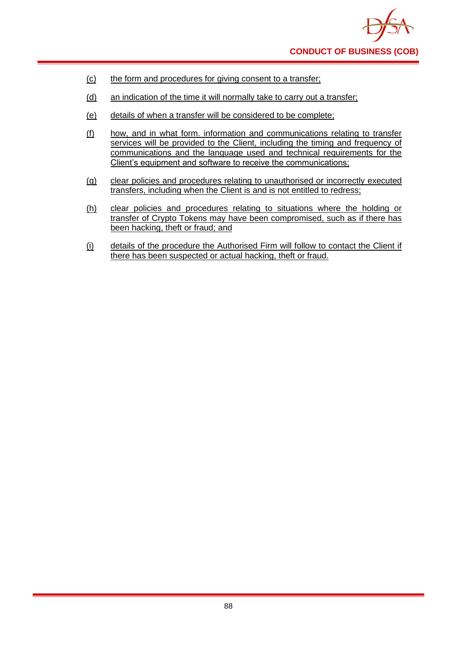

- (c) the form and procedures for giving consent to a transfer;
- (d) an indication of the time it will normally take to carry out a transfer;
- (e) details of when a transfer will be considered to be complete;
- (f) how, and in what form. information and communications relating to transfer services will be provided to the Client, including the timing and frequency of communications and the language used and technical requirements for the Client's equipment and software to receive the communications;
- (g) clear policies and procedures relating to unauthorised or incorrectly executed transfers, including when the Client is and is not entitled to redress;
- (h) clear policies and procedures relating to situations where the holding or transfer of Crypto Tokens may have been compromised, such as if there has been hacking, theft or fraud; and
- (i) details of the procedure the Authorised Firm will follow to contact the Client if there has been suspected or actual hacking, theft or fraud.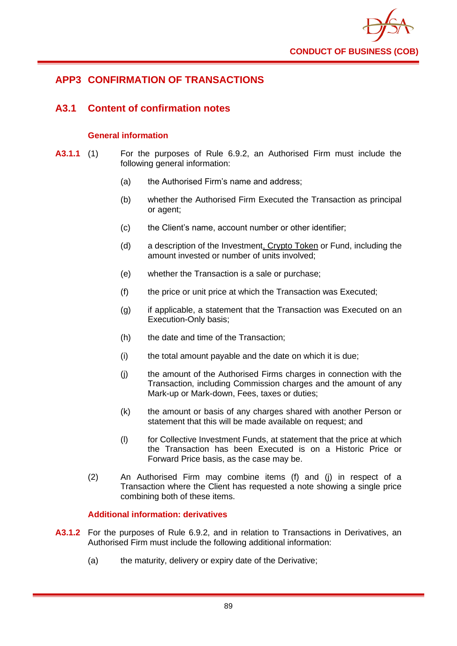

## **APP3 CONFIRMATION OF TRANSACTIONS**

## **A3.1 Content of confirmation notes**

#### **General information**

- **A3.1.1** (1) For the purposes of Rule 6.9.2, an Authorised Firm must include the following general information:
	- (a) the Authorised Firm's name and address:
	- (b) whether the Authorised Firm Executed the Transaction as principal or agent;
	- (c) the Client's name, account number or other identifier;
	- (d) a description of the Investment, Crypto Token or Fund, including the amount invested or number of units involved;
	- (e) whether the Transaction is a sale or purchase;
	- (f) the price or unit price at which the Transaction was Executed;
	- (g) if applicable, a statement that the Transaction was Executed on an Execution-Only basis;
	- (h) the date and time of the Transaction;
	- (i) the total amount payable and the date on which it is due;
	- (j) the amount of the Authorised Firms charges in connection with the Transaction, including Commission charges and the amount of any Mark-up or Mark-down, Fees, taxes or duties;
	- (k) the amount or basis of any charges shared with another Person or statement that this will be made available on request; and
	- (l) for Collective Investment Funds, at statement that the price at which the Transaction has been Executed is on a Historic Price or Forward Price basis, as the case may be.
	- (2) An Authorised Firm may combine items (f) and (j) in respect of a Transaction where the Client has requested a note showing a single price combining both of these items.

#### **Additional information: derivatives**

- **A3.1.2** For the purposes of Rule 6.9.2, and in relation to Transactions in Derivatives, an Authorised Firm must include the following additional information:
	- (a) the maturity, delivery or expiry date of the Derivative;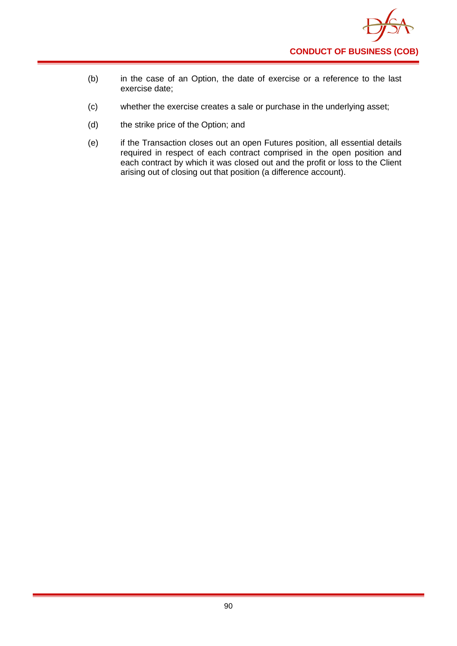

- (b) in the case of an Option, the date of exercise or a reference to the last exercise date;
- (c) whether the exercise creates a sale or purchase in the underlying asset;
- (d) the strike price of the Option; and
- (e) if the Transaction closes out an open Futures position, all essential details required in respect of each contract comprised in the open position and each contract by which it was closed out and the profit or loss to the Client arising out of closing out that position (a difference account).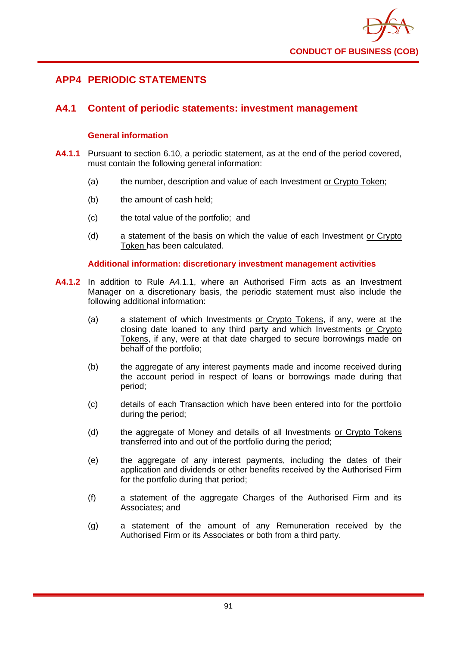

## **APP4 PERIODIC STATEMENTS**

## **A4.1 Content of periodic statements: investment management**

#### **General information**

- **A4.1.1** Pursuant to section 6.10, a periodic statement, as at the end of the period covered, must contain the following general information:
	- (a) the number, description and value of each Investment or Crypto Token;
	- (b) the amount of cash held;
	- (c) the total value of the portfolio; and
	- (d) a statement of the basis on which the value of each Investment or Crypto Token has been calculated.

#### **Additional information: discretionary investment management activities**

- **A4.1.2** In addition to Rule A4.1.1, where an Authorised Firm acts as an Investment Manager on a discretionary basis, the periodic statement must also include the following additional information:
	- (a) a statement of which Investments or Crypto Tokens, if any, were at the closing date loaned to any third party and which Investments or Crypto Tokens, if any, were at that date charged to secure borrowings made on behalf of the portfolio;
	- (b) the aggregate of any interest payments made and income received during the account period in respect of loans or borrowings made during that period;
	- (c) details of each Transaction which have been entered into for the portfolio during the period;
	- (d) the aggregate of Money and details of all Investments or Crypto Tokens transferred into and out of the portfolio during the period;
	- (e) the aggregate of any interest payments, including the dates of their application and dividends or other benefits received by the Authorised Firm for the portfolio during that period;
	- (f) a statement of the aggregate Charges of the Authorised Firm and its Associates; and
	- (g) a statement of the amount of any Remuneration received by the Authorised Firm or its Associates or both from a third party.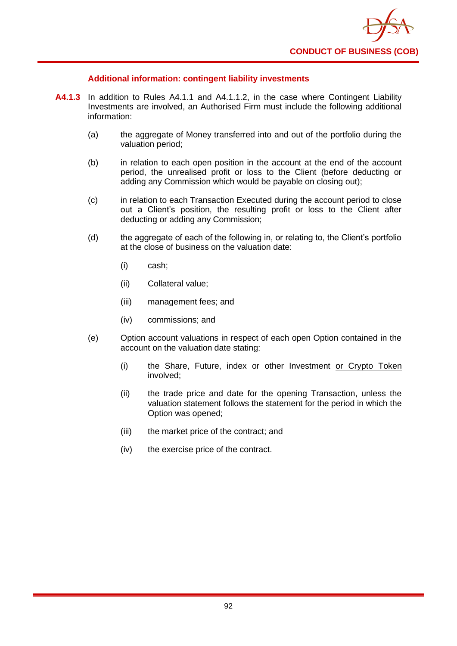

#### **Additional information: contingent liability investments**

- **A4.1.3** In addition to Rules A4.1.1 and A4.1.1.2, in the case where Contingent Liability Investments are involved, an Authorised Firm must include the following additional information:
	- (a) the aggregate of Money transferred into and out of the portfolio during the valuation period;
	- (b) in relation to each open position in the account at the end of the account period, the unrealised profit or loss to the Client (before deducting or adding any Commission which would be payable on closing out);
	- (c) in relation to each Transaction Executed during the account period to close out a Client's position, the resulting profit or loss to the Client after deducting or adding any Commission;
	- (d) the aggregate of each of the following in, or relating to, the Client's portfolio at the close of business on the valuation date:
		- (i) cash;
		- (ii) Collateral value;
		- (iii) management fees; and
		- (iv) commissions; and
	- (e) Option account valuations in respect of each open Option contained in the account on the valuation date stating:
		- (i) the Share, Future, index or other Investment or Crypto Token involved;
		- (ii) the trade price and date for the opening Transaction, unless the valuation statement follows the statement for the period in which the Option was opened;
		- (iii) the market price of the contract; and
		- (iv) the exercise price of the contract.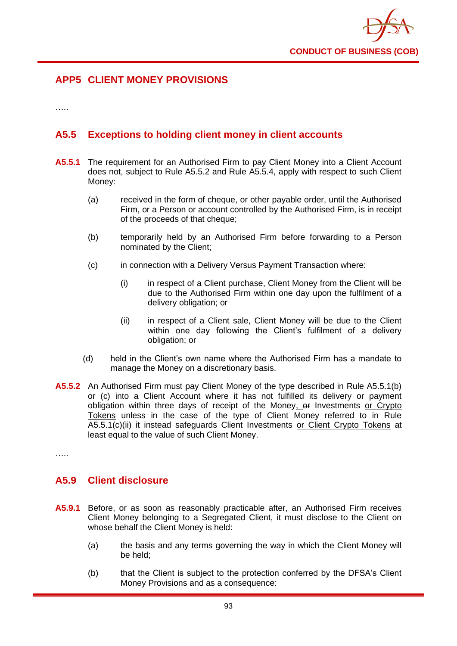

## **APP5 CLIENT MONEY PROVISIONS**

…<br>……

## **A5.5 Exceptions to holding client money in client accounts**

- **A5.5.1** The requirement for an Authorised Firm to pay Client Money into a Client Account does not, subject to Rule A5.5.2 and Rule A5.5.4, apply with respect to such Client Money:
	- (a) received in the form of cheque, or other payable order, until the Authorised Firm, or a Person or account controlled by the Authorised Firm, is in receipt of the proceeds of that cheque;
	- (b) temporarily held by an Authorised Firm before forwarding to a Person nominated by the Client;
	- (c) in connection with a Delivery Versus Payment Transaction where:
		- (i) in respect of a Client purchase, Client Money from the Client will be due to the Authorised Firm within one day upon the fulfilment of a delivery obligation; or
		- (ii) in respect of a Client sale, Client Money will be due to the Client within one day following the Client's fulfilment of a delivery obligation; or
	- (d) held in the Client's own name where the Authorised Firm has a mandate to manage the Money on a discretionary basis.
- **A5.5.2** An Authorised Firm must pay Client Money of the type described in Rule A5.5.1(b) or (c) into a Client Account where it has not fulfilled its delivery or payment obligation within three days of receipt of the Money, or Investments or Crypto Tokens unless in the case of the type of Client Money referred to in Rule A5.5.1(c)(ii) it instead safeguards Client Investments or Client Crypto Tokens at least equal to the value of such Client Money.

……

### **A5.9 Client disclosure**

- **A5.9.1** Before, or as soon as reasonably practicable after, an Authorised Firm receives Client Money belonging to a Segregated Client, it must disclose to the Client on whose behalf the Client Money is held:
	- (a) the basis and any terms governing the way in which the Client Money will be held;
	- (b) that the Client is subject to the protection conferred by the DFSA's Client Money Provisions and as a consequence: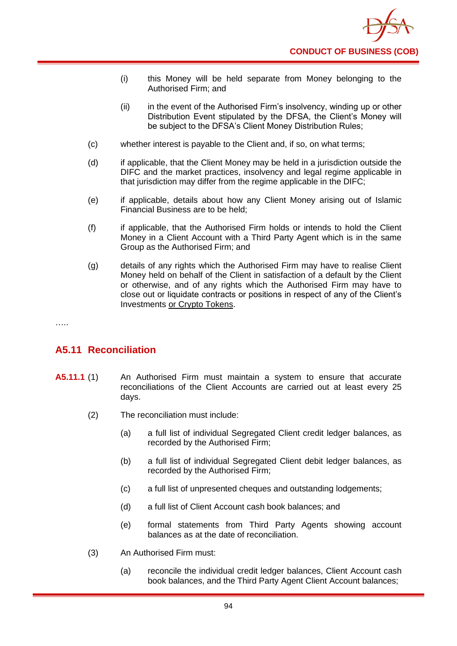

- (i) this Money will be held separate from Money belonging to the Authorised Firm; and
- (ii) in the event of the Authorised Firm's insolvency, winding up or other Distribution Event stipulated by the DFSA, the Client's Money will be subject to the DFSA's Client Money Distribution Rules;
- (c) whether interest is payable to the Client and, if so, on what terms;
- (d) if applicable, that the Client Money may be held in a jurisdiction outside the DIFC and the market practices, insolvency and legal regime applicable in that jurisdiction may differ from the regime applicable in the DIFC;
- (e) if applicable, details about how any Client Money arising out of Islamic Financial Business are to be held;
- (f) if applicable, that the Authorised Firm holds or intends to hold the Client Money in a Client Account with a Third Party Agent which is in the same Group as the Authorised Firm; and
- (g) details of any rights which the Authorised Firm may have to realise Client Money held on behalf of the Client in satisfaction of a default by the Client or otherwise, and of any rights which the Authorised Firm may have to close out or liquidate contracts or positions in respect of any of the Client's Investments or Crypto Tokens.

……

# **A5.11 Reconciliation**

- **A5.11.1** (1) An Authorised Firm must maintain a system to ensure that accurate reconciliations of the Client Accounts are carried out at least every 25 days.
	- (2) The reconciliation must include:
		- (a) a full list of individual Segregated Client credit ledger balances, as recorded by the Authorised Firm;
		- (b) a full list of individual Segregated Client debit ledger balances, as recorded by the Authorised Firm;
		- (c) a full list of unpresented cheques and outstanding lodgements;
		- (d) a full list of Client Account cash book balances; and
		- (e) formal statements from Third Party Agents showing account balances as at the date of reconciliation.
	- (3) An Authorised Firm must:
		- (a) reconcile the individual credit ledger balances, Client Account cash book balances, and the Third Party Agent Client Account balances;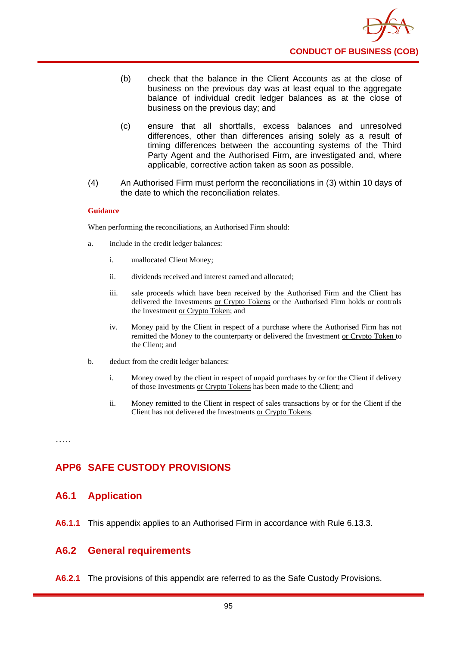

- (b) check that the balance in the Client Accounts as at the close of business on the previous day was at least equal to the aggregate balance of individual credit ledger balances as at the close of business on the previous day; and
- (c) ensure that all shortfalls, excess balances and unresolved differences, other than differences arising solely as a result of timing differences between the accounting systems of the Third Party Agent and the Authorised Firm, are investigated and, where applicable, corrective action taken as soon as possible.
- (4) An Authorised Firm must perform the reconciliations in (3) within 10 days of the date to which the reconciliation relates.

#### **Guidance**

When performing the reconciliations, an Authorised Firm should:

- a. include in the credit ledger balances:
	- i. unallocated Client Money;
	- ii. dividends received and interest earned and allocated;
	- iii. sale proceeds which have been received by the Authorised Firm and the Client has delivered the Investments or Crypto Tokens or the Authorised Firm holds or controls the Investment or Crypto Token; and
	- iv. Money paid by the Client in respect of a purchase where the Authorised Firm has not remitted the Money to the counterparty or delivered the Investment or Crypto Token to the Client; and
- b. deduct from the credit ledger balances:
	- i. Money owed by the client in respect of unpaid purchases by or for the Client if delivery of those Investments or Crypto Tokens has been made to the Client; and
	- ii. Money remitted to the Client in respect of sales transactions by or for the Client if the Client has not delivered the Investments or Crypto Tokens.

…..

## **APP6 SAFE CUSTODY PROVISIONS**

### **A6.1 Application**

**A6.1.1** This appendix applies to an Authorised Firm in accordance with Rule 6.13.3.

### **A6.2 General requirements**

**A6.2.1** The provisions of this appendix are referred to as the Safe Custody Provisions.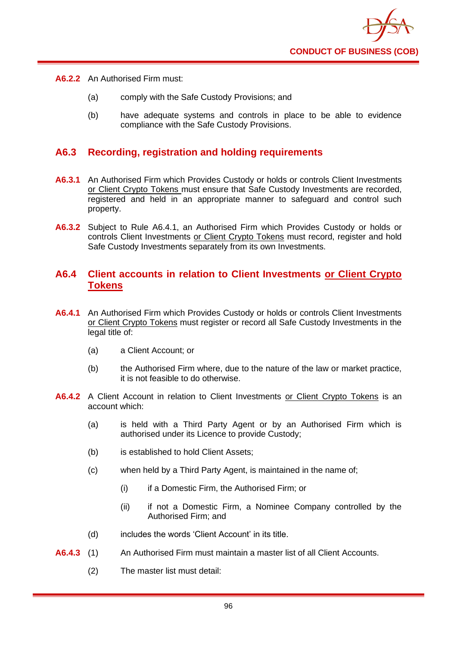

- **A6.2.2** An Authorised Firm must:
	- (a) comply with the Safe Custody Provisions; and
	- (b) have adequate systems and controls in place to be able to evidence compliance with the Safe Custody Provisions.

## **A6.3 Recording, registration and holding requirements**

- **A6.3.1** An Authorised Firm which Provides Custody or holds or controls Client Investments or Client Crypto Tokens must ensure that Safe Custody Investments are recorded, registered and held in an appropriate manner to safeguard and control such property.
- **A6.3.2** Subject to Rule A6.4.1, an Authorised Firm which Provides Custody or holds or controls Client Investments or Client Crypto Tokens must record, register and hold Safe Custody Investments separately from its own Investments.

## **A6.4 Client accounts in relation to Client Investments or Client Crypto Tokens**

- **A6.4.1** An Authorised Firm which Provides Custody or holds or controls Client Investments or Client Crypto Tokens must register or record all Safe Custody Investments in the legal title of:
	- (a) a Client Account; or
	- (b) the Authorised Firm where, due to the nature of the law or market practice, it is not feasible to do otherwise.
- **A6.4.2** A Client Account in relation to Client Investments or Client Crypto Tokens is an account which:
	- (a) is held with a Third Party Agent or by an Authorised Firm which is authorised under its Licence to provide Custody;
	- (b) is established to hold Client Assets;
	- (c) when held by a Third Party Agent, is maintained in the name of;
		- (i) if a Domestic Firm, the Authorised Firm; or
		- (ii) if not a Domestic Firm, a Nominee Company controlled by the Authorised Firm; and
	- (d) includes the words 'Client Account' in its title.
- **A6.4.3** (1) An Authorised Firm must maintain a master list of all Client Accounts.
	- (2) The master list must detail: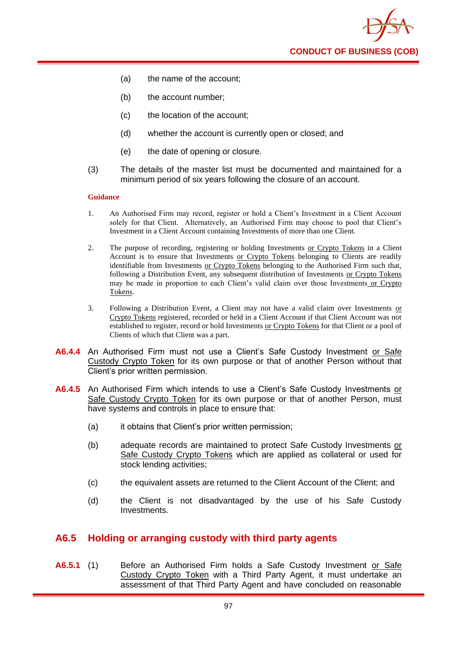**CONDUCT OF BUSINESS (COB)**

- (a) the name of the account;
- (b) the account number;
- (c) the location of the account;
- (d) whether the account is currently open or closed; and
- (e) the date of opening or closure.
- (3) The details of the master list must be documented and maintained for a minimum period of six years following the closure of an account.

#### **Guidance**

- 1. An Authorised Firm may record, register or hold a Client's Investment in a Client Account solely for that Client. Alternatively, an Authorised Firm may choose to pool that Client's Investment in a Client Account containing Investments of more than one Client.
- 2. The purpose of recording, registering or holding Investments or Crypto Tokens in a Client Account is to ensure that Investments or Crypto Tokens belonging to Clients are readily identifiable from Investments or Crypto Tokens belonging to the Authorised Firm such that, following a Distribution Event, any subsequent distribution of Investments or Crypto Tokens may be made in proportion to each Client's valid claim over those Investments or Crypto Tokens.
- 3. Following a Distribution Event, a Client may not have a valid claim over Investments or Crypto Tokens registered, recorded or held in a Client Account if that Client Account was not established to register, record or hold Investments or Crypto Tokens for that Client or a pool of Clients of which that Client was a part.
- **A6.4.4** An Authorised Firm must not use a Client's Safe Custody Investment or Safe Custody Crypto Token for its own purpose or that of another Person without that Client's prior written permission.
- A6.4.5 An Authorised Firm which intends to use a Client's Safe Custody Investments or Safe Custody Crypto Token for its own purpose or that of another Person, must have systems and controls in place to ensure that:
	- (a) it obtains that Client's prior written permission;
	- (b) adequate records are maintained to protect Safe Custody Investments or Safe Custody Crypto Tokens which are applied as collateral or used for stock lending activities;
	- (c) the equivalent assets are returned to the Client Account of the Client; and
	- (d) the Client is not disadvantaged by the use of his Safe Custody **Investments**

### **A6.5 Holding or arranging custody with third party agents**

**A6.5.1** (1) Before an Authorised Firm holds a Safe Custody Investment or Safe Custody Crypto Token with a Third Party Agent, it must undertake an assessment of that Third Party Agent and have concluded on reasonable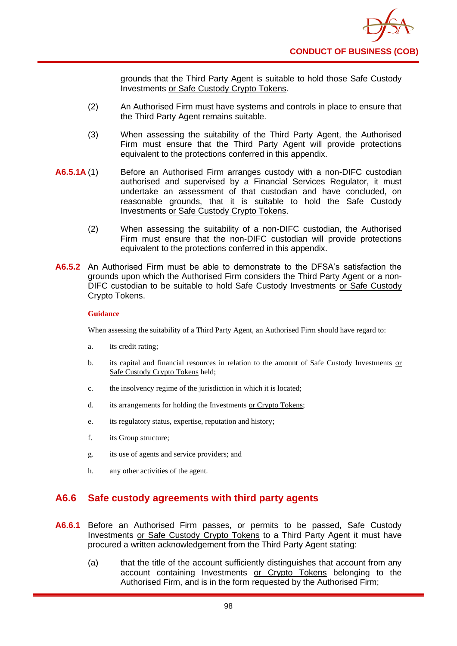grounds that the Third Party Agent is suitable to hold those Safe Custody Investments or Safe Custody Crypto Tokens.

- (2) An Authorised Firm must have systems and controls in place to ensure that the Third Party Agent remains suitable.
- (3) When assessing the suitability of the Third Party Agent, the Authorised Firm must ensure that the Third Party Agent will provide protections equivalent to the protections conferred in this appendix.
- **A6.5.1A** (1) Before an Authorised Firm arranges custody with a non-DIFC custodian authorised and supervised by a Financial Services Regulator, it must undertake an assessment of that custodian and have concluded, on reasonable grounds, that it is suitable to hold the Safe Custody Investments or Safe Custody Crypto Tokens.
	- (2) When assessing the suitability of a non-DIFC custodian, the Authorised Firm must ensure that the non-DIFC custodian will provide protections equivalent to the protections conferred in this appendix.
- **A6.5.2** An Authorised Firm must be able to demonstrate to the DFSA's satisfaction the grounds upon which the Authorised Firm considers the Third Party Agent or a non-DIFC custodian to be suitable to hold Safe Custody Investments or Safe Custody Crypto Tokens.

#### **Guidance**

When assessing the suitability of a Third Party Agent, an Authorised Firm should have regard to:

- a. its credit rating;
- b. its capital and financial resources in relation to the amount of Safe Custody Investments or Safe Custody Crypto Tokens held;
- c. the insolvency regime of the jurisdiction in which it is located;
- d. its arrangements for holding the Investments or Crypto Tokens;
- e. its regulatory status, expertise, reputation and history;
- f. its Group structure;
- g. its use of agents and service providers; and
- h. any other activities of the agent.

## **A6.6 Safe custody agreements with third party agents**

- **A6.6.1** Before an Authorised Firm passes, or permits to be passed, Safe Custody Investments or Safe Custody Crypto Tokens to a Third Party Agent it must have procured a written acknowledgement from the Third Party Agent stating:
	- (a) that the title of the account sufficiently distinguishes that account from any account containing Investments or Crypto Tokens belonging to the Authorised Firm, and is in the form requested by the Authorised Firm;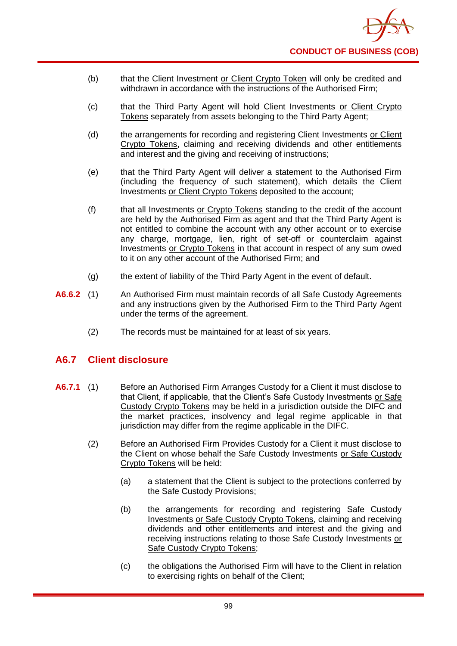- (b) that the Client Investment or Client Crypto Token will only be credited and withdrawn in accordance with the instructions of the Authorised Firm;
- (c) that the Third Party Agent will hold Client Investments or Client Crypto Tokens separately from assets belonging to the Third Party Agent;
- (d) the arrangements for recording and registering Client Investments or Client Crypto Tokens, claiming and receiving dividends and other entitlements and interest and the giving and receiving of instructions;
- (e) that the Third Party Agent will deliver a statement to the Authorised Firm (including the frequency of such statement), which details the Client Investments or Client Crypto Tokens deposited to the account;
- (f) that all Investments or Crypto Tokens standing to the credit of the account are held by the Authorised Firm as agent and that the Third Party Agent is not entitled to combine the account with any other account or to exercise any charge, mortgage, lien, right of set-off or counterclaim against Investments or Crypto Tokens in that account in respect of any sum owed to it on any other account of the Authorised Firm; and
- (g) the extent of liability of the Third Party Agent in the event of default.
- **A6.6.2** (1) An Authorised Firm must maintain records of all Safe Custody Agreements and any instructions given by the Authorised Firm to the Third Party Agent under the terms of the agreement.
	- (2) The records must be maintained for at least of six years.

## **A6.7 Client disclosure**

- **A6.7.1** (1) Before an Authorised Firm Arranges Custody for a Client it must disclose to that Client, if applicable, that the Client's Safe Custody Investments or Safe Custody Crypto Tokens may be held in a jurisdiction outside the DIFC and the market practices, insolvency and legal regime applicable in that jurisdiction may differ from the regime applicable in the DIFC.
	- (2) Before an Authorised Firm Provides Custody for a Client it must disclose to the Client on whose behalf the Safe Custody Investments or Safe Custody Crypto Tokens will be held:
		- (a) a statement that the Client is subject to the protections conferred by the Safe Custody Provisions;
		- (b) the arrangements for recording and registering Safe Custody Investments or Safe Custody Crypto Tokens, claiming and receiving dividends and other entitlements and interest and the giving and receiving instructions relating to those Safe Custody Investments or Safe Custody Crypto Tokens;
		- (c) the obligations the Authorised Firm will have to the Client in relation to exercising rights on behalf of the Client;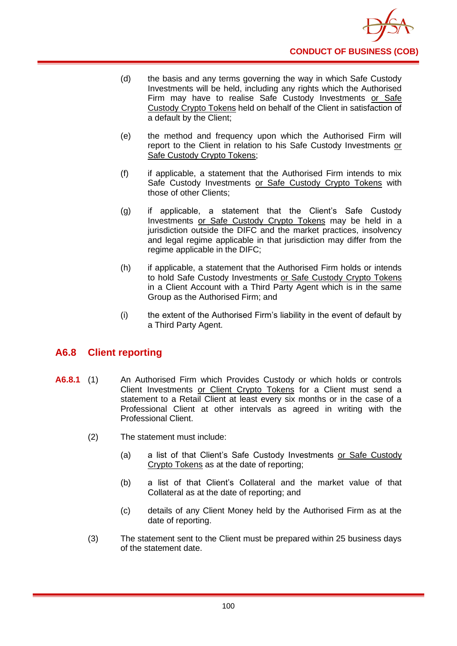

- (d) the basis and any terms governing the way in which Safe Custody Investments will be held, including any rights which the Authorised Firm may have to realise Safe Custody Investments or Safe Custody Crypto Tokens held on behalf of the Client in satisfaction of a default by the Client;
- (e) the method and frequency upon which the Authorised Firm will report to the Client in relation to his Safe Custody Investments or Safe Custody Crypto Tokens;
- (f) if applicable, a statement that the Authorised Firm intends to mix Safe Custody Investments or Safe Custody Crypto Tokens with those of other Clients;
- (g) if applicable, a statement that the Client's Safe Custody Investments or Safe Custody Crypto Tokens may be held in a jurisdiction outside the DIFC and the market practices, insolvency and legal regime applicable in that jurisdiction may differ from the regime applicable in the DIFC;
- (h) if applicable, a statement that the Authorised Firm holds or intends to hold Safe Custody Investments or Safe Custody Crypto Tokens in a Client Account with a Third Party Agent which is in the same Group as the Authorised Firm; and
- (i) the extent of the Authorised Firm's liability in the event of default by a Third Party Agent.

## **A6.8 Client reporting**

- **A6.8.1** (1) An Authorised Firm which Provides Custody or which holds or controls Client Investments or Client Crypto Tokens for a Client must send a statement to a Retail Client at least every six months or in the case of a Professional Client at other intervals as agreed in writing with the Professional Client.
	- (2) The statement must include:
		- (a) a list of that Client's Safe Custody Investments or Safe Custody Crypto Tokens as at the date of reporting;
		- (b) a list of that Client's Collateral and the market value of that Collateral as at the date of reporting; and
		- (c) details of any Client Money held by the Authorised Firm as at the date of reporting.
	- (3) The statement sent to the Client must be prepared within 25 business days of the statement date.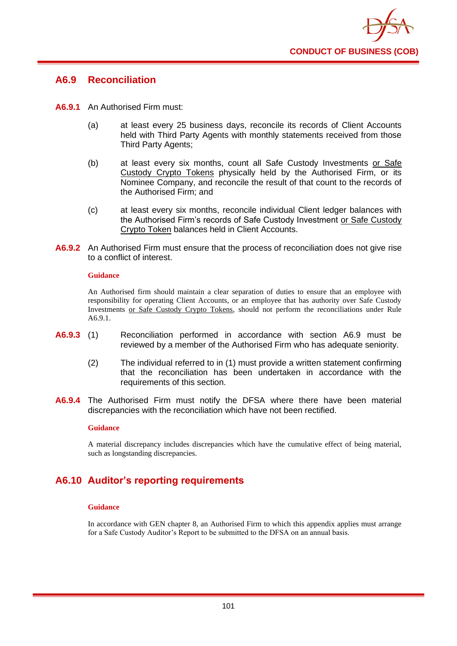

### **A6.9 Reconciliation**

- **A6.9.1** An Authorised Firm must:
	- (a) at least every 25 business days, reconcile its records of Client Accounts held with Third Party Agents with monthly statements received from those Third Party Agents;
	- (b) at least every six months, count all Safe Custody Investments or Safe Custody Crypto Tokens physically held by the Authorised Firm, or its Nominee Company, and reconcile the result of that count to the records of the Authorised Firm; and
	- (c) at least every six months, reconcile individual Client ledger balances with the Authorised Firm's records of Safe Custody Investment or Safe Custody Crypto Token balances held in Client Accounts.
- **A6.9.2** An Authorised Firm must ensure that the process of reconciliation does not give rise to a conflict of interest.

#### **Guidance**

An Authorised firm should maintain a clear separation of duties to ensure that an employee with responsibility for operating Client Accounts, or an employee that has authority over Safe Custody Investments or Safe Custody Crypto Tokens, should not perform the reconciliations under Rule A6.9.1.

- **A6.9.3** (1) Reconciliation performed in accordance with section A6.9 must be reviewed by a member of the Authorised Firm who has adequate seniority.
	- (2) The individual referred to in (1) must provide a written statement confirming that the reconciliation has been undertaken in accordance with the requirements of this section.
- **A6.9.4** The Authorised Firm must notify the DFSA where there have been material discrepancies with the reconciliation which have not been rectified.

#### **Guidance**

A material discrepancy includes discrepancies which have the cumulative effect of being material, such as longstanding discrepancies.

# **A6.10 Auditor's reporting requirements**

#### **Guidance**

In accordance with GEN chapter 8, an Authorised Firm to which this appendix applies must arrange for a Safe Custody Auditor's Report to be submitted to the DFSA on an annual basis.